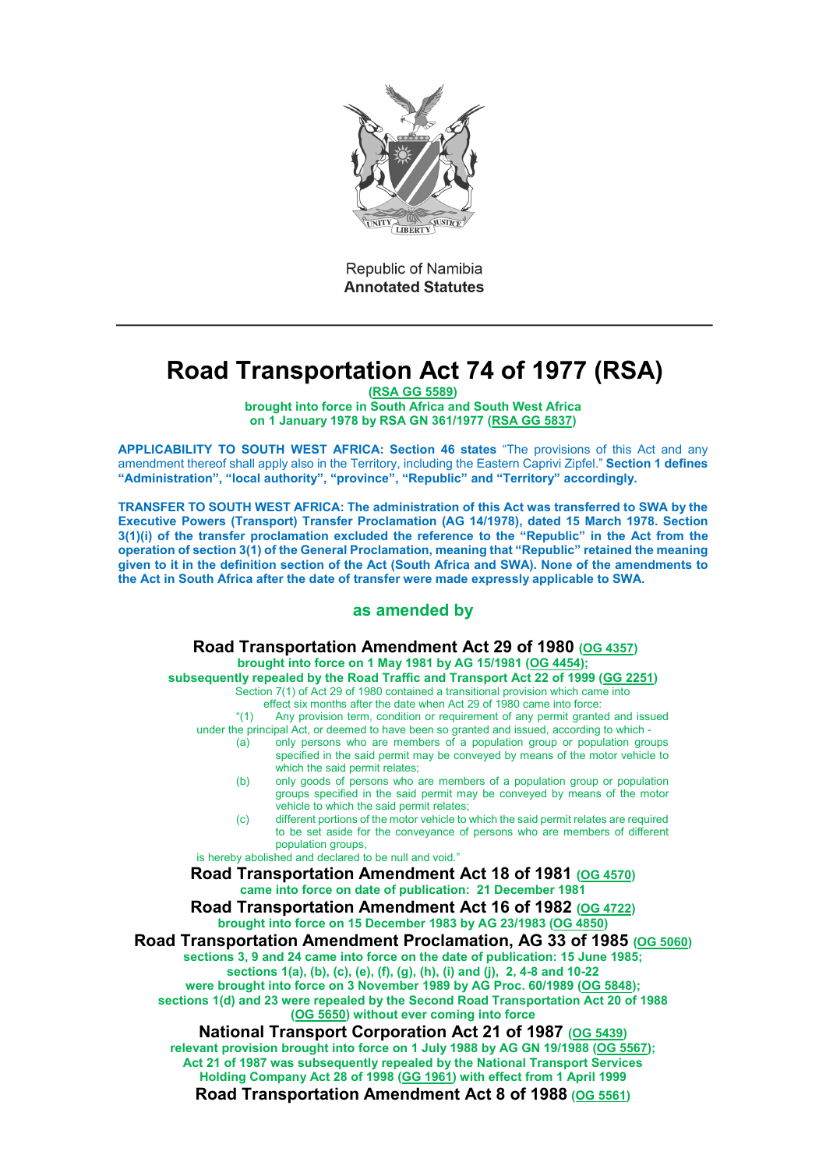

Republic of Namibia **Annotated Statutes** 

# **Road Transportation Act 74 of 1977 (RSA)**

**[\(RSA GG 5589\)](http://www.lac.org.na/laws/GGsa/rsagg5589.pdf) brought into force in South Africa and South West Africa** 

**on 1 January 1978 by RSA GN 361/1977 [\(RSA GG 5837\)](http://www.lac.org.na/laws/GGsa/rsagg5837.pdf)** 

**APPLICABILITY TO SOUTH WEST AFRICA: Section 46 states** "The provisions of this Act and any amendment thereof shall apply also in the Territory, including the Eastern Caprivi Zipfel." **Section 1 defines "Administration", "local authority", "province", "Republic" and "Territory" accordingly.**

**TRANSFER TO SOUTH WEST AFRICA: The administration of this Act was transferred to SWA by the Executive Powers (Transport) Transfer Proclamation (AG 14/1978), dated 15 March 1978. Section 3(1)(i) of the transfer proclamation excluded the reference to the "Republic" in the Act from the operation of section 3(1) of the General Proclamation, meaning that "Republic" retained the meaning given to it in the definition section of the Act (South Africa and SWA). None of the amendments to the Act in South Africa after the date of transfer were made expressly applicable to SWA.**

#### **as amended by**

# **Road Transportation Amendment Act 29 of 1980 [\(OG 4357\)](http://www.lac.org.na/laws/1980/og4357.pdf)**

**brought into force on 1 May 1981 by AG 15/1981 [\(OG 4454\)](http://www.lac.org.na/laws/1981/og4454.pdf);** 

**subsequently repealed by the Road Traffic and Transport Act 22 of 1999 [\(GG 2251\)](http://www.lac.org.na/laws/1999/2251.pdf)**  Section 7(1) of Act 29 of 1980 contained a transitional provision which came into

- effect six months after the date when Act 29 of 1980 came into force:
- "(1) Any provision term, condition or requirement of any permit granted and issued under the principal Act, or deemed to have been so granted and issued, according to which -
	- (a) only persons who are members of a population group or population groups specified in the said permit may be conveyed by means of the motor vehicle to
	- which the said permit relates; (b) only goods of persons who are members of a population group or population
	- groups specified in the said permit may be conveyed by means of the motor vehicle to which the said permit relates; (c) different portions of the motor vehicle to which the said permit relates are required
	- to be set aside for the conveyance of persons who are members of different population groups,

is hereby abolished and declared to be null and void."

**Road Transportation Amendment Act 18 of 1981 [\(OG 4570\)](http://www.lac.org.na/laws/1981/og4570.pdf) came into force on date of publication: 21 December 1981** 

**Road Transportation Amendment Act 16 of 1982 [\(OG 4722\)](http://www.lac.org.na/laws/1982/og4722.pdf) brought into force on 15 December 1983 by AG 23/1983 [\(OG 4850\)](http://www.lac.org.na/laws/1983/og4850.pdf)** 

**Road Transportation Amendment Proclamation, AG 33 of 1985 [\(OG 5060\)](http://www.lac.org.na/laws/1985/og5060.pdf) sections 3, 9 and 24 came into force on the date of publication: 15 June 1985; sections 1(a), (b), (c), (e), (f), (g), (h), (i) and (j), 2, 4-8 and 10-22** 

**were brought into force on 3 November 1989 by AG Proc. 60/1989 [\(OG 5848\)](http://www.lac.org.na/laws/1989/og5848.pdf); sections 1(d) and 23 were repealed by the Second Road Transportation Act 20 of 1988 [\(OG 5650\)](http://www.lac.org.na/laws/1988/og5650.pdf) without ever coming into force**

**National Transport Corporation Act 21 of 1987 [\(OG 5439\)](http://www.lac.org.na/laws/1987/og5439.pdf) relevant provision brought into force on 1 July 1988 by AG GN 19/1988 [\(OG 5567\)](http://www.lac.org.na/laws/1988/og5567.pdf); Act 21 of 1987 was subsequently repealed by the National Transport Services Holding Company Act 28 of 1998 [\(GG 1961\)](http://www.lac.org.na/laws/1998/1961.pdf) with effect from 1 April 1999 Road Transportation Amendment Act 8 of 1988 [\(OG 5561\)](http://www.lac.org.na/laws/1988/og5561.pdf)**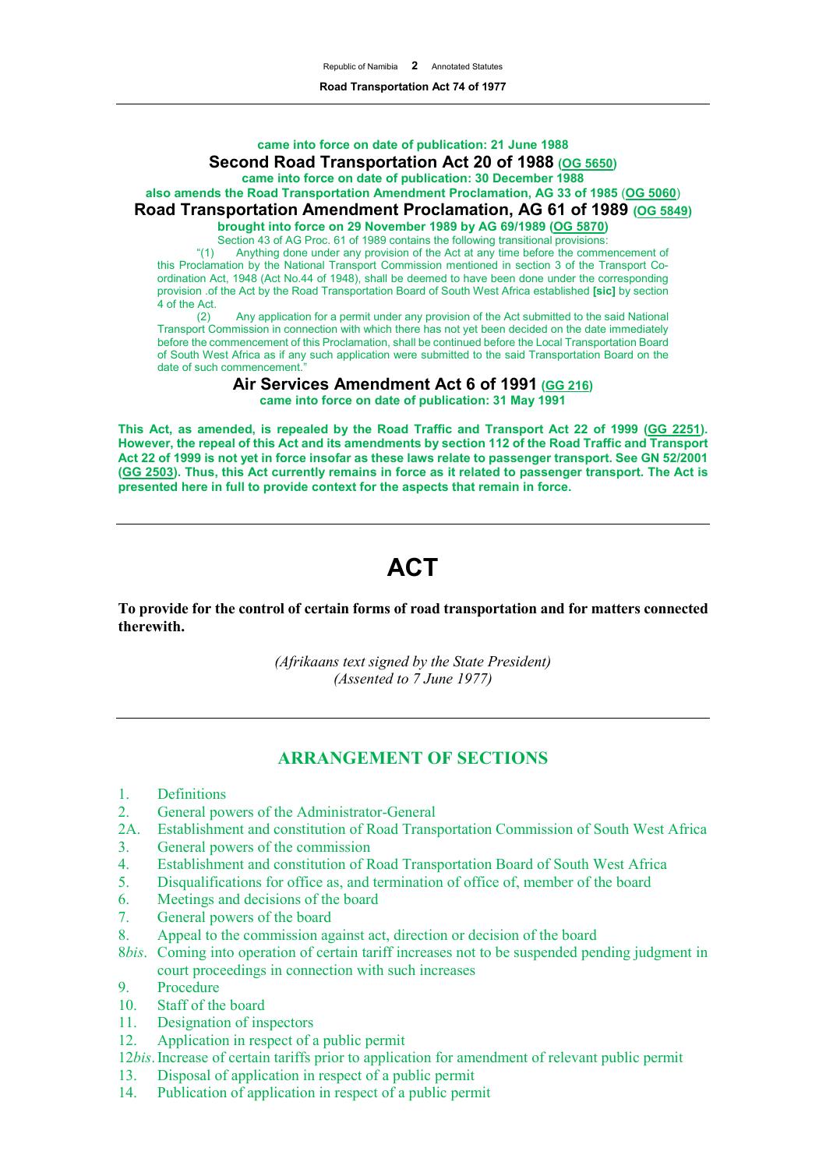# **came into force on date of publication: 21 June 1988 Second Road Transportation Act 20 of 1988 [\(OG 5650\)](http://www.lac.org.na/laws/1988/og5650.pdf)**

**came into force on date of publication: 30 December 1988**

#### **also amends the Road Transportation Amendment Proclamation, AG 33 of 1985** (**[OG 5060](http://www.lac.org.na/laws/1985/og5060.pdf)**) **Road Transportation Amendment Proclamation, AG 61 of 1989 [\(OG 5849\)](http://www.lac.org.na/laws/1989/og5849.pdf)**

**brought into force on 29 November 1989 by AG 69/1989 [\(OG 5870\)](http://www.lac.org.na/laws/1989/og5870.pdf)** 

Section 43 of AG Proc. 61 of 1989 contains the following transitional provisions:

"(1) Anything done under any provision of the Act at any time before the commencement of this Proclamation by the National Transport Commission mentioned in section 3 of the Transport Coordination Act, 1948 (Act No.44 of 1948), shall be deemed to have been done under the corresponding provision .of the Act by the Road Transportation Board of South West Africa established **[sic]** by section 4 of the Act.<br>(2)

Any application for a permit under any provision of the Act submitted to the said National Transport Commission in connection with which there has not yet been decided on the date immediately before the commencement of this Proclamation, shall be continued before the Local Transportation Board of South West Africa as if any such application were submitted to the said Transportation Board on the date of such commencement.

> **Air Services Amendment Act 6 of 1991 [\(GG 216\)](http://www.lac.org.na/laws/1991/216.pdf) came into force on date of publication: 31 May 1991**

**This Act, as amended, is repealed by the Road Traffic and Transport Act 22 of 1999 [\(GG 2251\)](http://www.lac.org.na/laws/1999/2251.pdf). However, the repeal of this Act and its amendments by section 112 of the Road Traffic and Transport Act 22 of 1999 is not yet in force insofar as these laws relate to passenger transport. See GN 52/2001 [\(GG 2503\)](http://www.lac.org.na/laws/2001/2503.pdf). Thus, this Act currently remains in force as it related to passenger transport. The Act is presented here in full to provide context for the aspects that remain in force.** 

# **ACT**

**To provide for the control of certain forms of road transportation and for matters connected therewith.**

> *(Afrikaans text signed by the State President) (Assented to 7 June 1977)*

# **ARRANGEMENT OF SECTIONS**

- 1. Definitions
- 2. General powers of the Administrator-General
- 2A. Establishment and constitution of Road Transportation Commission of South West Africa
- 3. General powers of the commission
- 4. Establishment and constitution of Road Transportation Board of South West Africa
- 5. Disqualifications for office as, and termination of office of, member of the board
- 6. Meetings and decisions of the board
- 7. General powers of the board
- 8. Appeal to the commission against act, direction or decision of the board
- 8*bis*. Coming into operation of certain tariff increases not to be suspended pending judgment in court proceedings in connection with such increases
- 9. Procedure<br>10. Staff of the
- Staff of the board
- 11. Designation of inspectors
- 12. Application in respect of a public permit
- 12*bis*. Increase of certain tariffs prior to application for amendment of relevant public permit
- 13. Disposal of application in respect of a public permit
- 14. Publication of application in respect of a public permit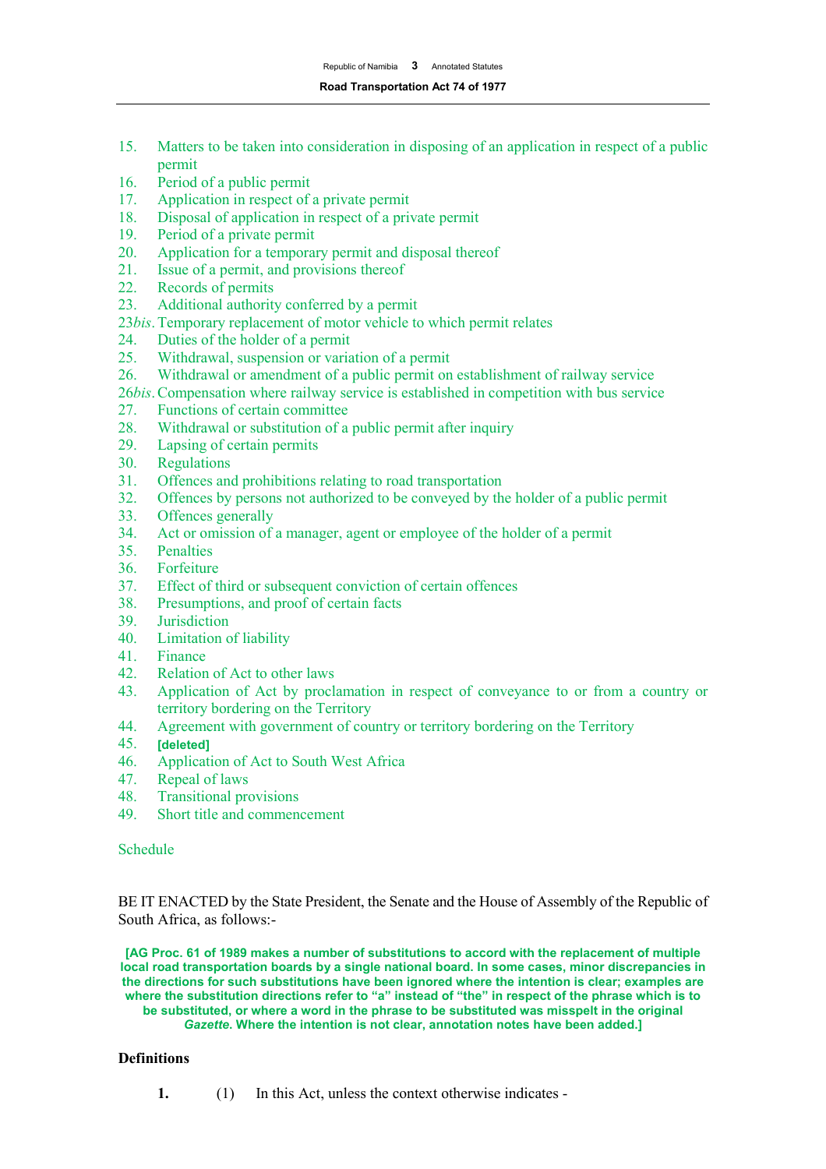- 15. Matters to be taken into consideration in disposing of an application in respect of a public permit
- 16. Period of a public permit
- 17. Application in respect of a private permit
- 18. Disposal of application in respect of a private permit<br>19. Period of a private permit
- 19. Period of a private permit<br>20. Application for a temporary
- Application for a temporary permit and disposal thereof
- 21. Issue of a permit, and provisions thereof<br>22. Records of permits
- Records of permits
- 23. Additional authority conferred by a permit
- 23*bis*.Temporary replacement of motor vehicle to which permit relates
- 24. Duties of the holder of a permit<br>25. Withdrawal, suspension or varial
- Withdrawal, suspension or variation of a permit
- 26. Withdrawal or amendment of a public permit on establishment of railway service
- 26*bis*.Compensation where railway service is established in competition with bus service
- 27. Functions of certain committee<br>28. Withdrawal or substitution of a
- Withdrawal or substitution of a public permit after inquiry
- 29. Lapsing of certain permits
- 30. Regulations<br>31. Offences and
- 31. Offences and prohibitions relating to road transportation<br>32. Offences by persons not authorized to be conveved by the
- 32. Offences by persons not authorized to be conveyed by the holder of a public permit
- 33. Offences generally
- 34. Act or omission of a manager, agent or employee of the holder of a permit
- 35. Penalties
- 36. Forfeiture
- 37. Effect of third or subsequent conviction of certain offences
- 38. Presumptions, and proof of certain facts
- 39. Jurisdiction<br>40. Limitation c
- **Limitation of liability**
- 41. Finance
- 42. Relation of Act to other laws
- 43. Application of Act by proclamation in respect of conveyance to or from a country or territory bordering on the Territory
- 44. Agreement with government of country or territory bordering on the Territory
- 45. **[deleted]**
- 46. Application of Act to South West Africa
- 47. Repeal of laws<br>48. Transitional pro
- 48. Transitional provisions
- 49. Short title and commencement

Schedule

BE IT ENACTED by the State President, the Senate and the House of Assembly of the Republic of South Africa, as follows:-

**[AG Proc. 61 of 1989 makes a number of substitutions to accord with the replacement of multiple local road transportation boards by a single national board. In some cases, minor discrepancies in the directions for such substitutions have been ignored where the intention is clear; examples are where the substitution directions refer to "a" instead of "the" in respect of the phrase which is to be substituted, or where a word in the phrase to be substituted was misspelt in the original**  *Gazette***. Where the intention is not clear, annotation notes have been added.]**

# **Definitions**

**1.** (1) In this Act, unless the context otherwise indicates -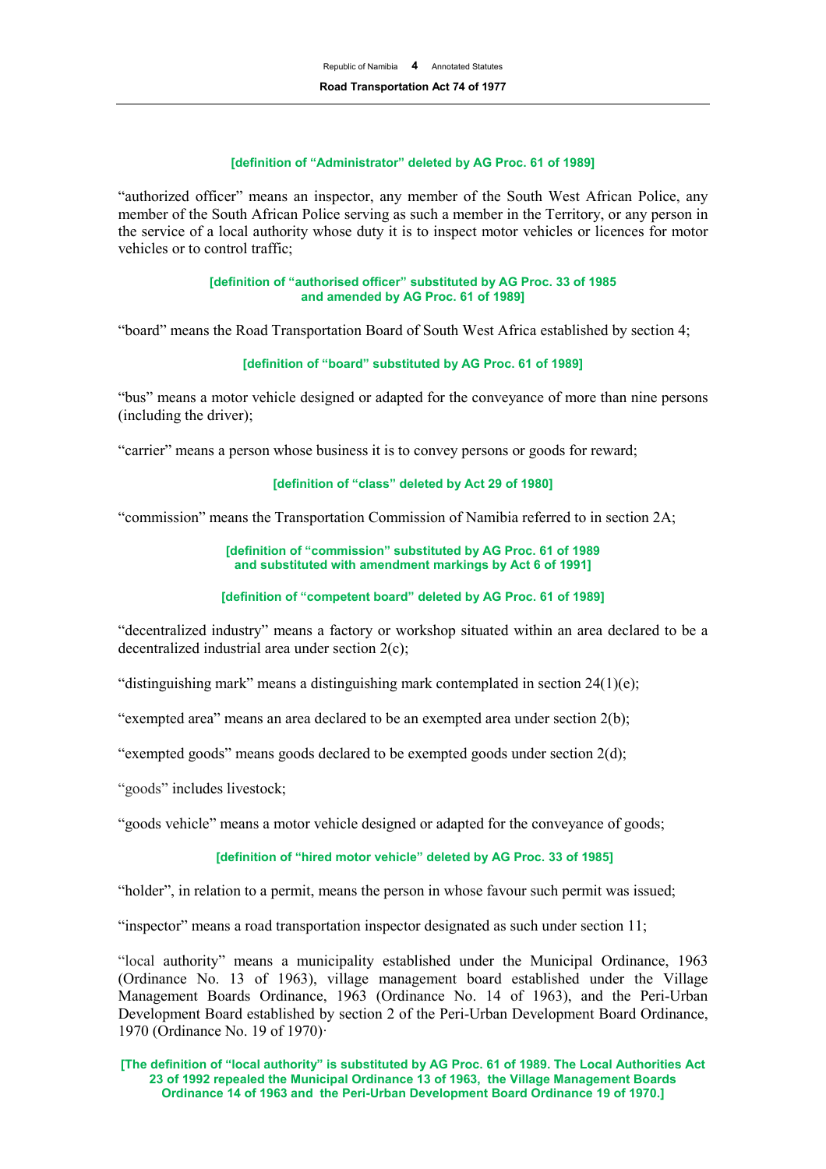## **[definition of "Administrator" deleted by AG Proc. 61 of 1989]**

"authorized officer" means an inspector, any member of the South West African Police, any member of the South African Police serving as such a member in the Territory, or any person in the service of a local authority whose duty it is to inspect motor vehicles or licences for motor vehicles or to control traffic;

#### **[definition of "authorised officer" substituted by AG Proc. 33 of 1985 and amended by AG Proc. 61 of 1989]**

"board" means the Road Transportation Board of South West Africa established by section 4;

## **[definition of "board" substituted by AG Proc. 61 of 1989]**

"bus" means a motor vehicle designed or adapted for the conveyance of more than nine persons (including the driver);

"carrier" means a person whose business it is to convey persons or goods for reward;

#### **[definition of "class" deleted by Act 29 of 1980]**

"commission" means the Transportation Commission of Namibia referred to in section 2A;

#### **[definition of "commission" substituted by AG Proc. 61 of 1989 and substituted with amendment markings by Act 6 of 1991]**

#### **[definition of "competent board" deleted by AG Proc. 61 of 1989]**

"decentralized industry" means a factory or workshop situated within an area declared to be a decentralized industrial area under section 2(c);

"distinguishing mark" means a distinguishing mark contemplated in section  $24(1)(e)$ ;

"exempted area" means an area declared to be an exempted area under section 2(b);

"exempted goods" means goods declared to be exempted goods under section 2(d);

"goods" includes livestock;

"goods vehicle" means a motor vehicle designed or adapted for the conveyance of goods;

## **[definition of "hired motor vehicle" deleted by AG Proc. 33 of 1985]**

"holder", in relation to a permit, means the person in whose favour such permit was issued;

"inspector" means a road transportation inspector designated as such under section 11;

"local authority" means a municipality established under the Municipal Ordinance, 1963 (Ordinance No. 13 of 1963), village management board established under the Village Management Boards Ordinance, 1963 (Ordinance No. 14 of 1963), and the Peri-Urban Development Board established by section 2 of the Peri-Urban Development Board Ordinance, 1970 (Ordinance No. 19 of 1970)·

**[The definition of "local authority" is substituted by AG Proc. 61 of 1989. The Local Authorities Act 23 of 1992 repealed the Municipal Ordinance 13 of 1963, the Village Management Boards Ordinance 14 of 1963 and the Peri-Urban Development Board Ordinance 19 of 1970.]**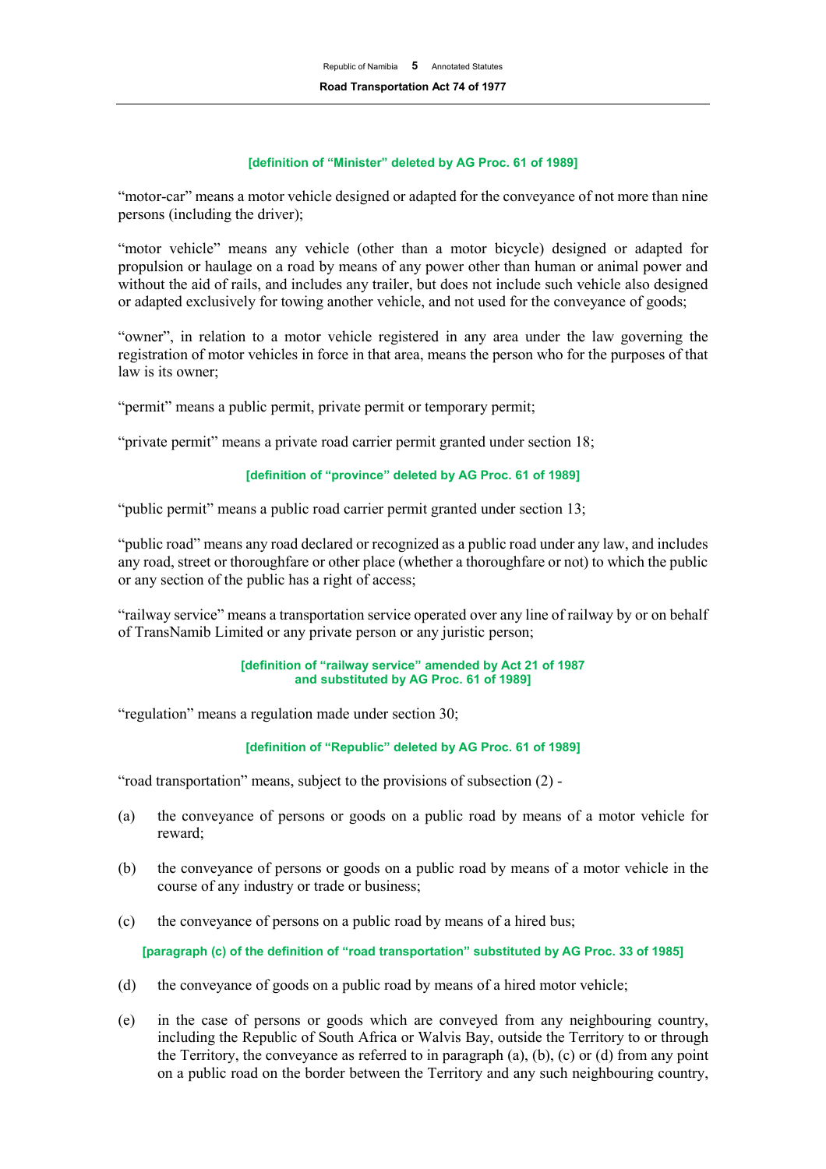## **[definition of "Minister" deleted by AG Proc. 61 of 1989]**

"motor-car" means a motor vehicle designed or adapted for the conveyance of not more than nine persons (including the driver);

"motor vehicle" means any vehicle (other than a motor bicycle) designed or adapted for propulsion or haulage on a road by means of any power other than human or animal power and without the aid of rails, and includes any trailer, but does not include such vehicle also designed or adapted exclusively for towing another vehicle, and not used for the conveyance of goods;

"owner", in relation to a motor vehicle registered in any area under the law governing the registration of motor vehicles in force in that area, means the person who for the purposes of that law is its owner;

"permit" means a public permit, private permit or temporary permit;

"private permit" means a private road carrier permit granted under section 18;

## **[definition of "province" deleted by AG Proc. 61 of 1989]**

"public permit" means a public road carrier permit granted under section 13;

"public road" means any road declared or recognized as a public road under any law, and includes any road, street or thoroughfare or other place (whether a thoroughfare or not) to which the public or any section of the public has a right of access;

"railway service" means a transportation service operated over any line of railway by or on behalf of TransNamib Limited or any private person or any juristic person;

#### **[definition of "railway service" amended by Act 21 of 1987 and substituted by AG Proc. 61 of 1989]**

"regulation" means a regulation made under section 30;

**[definition of "Republic" deleted by AG Proc. 61 of 1989]**

"road transportation" means, subject to the provisions of subsection (2) -

- (a) the conveyance of persons or goods on a public road by means of a motor vehicle for reward;
- (b) the conveyance of persons or goods on a public road by means of a motor vehicle in the course of any industry or trade or business;
- (c) the conveyance of persons on a public road by means of a hired bus;

**[paragraph (c) of the definition of "road transportation" substituted by AG Proc. 33 of 1985]**

- (d) the conveyance of goods on a public road by means of a hired motor vehicle;
- (e) in the case of persons or goods which are conveyed from any neighbouring country, including the Republic of South Africa or Walvis Bay, outside the Territory to or through the Territory, the conveyance as referred to in paragraph  $(a)$ ,  $(b)$ ,  $(c)$  or  $(d)$  from any point on a public road on the border between the Territory and any such neighbouring country,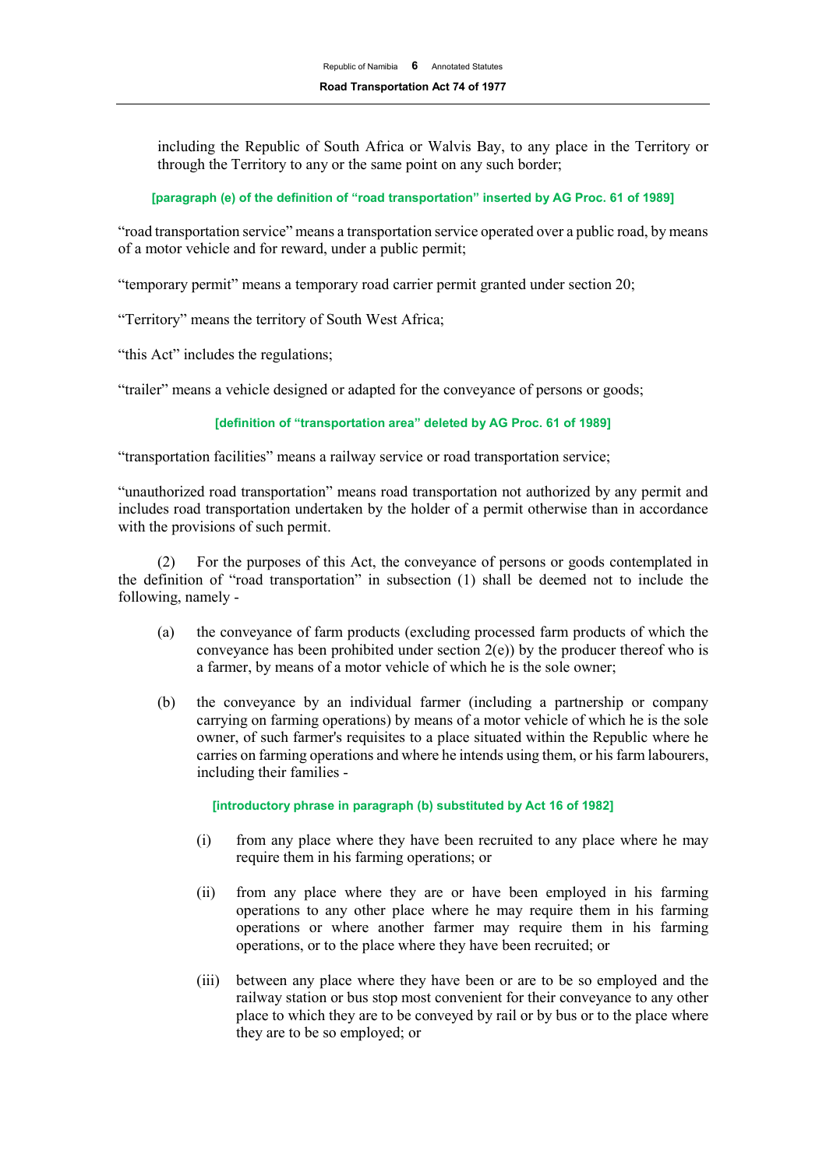including the Republic of South Africa or Walvis Bay, to any place in the Territory or through the Territory to any or the same point on any such border;

#### **[paragraph (e) of the definition of "road transportation" inserted by AG Proc. 61 of 1989]**

"road transportation service" means a transportation service operated over a public road, by means of a motor vehicle and for reward, under a public permit;

"temporary permit" means a temporary road carrier permit granted under section 20;

"Territory" means the territory of South West Africa;

"this Act" includes the regulations;

"trailer" means a vehicle designed or adapted for the conveyance of persons or goods;

## **[definition of "transportation area" deleted by AG Proc. 61 of 1989]**

"transportation facilities" means a railway service or road transportation service;

"unauthorized road transportation" means road transportation not authorized by any permit and includes road transportation undertaken by the holder of a permit otherwise than in accordance with the provisions of such permit.

(2) For the purposes of this Act, the conveyance of persons or goods contemplated in the definition of "road transportation" in subsection (1) shall be deemed not to include the following, namely -

- (a) the conveyance of farm products (excluding processed farm products of which the conveyance has been prohibited under section  $2(e)$ ) by the producer thereof who is a farmer, by means of a motor vehicle of which he is the sole owner;
- (b) the conveyance by an individual farmer (including a partnership or company carrying on farming operations) by means of a motor vehicle of which he is the sole owner, of such farmer's requisites to a place situated within the Republic where he carries on farming operations and where he intends using them, or his farm labourers, including their families -

**[introductory phrase in paragraph (b) substituted by Act 16 of 1982]**

- (i) from any place where they have been recruited to any place where he may require them in his farming operations; or
- (ii) from any place where they are or have been employed in his farming operations to any other place where he may require them in his farming operations or where another farmer may require them in his farming operations, or to the place where they have been recruited; or
- (iii) between any place where they have been or are to be so employed and the railway station or bus stop most convenient for their conveyance to any other place to which they are to be conveyed by rail or by bus or to the place where they are to be so employed; or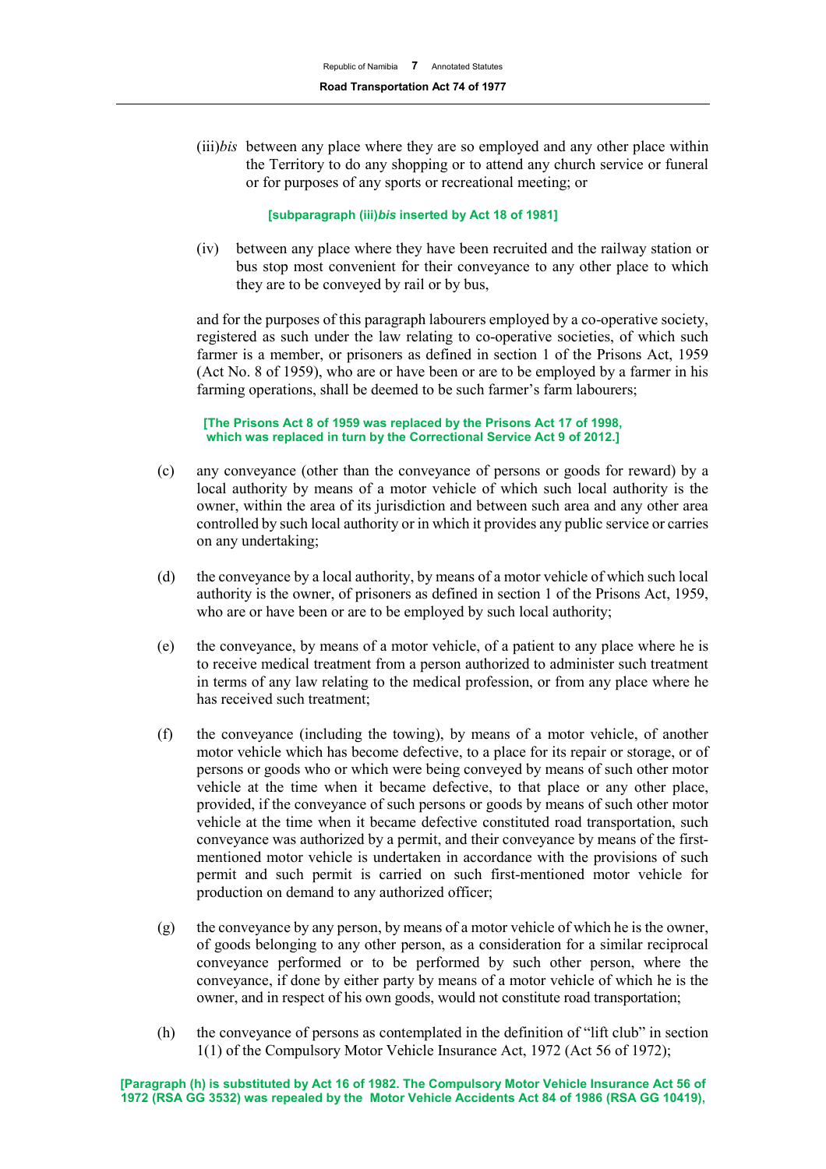(iii)*bis* between any place where they are so employed and any other place within the Territory to do any shopping or to attend any church service or funeral or for purposes of any sports or recreational meeting; or

#### **[subparagraph (iii)***bis* **inserted by Act 18 of 1981]**

(iv) between any place where they have been recruited and the railway station or bus stop most convenient for their conveyance to any other place to which they are to be conveyed by rail or by bus,

and for the purposes of this paragraph labourers employed by a co-operative society, registered as such under the law relating to co-operative societies, of which such farmer is a member, or prisoners as defined in section 1 of the Prisons Act, 1959 (Act No. 8 of 1959), who are or have been or are to be employed by a farmer in his farming operations, shall be deemed to be such farmer's farm labourers;

#### **[The Prisons Act 8 of 1959 was replaced by the Prisons Act 17 of 1998, which was replaced in turn by the Correctional Service Act 9 of 2012.]**

- (c) any conveyance (other than the conveyance of persons or goods for reward) by a local authority by means of a motor vehicle of which such local authority is the owner, within the area of its jurisdiction and between such area and any other area controlled by such local authority or in which it provides any public service or carries on any undertaking;
- (d) the conveyance by a local authority, by means of a motor vehicle of which such local authority is the owner, of prisoners as defined in section 1 of the Prisons Act, 1959, who are or have been or are to be employed by such local authority;
- (e) the conveyance, by means of a motor vehicle, of a patient to any place where he is to receive medical treatment from a person authorized to administer such treatment in terms of any law relating to the medical profession, or from any place where he has received such treatment;
- (f) the conveyance (including the towing), by means of a motor vehicle, of another motor vehicle which has become defective, to a place for its repair or storage, or of persons or goods who or which were being conveyed by means of such other motor vehicle at the time when it became defective, to that place or any other place, provided, if the conveyance of such persons or goods by means of such other motor vehicle at the time when it became defective constituted road transportation, such conveyance was authorized by a permit, and their conveyance by means of the firstmentioned motor vehicle is undertaken in accordance with the provisions of such permit and such permit is carried on such first-mentioned motor vehicle for production on demand to any authorized officer;
- (g) the conveyance by any person, by means of a motor vehicle of which he is the owner, of goods belonging to any other person, as a consideration for a similar reciprocal conveyance performed or to be performed by such other person, where the conveyance, if done by either party by means of a motor vehicle of which he is the owner, and in respect of his own goods, would not constitute road transportation;
- (h) the conveyance of persons as contemplated in the definition of "lift club" in section 1(1) of the Compulsory Motor Vehicle Insurance Act, 1972 (Act 56 of 1972);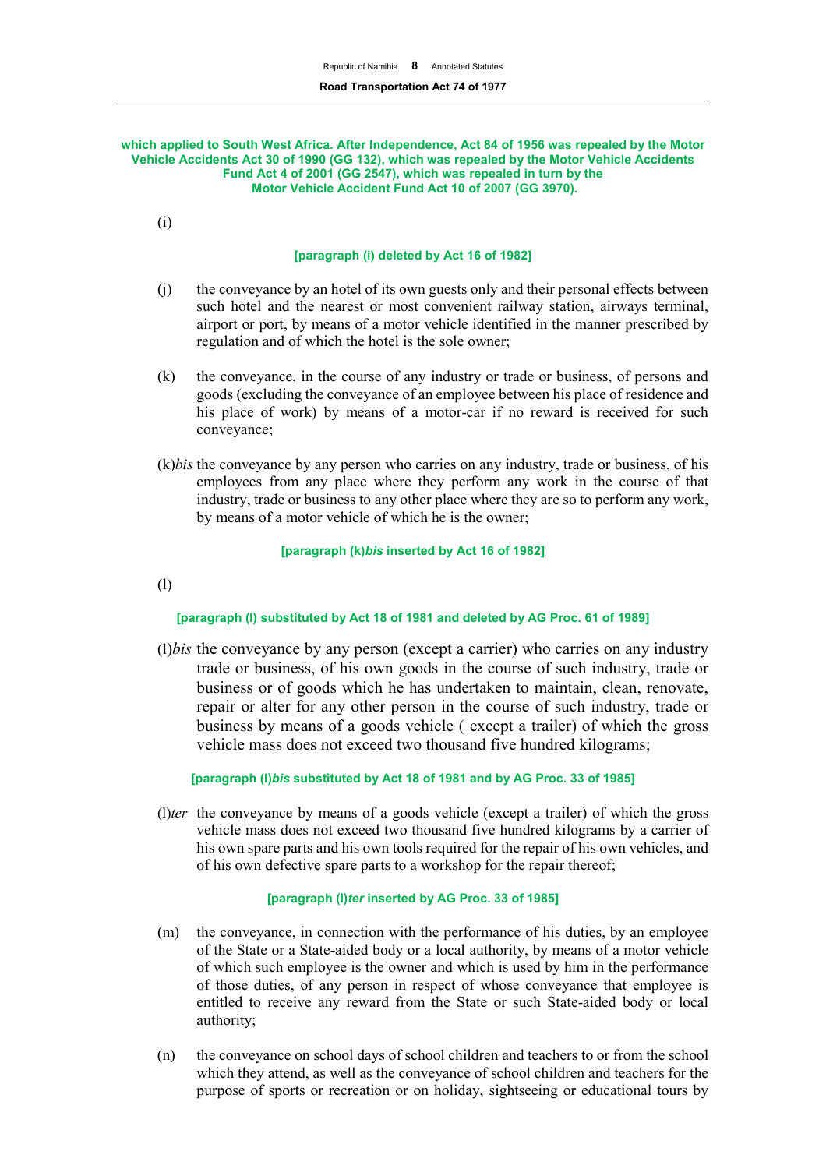#### **which applied to South West Africa. After Independence, Act 84 of 1956 was repealed by the Motor Vehicle Accidents Act 30 of 1990 (GG 132), which was repealed by the Motor Vehicle Accidents Fund Act 4 of 2001 (GG 2547), which was repealed in turn by the Motor Vehicle Accident Fund Act 10 of 2007 (GG 3970).**

(i)

## **[paragraph (i) deleted by Act 16 of 1982]**

- (j) the conveyance by an hotel of its own guests only and their personal effects between such hotel and the nearest or most convenient railway station, airways terminal, airport or port, by means of a motor vehicle identified in the manner prescribed by regulation and of which the hotel is the sole owner;
- (k) the conveyance, in the course of any industry or trade or business, of persons and goods (excluding the conveyance of an employee between his place of residence and his place of work) by means of a motor-car if no reward is received for such conveyance;
- (k)*bis* the conveyance by any person who carries on any industry, trade or business, of his employees from any place where they perform any work in the course of that industry, trade or business to any other place where they are so to perform any work, by means of a motor vehicle of which he is the owner;

## **[paragraph (k)***bis* **inserted by Act 16 of 1982]**

(l)

# **[paragraph (l) substituted by Act 18 of 1981 and deleted by AG Proc. 61 of 1989]**

(l)*bis* the conveyance by any person (except a carrier) who carries on any industry trade or business, of his own goods in the course of such industry, trade or business or of goods which he has undertaken to maintain, clean, renovate, repair or alter for any other person in the course of such industry, trade or business by means of a goods vehicle ( except a trailer) of which the gross vehicle mass does not exceed two thousand five hundred kilograms;

**[paragraph (l)***bis* **substituted by Act 18 of 1981 and by AG Proc. 33 of 1985]**

(l)*ter* the conveyance by means of a goods vehicle (except a trailer) of which the gross vehicle mass does not exceed two thousand five hundred kilograms by a carrier of his own spare parts and his own tools required for the repair of his own vehicles, and of his own defective spare parts to a workshop for the repair thereof;

#### **[paragraph (l)***ter* **inserted by AG Proc. 33 of 1985]**

- (m) the conveyance, in connection with the performance of his duties, by an employee of the State or a State-aided body or a local authority, by means of a motor vehicle of which such employee is the owner and which is used by him in the performance of those duties, of any person in respect of whose conveyance that employee is entitled to receive any reward from the State or such State-aided body or local authority;
- (n) the conveyance on school days of school children and teachers to or from the school which they attend, as well as the conveyance of school children and teachers for the purpose of sports or recreation or on holiday, sightseeing or educational tours by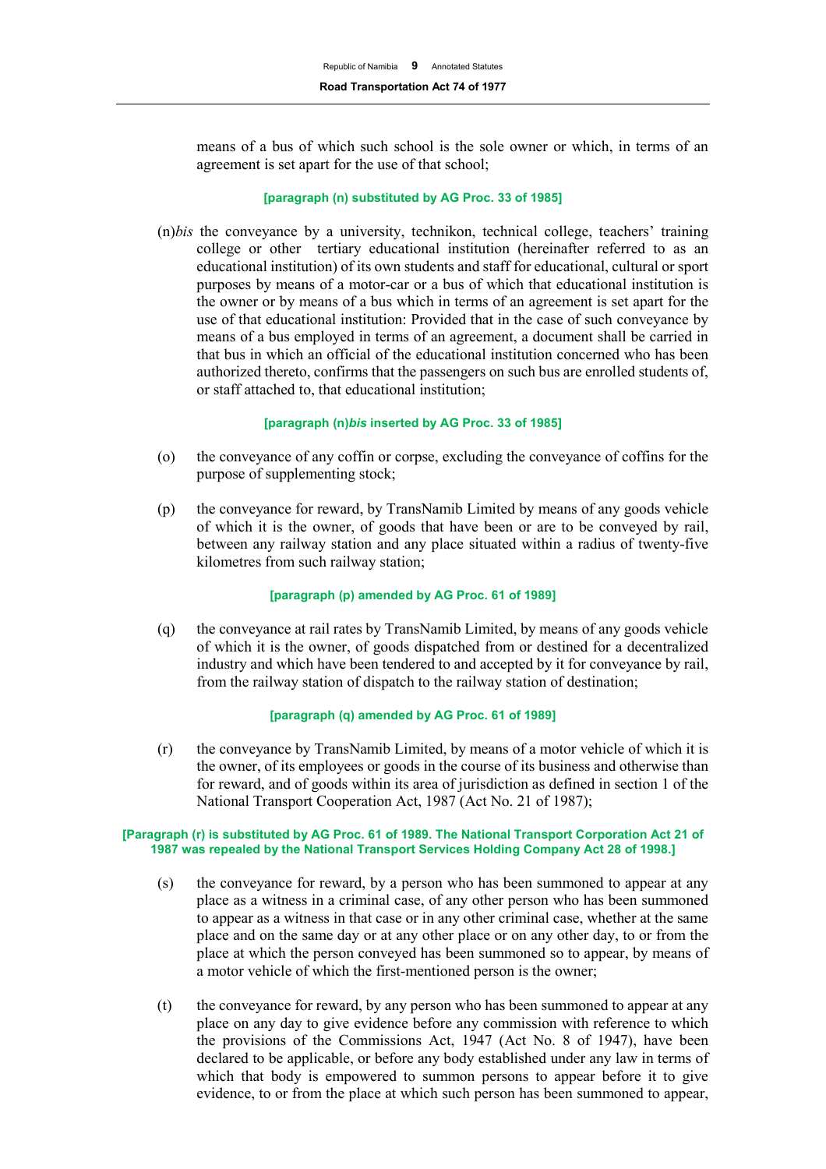means of a bus of which such school is the sole owner or which, in terms of an agreement is set apart for the use of that school;

#### **[paragraph (n) substituted by AG Proc. 33 of 1985]**

(n)*bis* the conveyance by a university, technikon, technical college, teachers' training college or other tertiary educational institution (hereinafter referred to as an educational institution) of its own students and staff for educational, cultural or sport purposes by means of a motor-car or a bus of which that educational institution is the owner or by means of a bus which in terms of an agreement is set apart for the use of that educational institution: Provided that in the case of such conveyance by means of a bus employed in terms of an agreement, a document shall be carried in that bus in which an official of the educational institution concerned who has been authorized thereto, confirms that the passengers on such bus are enrolled students of, or staff attached to, that educational institution;

#### **[paragraph (n)***bis* **inserted by AG Proc. 33 of 1985]**

- (o) the conveyance of any coffin or corpse, excluding the conveyance of coffins for the purpose of supplementing stock;
- (p) the conveyance for reward, by TransNamib Limited by means of any goods vehicle of which it is the owner, of goods that have been or are to be conveyed by rail, between any railway station and any place situated within a radius of twenty-five kilometres from such railway station;

#### **[paragraph (p) amended by AG Proc. 61 of 1989]**

(q) the conveyance at rail rates by TransNamib Limited, by means of any goods vehicle of which it is the owner, of goods dispatched from or destined for a decentralized industry and which have been tendered to and accepted by it for conveyance by rail, from the railway station of dispatch to the railway station of destination;

#### **[paragraph (q) amended by AG Proc. 61 of 1989]**

(r) the conveyance by TransNamib Limited, by means of a motor vehicle of which it is the owner, of its employees or goods in the course of its business and otherwise than for reward, and of goods within its area of jurisdiction as defined in section 1 of the National Transport Cooperation Act, 1987 (Act No. 21 of 1987);

#### **[Paragraph (r) is substituted by AG Proc. 61 of 1989. The National Transport Corporation Act 21 of 1987 was repealed by the National Transport Services Holding Company Act 28 of 1998.]**

- (s) the conveyance for reward, by a person who has been summoned to appear at any place as a witness in a criminal case, of any other person who has been summoned to appear as a witness in that case or in any other criminal case, whether at the same place and on the same day or at any other place or on any other day, to or from the place at which the person conveyed has been summoned so to appear, by means of a motor vehicle of which the first-mentioned person is the owner;
- (t) the conveyance for reward, by any person who has been summoned to appear at any place on any day to give evidence before any commission with reference to which the provisions of the Commissions Act, 1947 (Act No. 8 of 1947), have been declared to be applicable, or before any body established under any law in terms of which that body is empowered to summon persons to appear before it to give evidence, to or from the place at which such person has been summoned to appear,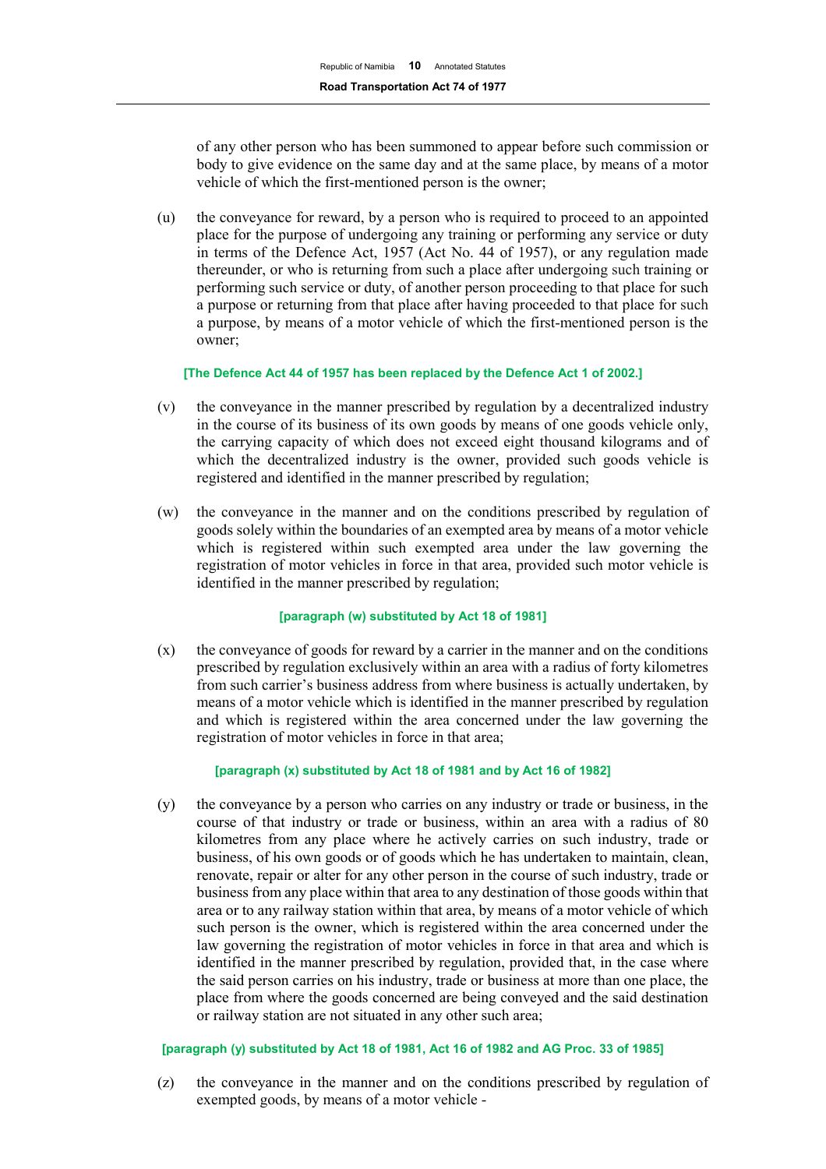of any other person who has been summoned to appear before such commission or body to give evidence on the same day and at the same place, by means of a motor vehicle of which the first-mentioned person is the owner;

(u) the conveyance for reward, by a person who is required to proceed to an appointed place for the purpose of undergoing any training or performing any service or duty in terms of the Defence Act, 1957 (Act No. 44 of 1957), or any regulation made thereunder, or who is returning from such a place after undergoing such training or performing such service or duty, of another person proceeding to that place for such a purpose or returning from that place after having proceeded to that place for such a purpose, by means of a motor vehicle of which the first-mentioned person is the owner;

#### **[The Defence Act 44 of 1957 has been replaced by the Defence Act 1 of 2002.]**

- (v) the conveyance in the manner prescribed by regulation by a decentralized industry in the course of its business of its own goods by means of one goods vehicle only, the carrying capacity of which does not exceed eight thousand kilograms and of which the decentralized industry is the owner, provided such goods vehicle is registered and identified in the manner prescribed by regulation;
- (w) the conveyance in the manner and on the conditions prescribed by regulation of goods solely within the boundaries of an exempted area by means of a motor vehicle which is registered within such exempted area under the law governing the registration of motor vehicles in force in that area, provided such motor vehicle is identified in the manner prescribed by regulation;

#### **[paragraph (w) substituted by Act 18 of 1981]**

(x) the conveyance of goods for reward by a carrier in the manner and on the conditions prescribed by regulation exclusively within an area with a radius of forty kilometres from such carrier's business address from where business is actually undertaken, by means of a motor vehicle which is identified in the manner prescribed by regulation and which is registered within the area concerned under the law governing the registration of motor vehicles in force in that area;

## **[paragraph (x) substituted by Act 18 of 1981 and by Act 16 of 1982]**

(y) the conveyance by a person who carries on any industry or trade or business, in the course of that industry or trade or business, within an area with a radius of 80 kilometres from any place where he actively carries on such industry, trade or business, of his own goods or of goods which he has undertaken to maintain, clean, renovate, repair or alter for any other person in the course of such industry, trade or business from any place within that area to any destination of those goods within that area or to any railway station within that area, by means of a motor vehicle of which such person is the owner, which is registered within the area concerned under the law governing the registration of motor vehicles in force in that area and which is identified in the manner prescribed by regulation, provided that, in the case where the said person carries on his industry, trade or business at more than one place, the place from where the goods concerned are being conveyed and the said destination or railway station are not situated in any other such area;

#### **[paragraph (y) substituted by Act 18 of 1981, Act 16 of 1982 and AG Proc. 33 of 1985]**

(z) the conveyance in the manner and on the conditions prescribed by regulation of exempted goods, by means of a motor vehicle -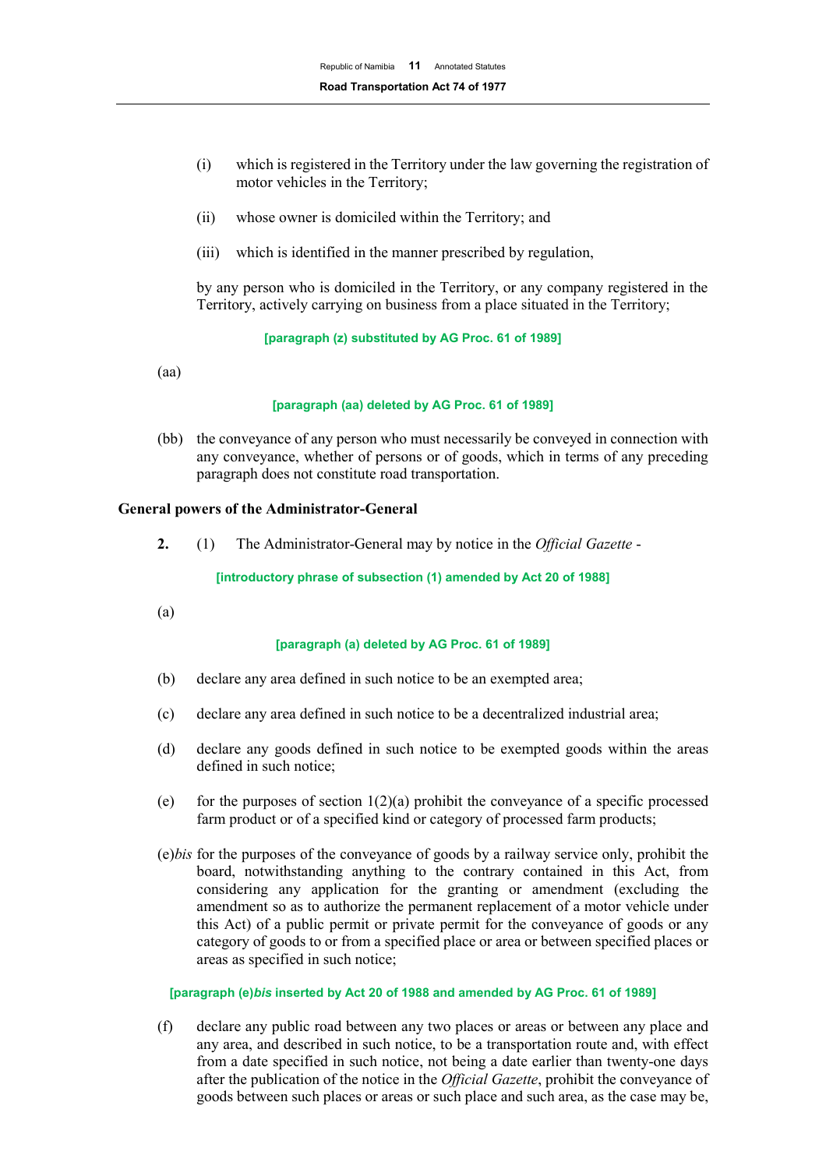- (i) which is registered in the Territory under the law governing the registration of motor vehicles in the Territory;
- (ii) whose owner is domiciled within the Territory; and
- (iii) which is identified in the manner prescribed by regulation,

by any person who is domiciled in the Territory, or any company registered in the Territory, actively carrying on business from a place situated in the Territory;

#### **[paragraph (z) substituted by AG Proc. 61 of 1989]**

(aa)

#### **[paragraph (aa) deleted by AG Proc. 61 of 1989]**

(bb) the conveyance of any person who must necessarily be conveyed in connection with any conveyance, whether of persons or of goods, which in terms of any preceding paragraph does not constitute road transportation.

#### **General powers of the Administrator-General**

**2.** (1) The Administrator-General may by notice in the *Official Gazette* -

**[introductory phrase of subsection (1) amended by Act 20 of 1988]**

(a)

#### **[paragraph (a) deleted by AG Proc. 61 of 1989]**

- (b) declare any area defined in such notice to be an exempted area;
- (c) declare any area defined in such notice to be a decentralized industrial area;
- (d) declare any goods defined in such notice to be exempted goods within the areas defined in such notice;
- (e) for the purposes of section  $1(2)(a)$  prohibit the conveyance of a specific processed farm product or of a specified kind or category of processed farm products;
- (e)*bis* for the purposes of the conveyance of goods by a railway service only, prohibit the board, notwithstanding anything to the contrary contained in this Act, from considering any application for the granting or amendment (excluding the amendment so as to authorize the permanent replacement of a motor vehicle under this Act) of a public permit or private permit for the conveyance of goods or any category of goods to or from a specified place or area or between specified places or areas as specified in such notice;

#### **[paragraph (e)***bis* **inserted by Act 20 of 1988 and amended by AG Proc. 61 of 1989]**

(f) declare any public road between any two places or areas or between any place and any area, and described in such notice, to be a transportation route and, with effect from a date specified in such notice, not being a date earlier than twenty-one days after the publication of the notice in the *Official Gazette*, prohibit the conveyance of goods between such places or areas or such place and such area, as the case may be,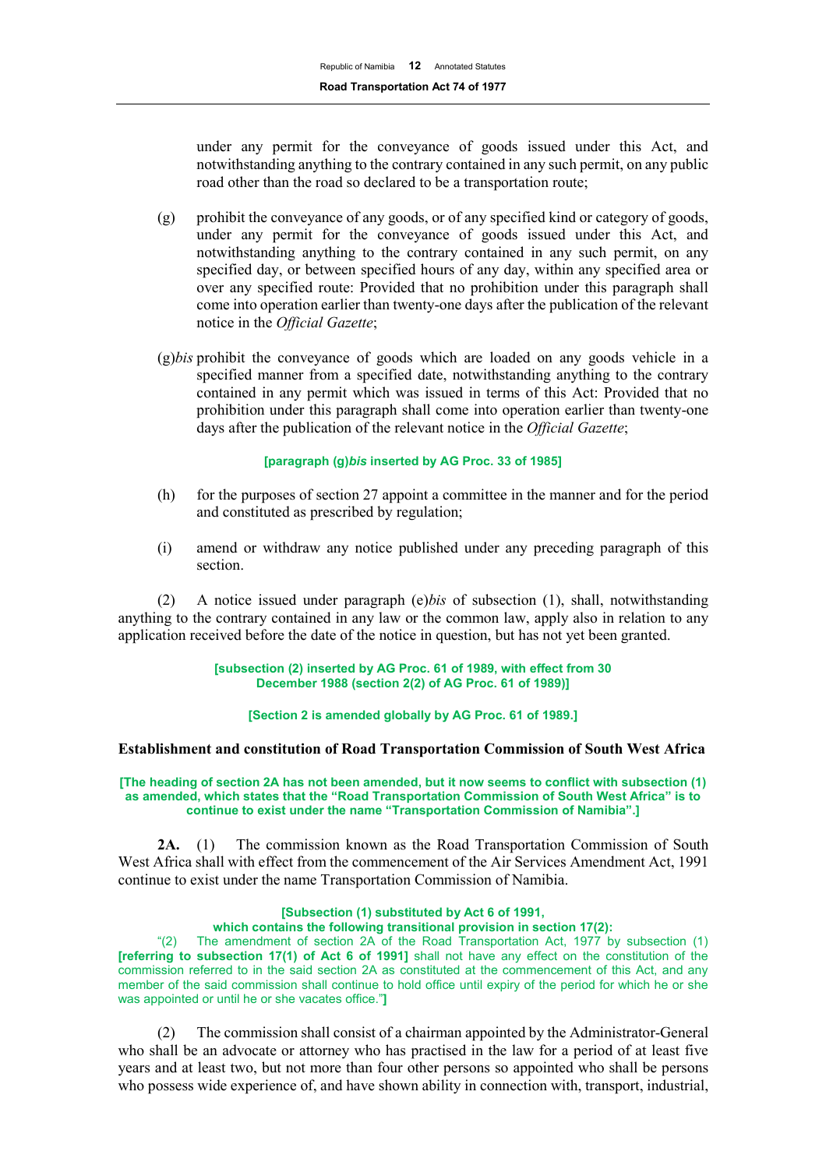under any permit for the conveyance of goods issued under this Act, and notwithstanding anything to the contrary contained in any such permit, on any public road other than the road so declared to be a transportation route;

- (g) prohibit the conveyance of any goods, or of any specified kind or category of goods, under any permit for the conveyance of goods issued under this Act, and notwithstanding anything to the contrary contained in any such permit, on any specified day, or between specified hours of any day, within any specified area or over any specified route: Provided that no prohibition under this paragraph shall come into operation earlier than twenty-one days after the publication of the relevant notice in the *Official Gazette*;
- (g)*bis* prohibit the conveyance of goods which are loaded on any goods vehicle in a specified manner from a specified date, notwithstanding anything to the contrary contained in any permit which was issued in terms of this Act: Provided that no prohibition under this paragraph shall come into operation earlier than twenty-one days after the publication of the relevant notice in the *Official Gazette*;

#### **[paragraph (g)***bis* **inserted by AG Proc. 33 of 1985]**

- (h) for the purposes of section 27 appoint a committee in the manner and for the period and constituted as prescribed by regulation;
- (i) amend or withdraw any notice published under any preceding paragraph of this section.

(2) A notice issued under paragraph (e)*bis* of subsection (1), shall, notwithstanding anything to the contrary contained in any law or the common law, apply also in relation to any application received before the date of the notice in question, but has not yet been granted.

> **[subsection (2) inserted by AG Proc. 61 of 1989, with effect from 30 December 1988 (section 2(2) of AG Proc. 61 of 1989)]**

**[Section 2 is amended globally by AG Proc. 61 of 1989.]**

#### **Establishment and constitution of Road Transportation Commission of South West Africa**

#### **[The heading of section 2A has not been amended, but it now seems to conflict with subsection (1) as amended, which states that the "Road Transportation Commission of South West Africa" is to continue to exist under the name "Transportation Commission of Namibia".]**

**2A.** (1) The commission known as the Road Transportation Commission of South West Africa shall with effect from the commencement of the Air Services Amendment Act, 1991 continue to exist under the name Transportation Commission of Namibia.

# **[Subsection (1) substituted by Act 6 of 1991,**

**which contains the following transitional provision in section 17(2):**

The amendment of section  $2A$  of the Road Transportation Act, 1977 by subsection (1) **[referring to subsection 17(1) of Act 6 of 1991]** shall not have any effect on the constitution of the commission referred to in the said section 2A as constituted at the commencement of this Act, and any member of the said commission shall continue to hold office until expiry of the period for which he or she was appointed or until he or she vacates office."**]**

(2) The commission shall consist of a chairman appointed by the Administrator-General who shall be an advocate or attorney who has practised in the law for a period of at least five years and at least two, but not more than four other persons so appointed who shall be persons who possess wide experience of, and have shown ability in connection with, transport, industrial,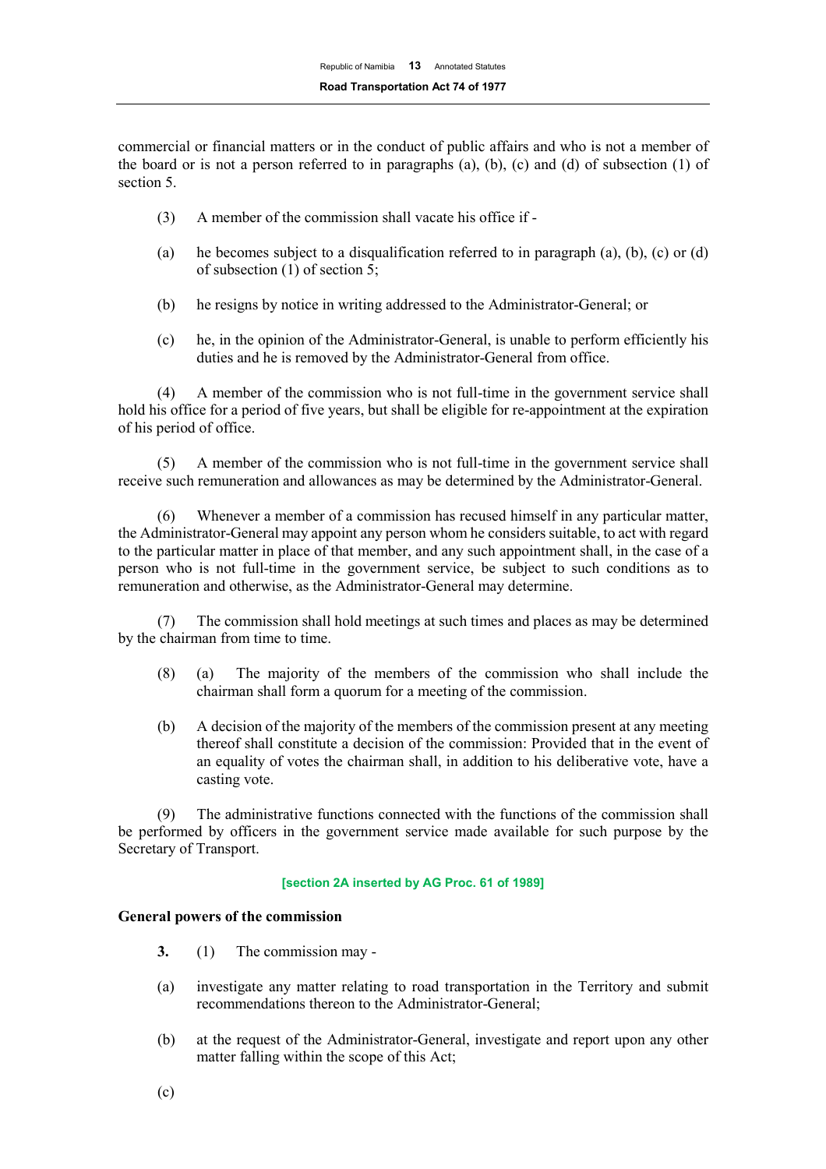commercial or financial matters or in the conduct of public affairs and who is not a member of the board or is not a person referred to in paragraphs  $(a)$ ,  $(b)$ ,  $(c)$  and  $(d)$  of subsection  $(1)$  of section 5.

- (3) A member of the commission shall vacate his office if -
- (a) he becomes subject to a disqualification referred to in paragraph (a), (b), (c) or (d) of subsection (1) of section 5;
- (b) he resigns by notice in writing addressed to the Administrator-General; or
- (c) he, in the opinion of the Administrator-General, is unable to perform efficiently his duties and he is removed by the Administrator-General from office.

(4) A member of the commission who is not full-time in the government service shall hold his office for a period of five years, but shall be eligible for re-appointment at the expiration of his period of office.

(5) A member of the commission who is not full-time in the government service shall receive such remuneration and allowances as may be determined by the Administrator-General.

(6) Whenever a member of a commission has recused himself in any particular matter, the Administrator-General may appoint any person whom he considers suitable, to act with regard to the particular matter in place of that member, and any such appointment shall, in the case of a person who is not full-time in the government service, be subject to such conditions as to remuneration and otherwise, as the Administrator-General may determine.

(7) The commission shall hold meetings at such times and places as may be determined by the chairman from time to time.

- (8) (a) The majority of the members of the commission who shall include the chairman shall form a quorum for a meeting of the commission.
- (b) A decision of the majority of the members of the commission present at any meeting thereof shall constitute a decision of the commission: Provided that in the event of an equality of votes the chairman shall, in addition to his deliberative vote, have a casting vote.

(9) The administrative functions connected with the functions of the commission shall be performed by officers in the government service made available for such purpose by the Secretary of Transport.

# **[section 2A inserted by AG Proc. 61 of 1989]**

# **General powers of the commission**

- **3.** (1) The commission may -
- (a) investigate any matter relating to road transportation in the Territory and submit recommendations thereon to the Administrator-General;
- (b) at the request of the Administrator-General, investigate and report upon any other matter falling within the scope of this Act;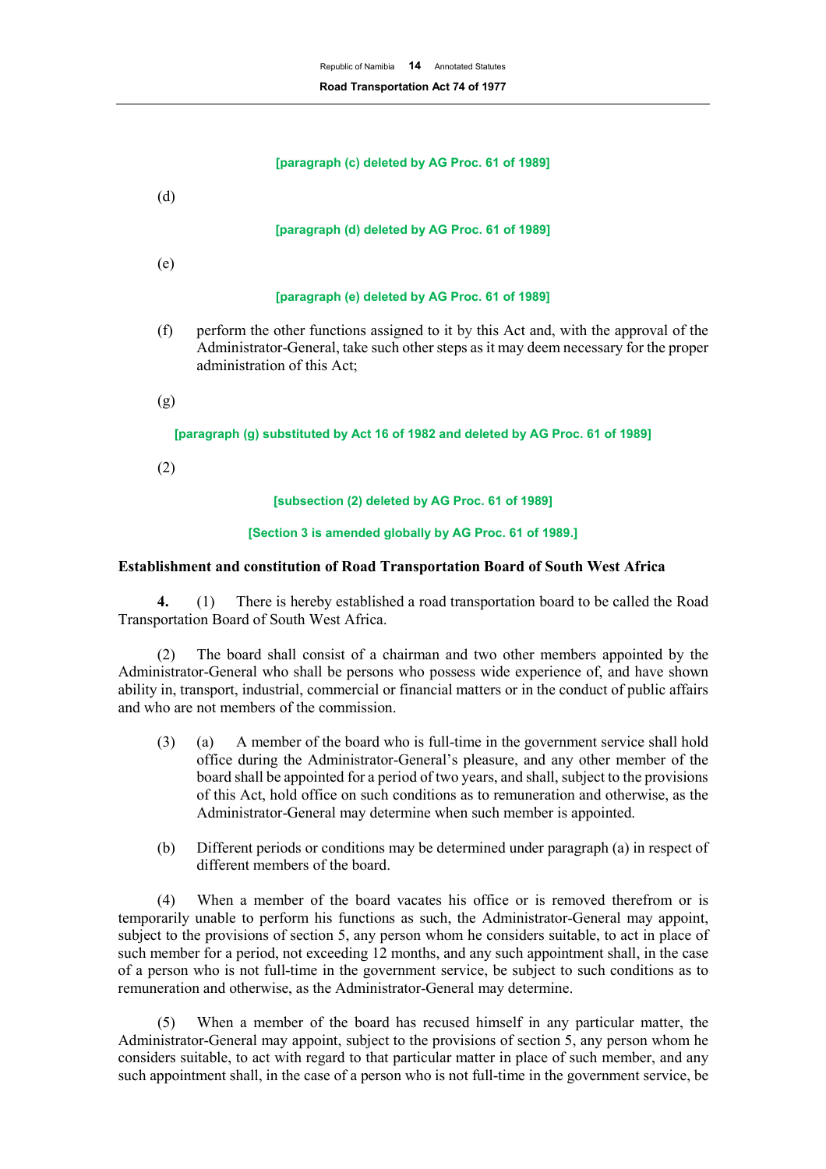#### **[paragraph (c) deleted by AG Proc. 61 of 1989]**

(d)

#### **[paragraph (d) deleted by AG Proc. 61 of 1989]**

(e)

#### **[paragraph (e) deleted by AG Proc. 61 of 1989]**

- (f) perform the other functions assigned to it by this Act and, with the approval of the Administrator-General, take such other steps as it may deem necessary for the proper administration of this Act;
- (g)

#### **[paragraph (g) substituted by Act 16 of 1982 and deleted by AG Proc. 61 of 1989]**

(2)

#### **[subsection (2) deleted by AG Proc. 61 of 1989]**

#### **[Section 3 is amended globally by AG Proc. 61 of 1989.]**

#### **Establishment and constitution of Road Transportation Board of South West Africa**

**4.** (1) There is hereby established a road transportation board to be called the Road Transportation Board of South West Africa.

(2) The board shall consist of a chairman and two other members appointed by the Administrator-General who shall be persons who possess wide experience of, and have shown ability in, transport, industrial, commercial or financial matters or in the conduct of public affairs and who are not members of the commission.

- (3) (a) A member of the board who is full-time in the government service shall hold office during the Administrator-General's pleasure, and any other member of the board shall be appointed for a period of two years, and shall, subject to the provisions of this Act, hold office on such conditions as to remuneration and otherwise, as the Administrator-General may determine when such member is appointed.
- (b) Different periods or conditions may be determined under paragraph (a) in respect of different members of the board.

(4) When a member of the board vacates his office or is removed therefrom or is temporarily unable to perform his functions as such, the Administrator-General may appoint, subject to the provisions of section 5, any person whom he considers suitable, to act in place of such member for a period, not exceeding 12 months, and any such appointment shall, in the case of a person who is not full-time in the government service, be subject to such conditions as to remuneration and otherwise, as the Administrator-General may determine.

When a member of the board has recused himself in any particular matter, the Administrator-General may appoint, subject to the provisions of section 5, any person whom he considers suitable, to act with regard to that particular matter in place of such member, and any such appointment shall, in the case of a person who is not full-time in the government service, be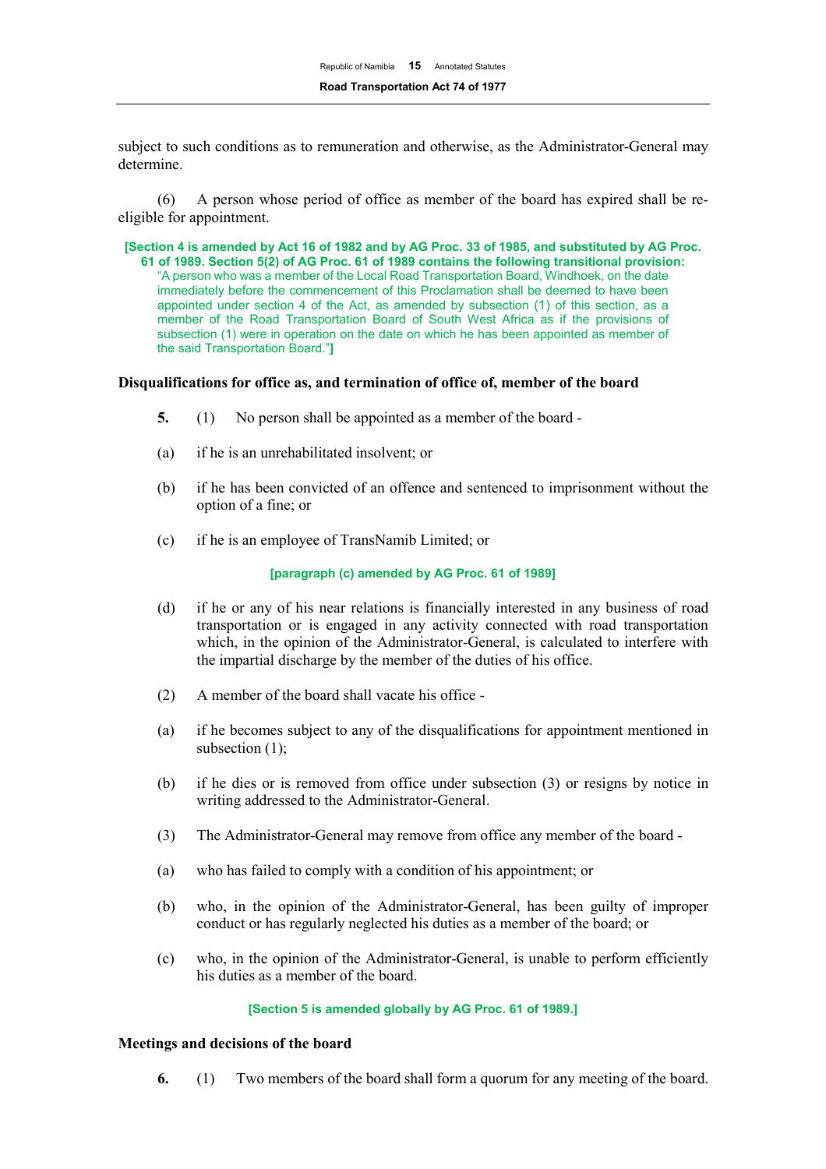subject to such conditions as to remuneration and otherwise, as the Administrator-General may determine.

(6) A person whose period of office as member of the board has expired shall be reeligible for appointment.

**[Section 4 is amended by Act 16 of 1982 and by AG Proc. 33 of 1985, and substituted by AG Proc. 61 of 1989. Section 5(2) of AG Proc. 61 of 1989 contains the following transitional provision:**  "A person who was a member of the Local Road Transportation Board, Windhoek, on the date immediately before the commencement of this Proclamation shall be deemed to have been appointed under section 4 of the Act, as amended by subsection (1) of this section, as a member of the Road Transportation Board of South West Africa as if the provisions of subsection (1) were in operation on the date on which he has been appointed as member of the said Transportation Board."**]**

#### **Disqualifications for office as, and termination of office of, member of the board**

- **5.** (1) No person shall be appointed as a member of the board -
- (a) if he is an unrehabilitated insolvent; or
- (b) if he has been convicted of an offence and sentenced to imprisonment without the option of a fine; or
- (c) if he is an employee of TransNamib Limited; or

## **[paragraph (c) amended by AG Proc. 61 of 1989]**

- (d) if he or any of his near relations is financially interested in any business of road transportation or is engaged in any activity connected with road transportation which, in the opinion of the Administrator-General, is calculated to interfere with the impartial discharge by the member of the duties of his office.
- (2) A member of the board shall vacate his office -
- (a) if he becomes subject to any of the disqualifications for appointment mentioned in subsection (1);
- (b) if he dies or is removed from office under subsection (3) or resigns by notice in writing addressed to the Administrator-General.
- (3) The Administrator-General may remove from office any member of the board -
- (a) who has failed to comply with a condition of his appointment; or
- (b) who, in the opinion of the Administrator-General, has been guilty of improper conduct or has regularly neglected his duties as a member of the board; or
- (c) who, in the opinion of the Administrator-General, is unable to perform efficiently his duties as a member of the board.

#### **[Section 5 is amended globally by AG Proc. 61 of 1989.]**

#### **Meetings and decisions of the board**

**6.** (1) Two members of the board shall form a quorum for any meeting of the board.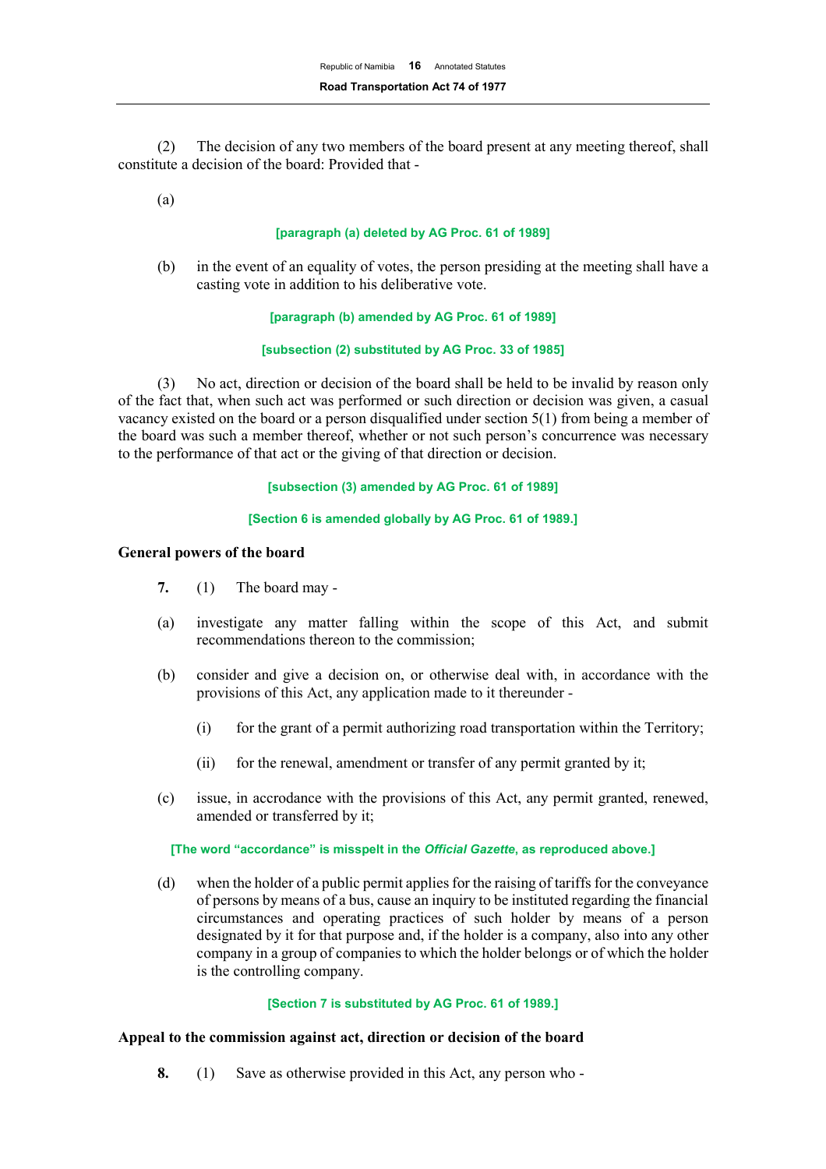(2) The decision of any two members of the board present at any meeting thereof, shall constitute a decision of the board: Provided that -

(a)

## **[paragraph (a) deleted by AG Proc. 61 of 1989]**

(b) in the event of an equality of votes, the person presiding at the meeting shall have a casting vote in addition to his deliberative vote.

#### **[paragraph (b) amended by AG Proc. 61 of 1989]**

## **[subsection (2) substituted by AG Proc. 33 of 1985]**

(3) No act, direction or decision of the board shall be held to be invalid by reason only of the fact that, when such act was performed or such direction or decision was given, a casual vacancy existed on the board or a person disqualified under section 5(1) from being a member of the board was such a member thereof, whether or not such person's concurrence was necessary to the performance of that act or the giving of that direction or decision.

#### **[subsection (3) amended by AG Proc. 61 of 1989]**

#### **[Section 6 is amended globally by AG Proc. 61 of 1989.]**

## **General powers of the board**

- **7.** (1) The board may -
- (a) investigate any matter falling within the scope of this Act, and submit recommendations thereon to the commission;
- (b) consider and give a decision on, or otherwise deal with, in accordance with the provisions of this Act, any application made to it thereunder -
	- (i) for the grant of a permit authorizing road transportation within the Territory;
	- (ii) for the renewal, amendment or transfer of any permit granted by it;
- (c) issue, in accrodance with the provisions of this Act, any permit granted, renewed, amended or transferred by it;

# **[The word "accordance" is misspelt in the** *Official Gazette***, as reproduced above.]**

(d) when the holder of a public permit applies for the raising of tariffs for the conveyance of persons by means of a bus, cause an inquiry to be instituted regarding the financial circumstances and operating practices of such holder by means of a person designated by it for that purpose and, if the holder is a company, also into any other company in a group of companies to which the holder belongs or of which the holder is the controlling company.

# **[Section 7 is substituted by AG Proc. 61 of 1989.]**

# **Appeal to the commission against act, direction or decision of the board**

**8.** (1) Save as otherwise provided in this Act, any person who -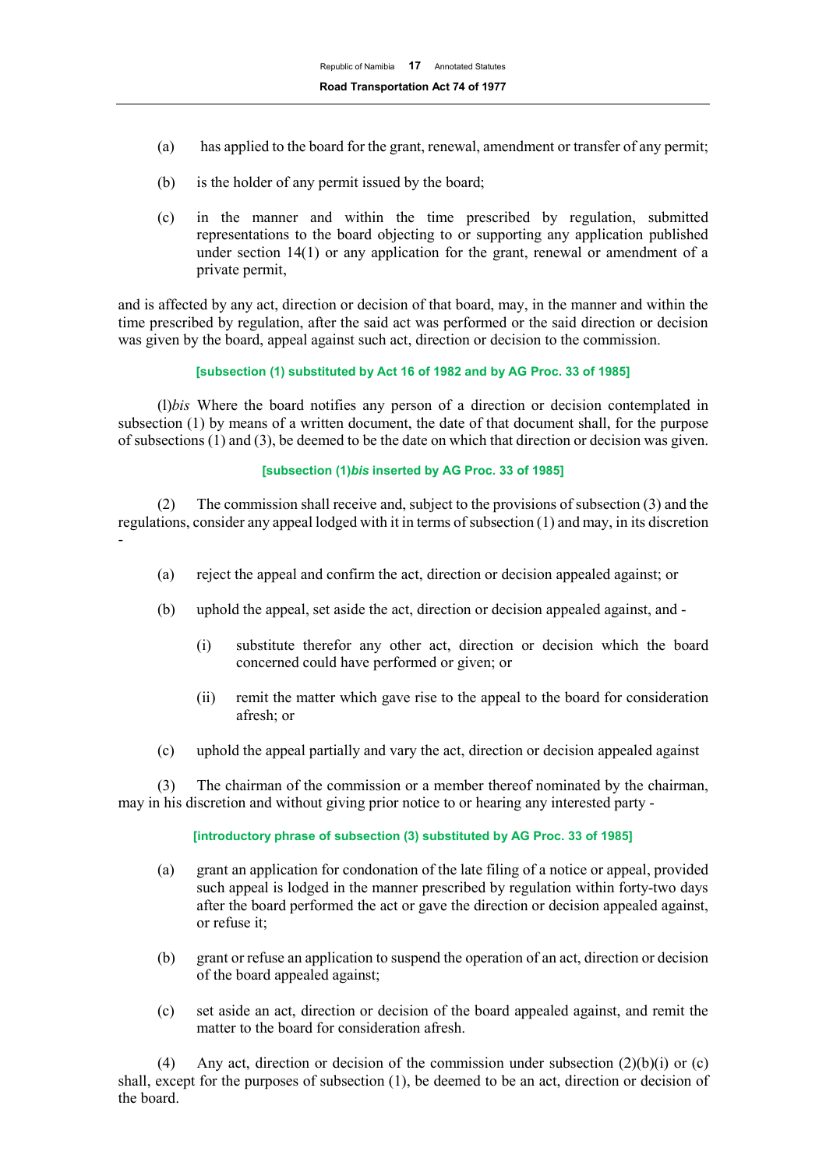- (a) has applied to the board for the grant, renewal, amendment or transfer of any permit;
- (b) is the holder of any permit issued by the board;
- (c) in the manner and within the time prescribed by regulation, submitted representations to the board objecting to or supporting any application published under section 14(1) or any application for the grant, renewal or amendment of a private permit,

and is affected by any act, direction or decision of that board, may, in the manner and within the time prescribed by regulation, after the said act was performed or the said direction or decision was given by the board, appeal against such act, direction or decision to the commission.

#### **[subsection (1) substituted by Act 16 of 1982 and by AG Proc. 33 of 1985]**

(l)*bis* Where the board notifies any person of a direction or decision contemplated in subsection (1) by means of a written document, the date of that document shall, for the purpose of subsections (1) and (3), be deemed to be the date on which that direction or decision was given.

#### **[subsection (1)***bis* **inserted by AG Proc. 33 of 1985]**

(2) The commission shall receive and, subject to the provisions of subsection (3) and the regulations, consider any appeal lodged with it in terms of subsection (1) and may, in its discretion -

- (a) reject the appeal and confirm the act, direction or decision appealed against; or
- (b) uphold the appeal, set aside the act, direction or decision appealed against, and
	- (i) substitute therefor any other act, direction or decision which the board concerned could have performed or given; or
	- (ii) remit the matter which gave rise to the appeal to the board for consideration afresh; or
- (c) uphold the appeal partially and vary the act, direction or decision appealed against

(3) The chairman of the commission or a member thereof nominated by the chairman, may in his discretion and without giving prior notice to or hearing any interested party -

#### **[introductory phrase of subsection (3) substituted by AG Proc. 33 of 1985]**

- (a) grant an application for condonation of the late filing of a notice or appeal, provided such appeal is lodged in the manner prescribed by regulation within forty-two days after the board performed the act or gave the direction or decision appealed against, or refuse it;
- (b) grant or refuse an application to suspend the operation of an act, direction or decision of the board appealed against;
- (c) set aside an act, direction or decision of the board appealed against, and remit the matter to the board for consideration afresh.

(4) Any act, direction or decision of the commission under subsection  $(2)(b)(i)$  or (c) shall, except for the purposes of subsection (1), be deemed to be an act, direction or decision of the board.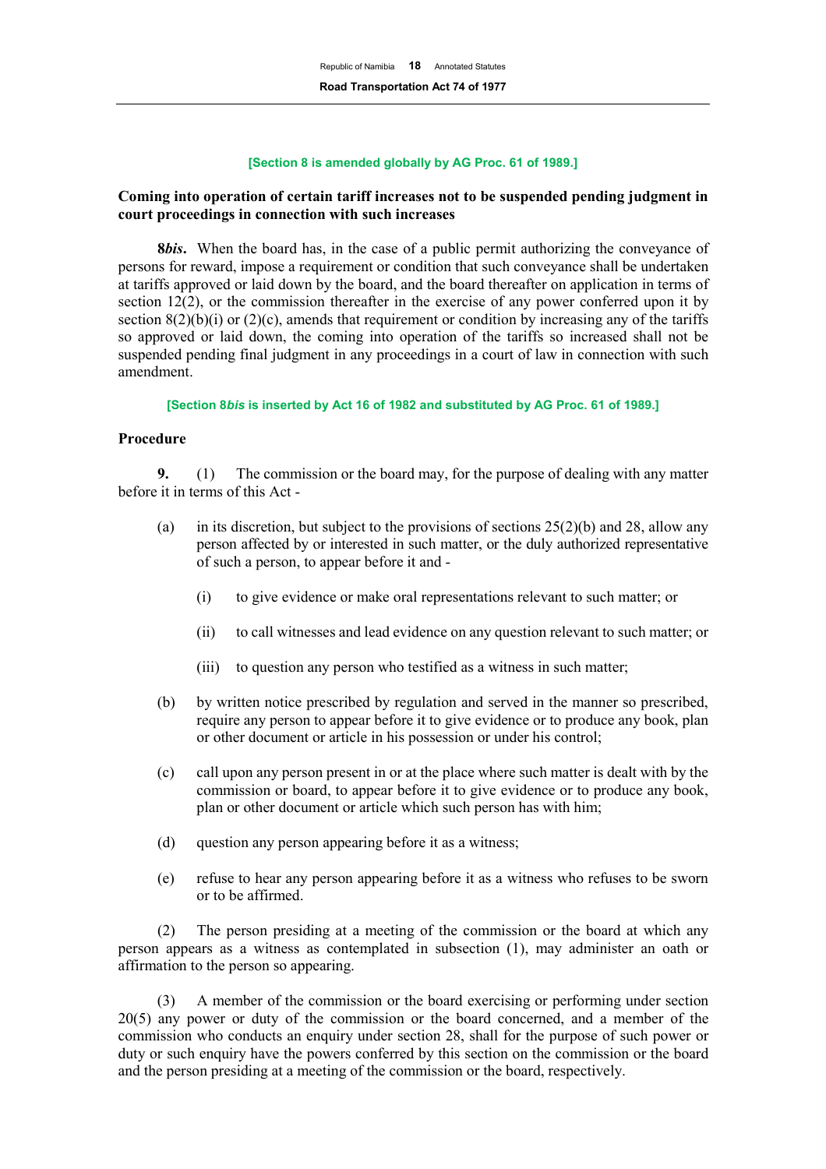#### **[Section 8 is amended globally by AG Proc. 61 of 1989.]**

# **Coming into operation of certain tariff increases not to be suspended pending judgment in court proceedings in connection with such increases**

**8***bis***.** When the board has, in the case of a public permit authorizing the conveyance of persons for reward, impose a requirement or condition that such conveyance shall be undertaken at tariffs approved or laid down by the board, and the board thereafter on application in terms of section  $12(2)$ , or the commission thereafter in the exercise of any power conferred upon it by section  $8(2)(b)(i)$  or  $(2)(c)$ , amends that requirement or condition by increasing any of the tariffs so approved or laid down, the coming into operation of the tariffs so increased shall not be suspended pending final judgment in any proceedings in a court of law in connection with such amendment.

#### **[Section 8***bis* **is inserted by Act 16 of 1982 and substituted by AG Proc. 61 of 1989.]**

#### **Procedure**

**9.** (1) The commission or the board may, for the purpose of dealing with any matter before it in terms of this Act -

- (a) in its discretion, but subject to the provisions of sections  $25(2)(b)$  and 28, allow any person affected by or interested in such matter, or the duly authorized representative of such a person, to appear before it and -
	- (i) to give evidence or make oral representations relevant to such matter; or
	- (ii) to call witnesses and lead evidence on any question relevant to such matter; or
	- (iii) to question any person who testified as a witness in such matter;
- (b) by written notice prescribed by regulation and served in the manner so prescribed, require any person to appear before it to give evidence or to produce any book, plan or other document or article in his possession or under his control;
- (c) call upon any person present in or at the place where such matter is dealt with by the commission or board, to appear before it to give evidence or to produce any book, plan or other document or article which such person has with him;
- (d) question any person appearing before it as a witness;
- (e) refuse to hear any person appearing before it as a witness who refuses to be sworn or to be affirmed.

(2) The person presiding at a meeting of the commission or the board at which any person appears as a witness as contemplated in subsection (1), may administer an oath or affirmation to the person so appearing.

(3) A member of the commission or the board exercising or performing under section 20(5) any power or duty of the commission or the board concerned, and a member of the commission who conducts an enquiry under section 28, shall for the purpose of such power or duty or such enquiry have the powers conferred by this section on the commission or the board and the person presiding at a meeting of the commission or the board, respectively.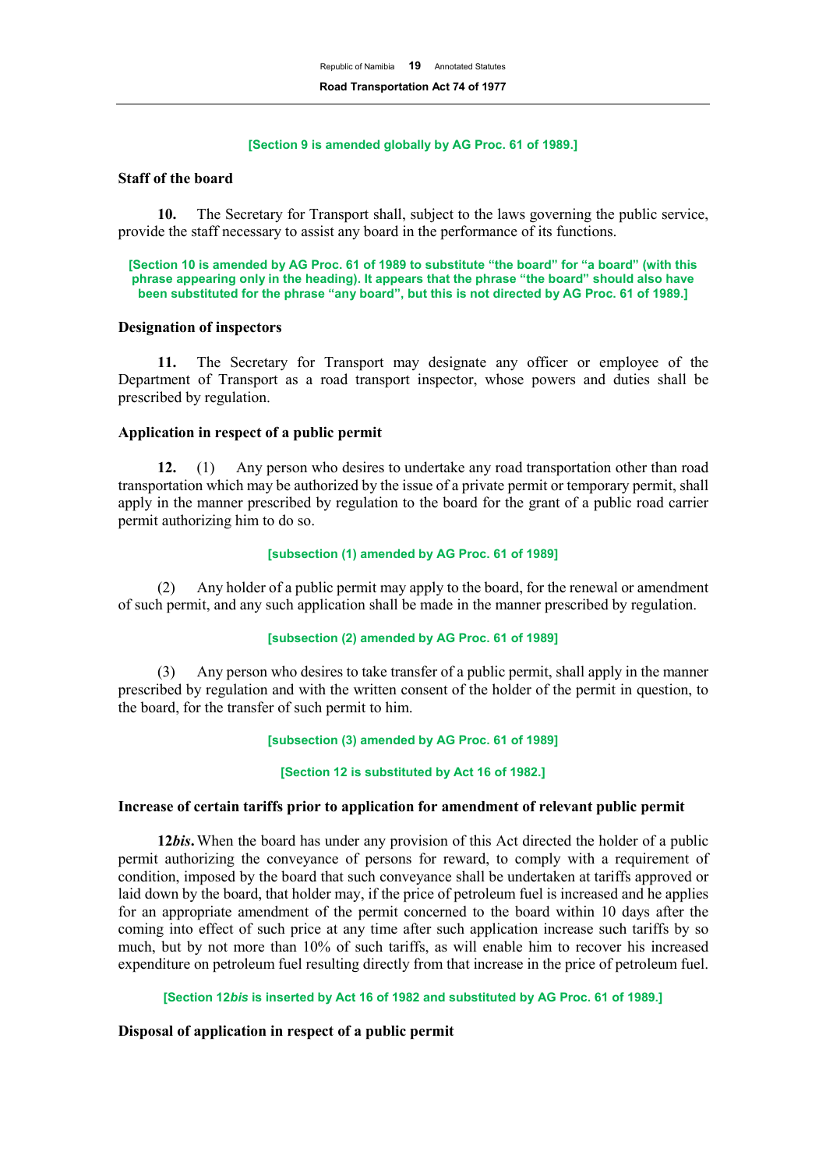#### **[Section 9 is amended globally by AG Proc. 61 of 1989.]**

#### **Staff of the board**

**10.** The Secretary for Transport shall, subject to the laws governing the public service, provide the staff necessary to assist any board in the performance of its functions.

**[Section 10 is amended by AG Proc. 61 of 1989 to substitute "the board" for "a board" (with this phrase appearing only in the heading). It appears that the phrase "the board" should also have been substituted for the phrase "any board", but this is not directed by AG Proc. 61 of 1989.]**

#### **Designation of inspectors**

**11.** The Secretary for Transport may designate any officer or employee of the Department of Transport as a road transport inspector, whose powers and duties shall be prescribed by regulation.

## **Application in respect of a public permit**

**12.** (1) Any person who desires to undertake any road transportation other than road transportation which may be authorized by the issue of a private permit or temporary permit, shall apply in the manner prescribed by regulation to the board for the grant of a public road carrier permit authorizing him to do so.

#### **[subsection (1) amended by AG Proc. 61 of 1989]**

(2) Any holder of a public permit may apply to the board, for the renewal or amendment of such permit, and any such application shall be made in the manner prescribed by regulation.

#### **[subsection (2) amended by AG Proc. 61 of 1989]**

(3) Any person who desires to take transfer of a public permit, shall apply in the manner prescribed by regulation and with the written consent of the holder of the permit in question, to the board, for the transfer of such permit to him.

#### **[subsection (3) amended by AG Proc. 61 of 1989]**

#### **[Section 12 is substituted by Act 16 of 1982.]**

## **Increase of certain tariffs prior to application for amendment of relevant public permit**

**12***bis***.**When the board has under any provision of this Act directed the holder of a public permit authorizing the conveyance of persons for reward, to comply with a requirement of condition, imposed by the board that such conveyance shall be undertaken at tariffs approved or laid down by the board, that holder may, if the price of petroleum fuel is increased and he applies for an appropriate amendment of the permit concerned to the board within 10 days after the coming into effect of such price at any time after such application increase such tariffs by so much, but by not more than 10% of such tariffs, as will enable him to recover his increased expenditure on petroleum fuel resulting directly from that increase in the price of petroleum fuel.

## **[Section 12***bis* **is inserted by Act 16 of 1982 and substituted by AG Proc. 61 of 1989.]**

#### **Disposal of application in respect of a public permit**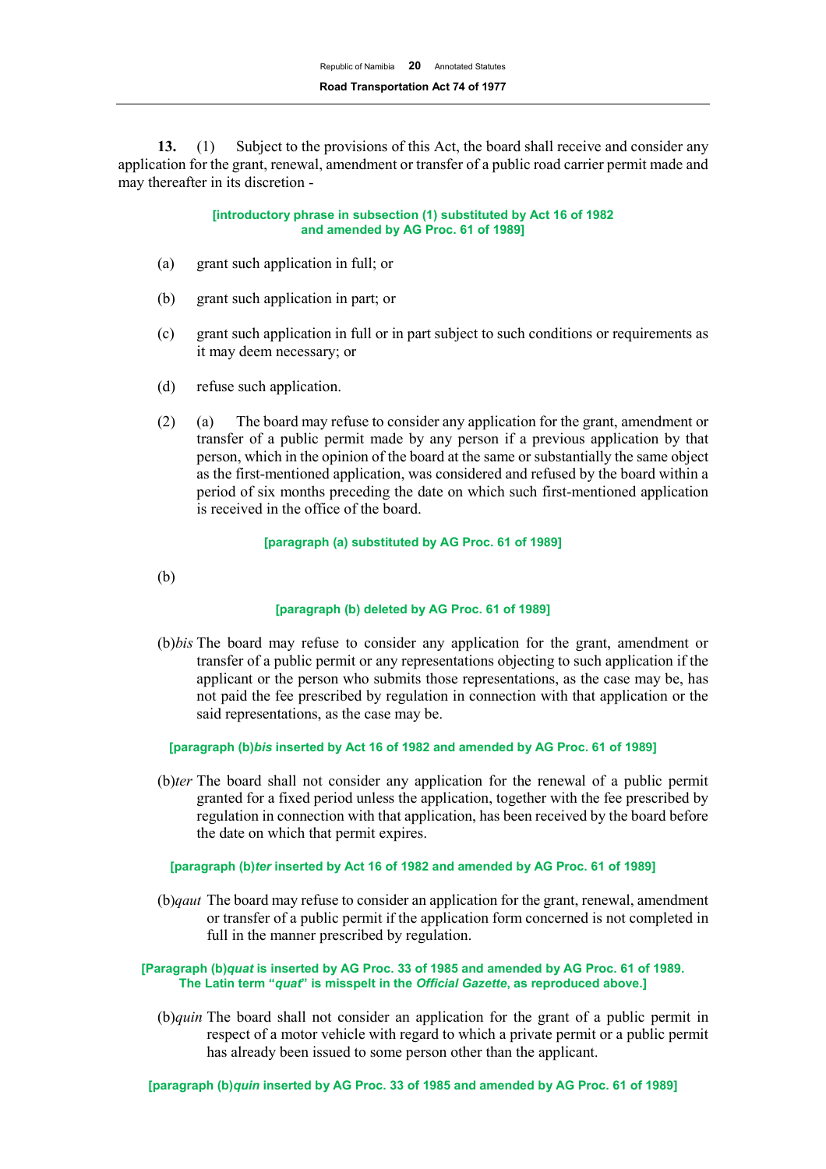**13.** (1) Subject to the provisions of this Act, the board shall receive and consider any application for the grant, renewal, amendment or transfer of a public road carrier permit made and may thereafter in its discretion -

> **[introductory phrase in subsection (1) substituted by Act 16 of 1982 and amended by AG Proc. 61 of 1989]**

- (a) grant such application in full; or
- (b) grant such application in part; or
- (c) grant such application in full or in part subject to such conditions or requirements as it may deem necessary; or
- (d) refuse such application.
- (2) (a) The board may refuse to consider any application for the grant, amendment or transfer of a public permit made by any person if a previous application by that person, which in the opinion of the board at the same or substantially the same object as the first-mentioned application, was considered and refused by the board within a period of six months preceding the date on which such first-mentioned application is received in the office of the board.

#### **[paragraph (a) substituted by AG Proc. 61 of 1989]**

(b)

#### **[paragraph (b) deleted by AG Proc. 61 of 1989]**

(b)*bis* The board may refuse to consider any application for the grant, amendment or transfer of a public permit or any representations objecting to such application if the applicant or the person who submits those representations, as the case may be, has not paid the fee prescribed by regulation in connection with that application or the said representations, as the case may be.

**[paragraph (b)***bis* **inserted by Act 16 of 1982 and amended by AG Proc. 61 of 1989]**

(b)*ter* The board shall not consider any application for the renewal of a public permit granted for a fixed period unless the application, together with the fee prescribed by regulation in connection with that application, has been received by the board before the date on which that permit expires.

## **[paragraph (b)***ter* **inserted by Act 16 of 1982 and amended by AG Proc. 61 of 1989]**

(b)*qaut* The board may refuse to consider an application for the grant, renewal, amendment or transfer of a public permit if the application form concerned is not completed in full in the manner prescribed by regulation.

#### **[Paragraph (b)***quat* **is inserted by AG Proc. 33 of 1985 and amended by AG Proc. 61 of 1989. The Latin term "***quat***" is misspelt in the** *Official Gazette***, as reproduced above.]**

(b)*quin* The board shall not consider an application for the grant of a public permit in respect of a motor vehicle with regard to which a private permit or a public permit has already been issued to some person other than the applicant.

**[paragraph (b)***quin* **inserted by AG Proc. 33 of 1985 and amended by AG Proc. 61 of 1989]**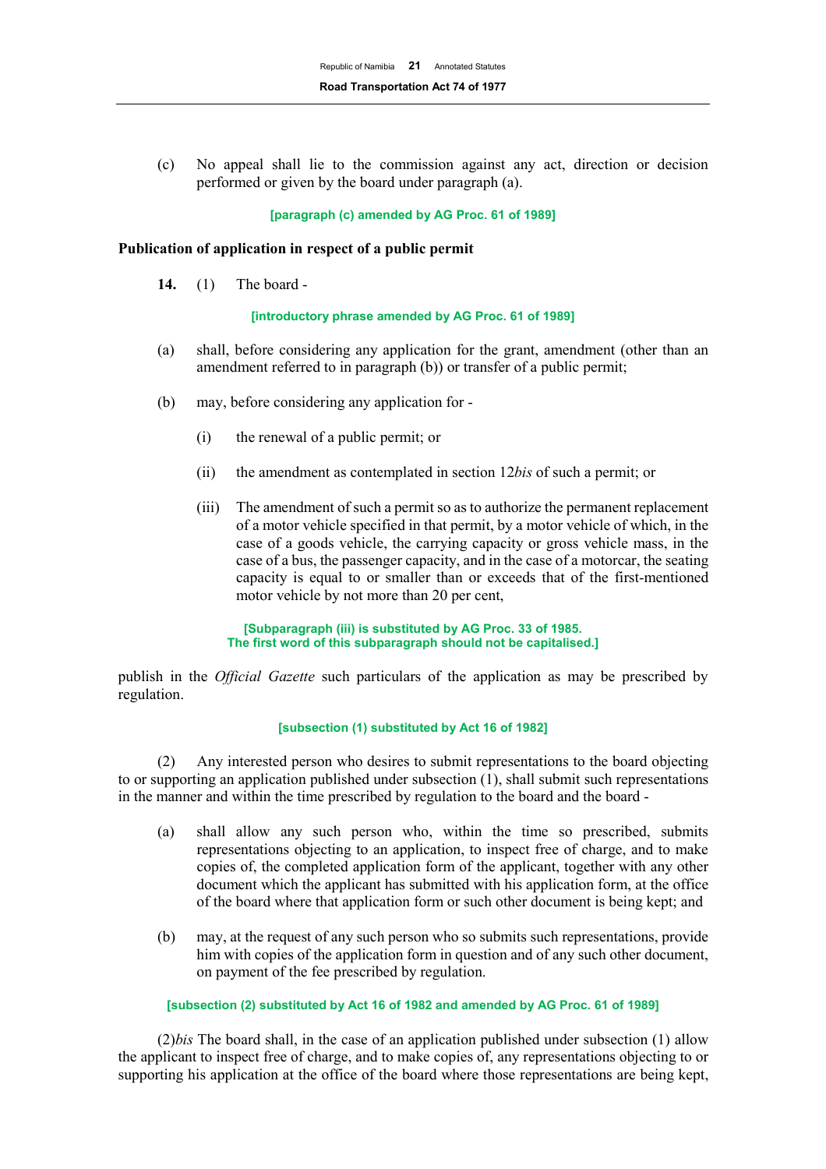(c) No appeal shall lie to the commission against any act, direction or decision performed or given by the board under paragraph (a).

#### **[paragraph (c) amended by AG Proc. 61 of 1989]**

#### **Publication of application in respect of a public permit**

**14.** (1) The board -

#### **[introductory phrase amended by AG Proc. 61 of 1989]**

- (a) shall, before considering any application for the grant, amendment (other than an amendment referred to in paragraph (b)) or transfer of a public permit;
- (b) may, before considering any application for
	- (i) the renewal of a public permit; or
	- (ii) the amendment as contemplated in section 12*bis* of such a permit; or
	- (iii) The amendment of such a permit so as to authorize the permanent replacement of a motor vehicle specified in that permit, by a motor vehicle of which, in the case of a goods vehicle, the carrying capacity or gross vehicle mass, in the case of a bus, the passenger capacity, and in the case of a motorcar, the seating capacity is equal to or smaller than or exceeds that of the first-mentioned motor vehicle by not more than 20 per cent,

**[Subparagraph (iii) is substituted by AG Proc. 33 of 1985. The first word of this subparagraph should not be capitalised.]**

publish in the *Official Gazette* such particulars of the application as may be prescribed by regulation.

#### **[subsection (1) substituted by Act 16 of 1982]**

(2) Any interested person who desires to submit representations to the board objecting to or supporting an application published under subsection (1), shall submit such representations in the manner and within the time prescribed by regulation to the board and the board -

- (a) shall allow any such person who, within the time so prescribed, submits representations objecting to an application, to inspect free of charge, and to make copies of, the completed application form of the applicant, together with any other document which the applicant has submitted with his application form, at the office of the board where that application form or such other document is being kept; and
- (b) may, at the request of any such person who so submits such representations, provide him with copies of the application form in question and of any such other document, on payment of the fee prescribed by regulation.

#### **[subsection (2) substituted by Act 16 of 1982 and amended by AG Proc. 61 of 1989]**

(2)*bis* The board shall, in the case of an application published under subsection (1) allow the applicant to inspect free of charge, and to make copies of, any representations objecting to or supporting his application at the office of the board where those representations are being kept,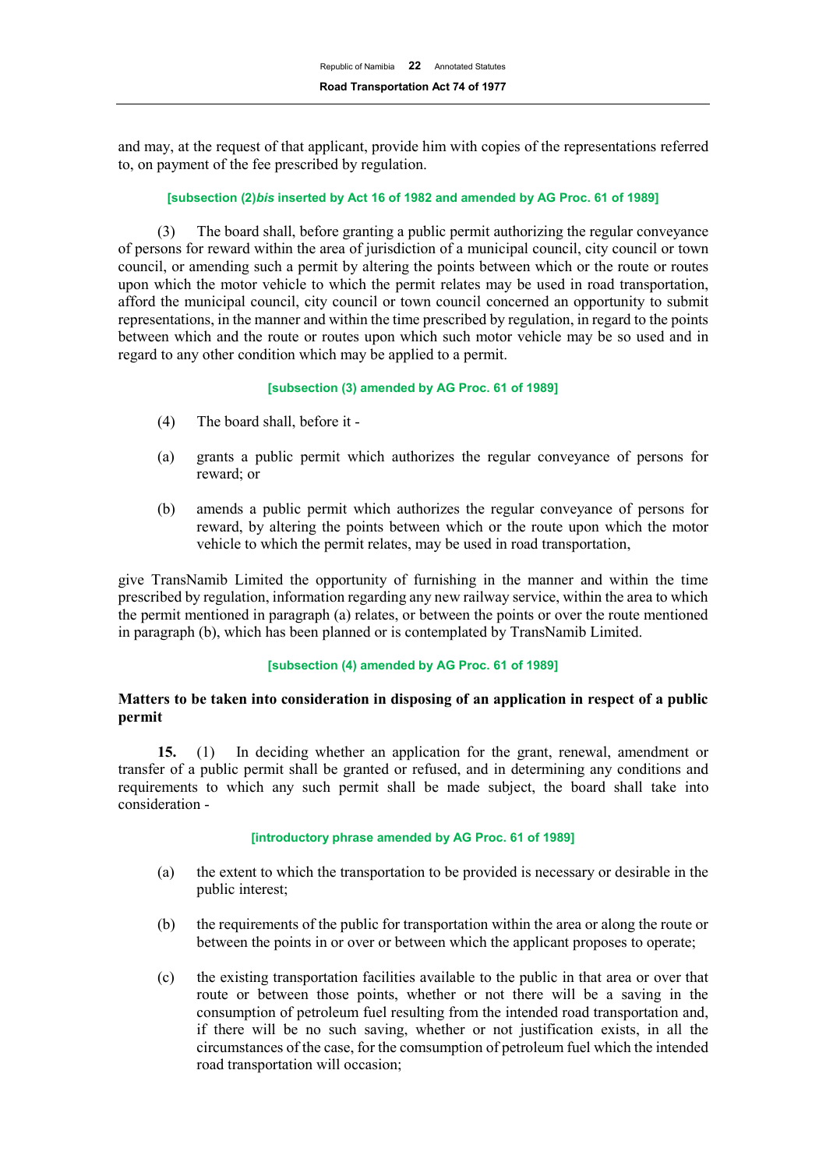and may, at the request of that applicant, provide him with copies of the representations referred to, on payment of the fee prescribed by regulation.

## **[subsection (2)***bis* **inserted by Act 16 of 1982 and amended by AG Proc. 61 of 1989]**

(3) The board shall, before granting a public permit authorizing the regular conveyance of persons for reward within the area of jurisdiction of a municipal council, city council or town council, or amending such a permit by altering the points between which or the route or routes upon which the motor vehicle to which the permit relates may be used in road transportation, afford the municipal council, city council or town council concerned an opportunity to submit representations, in the manner and within the time prescribed by regulation, in regard to the points between which and the route or routes upon which such motor vehicle may be so used and in regard to any other condition which may be applied to a permit.

## **[subsection (3) amended by AG Proc. 61 of 1989]**

- (4) The board shall, before it -
- (a) grants a public permit which authorizes the regular conveyance of persons for reward; or
- (b) amends a public permit which authorizes the regular conveyance of persons for reward, by altering the points between which or the route upon which the motor vehicle to which the permit relates, may be used in road transportation,

give TransNamib Limited the opportunity of furnishing in the manner and within the time prescribed by regulation, information regarding any new railway service, within the area to which the permit mentioned in paragraph (a) relates, or between the points or over the route mentioned in paragraph (b), which has been planned or is contemplated by TransNamib Limited.

#### **[subsection (4) amended by AG Proc. 61 of 1989]**

# **Matters to be taken into consideration in disposing of an application in respect of a public permit**

**15.** (1) In deciding whether an application for the grant, renewal, amendment or transfer of a public permit shall be granted or refused, and in determining any conditions and requirements to which any such permit shall be made subject, the board shall take into consideration -

#### **[introductory phrase amended by AG Proc. 61 of 1989]**

- (a) the extent to which the transportation to be provided is necessary or desirable in the public interest;
- (b) the requirements of the public for transportation within the area or along the route or between the points in or over or between which the applicant proposes to operate;
- (c) the existing transportation facilities available to the public in that area or over that route or between those points, whether or not there will be a saving in the consumption of petroleum fuel resulting from the intended road transportation and, if there will be no such saving, whether or not justification exists, in all the circumstances of the case, for the comsumption of petroleum fuel which the intended road transportation will occasion;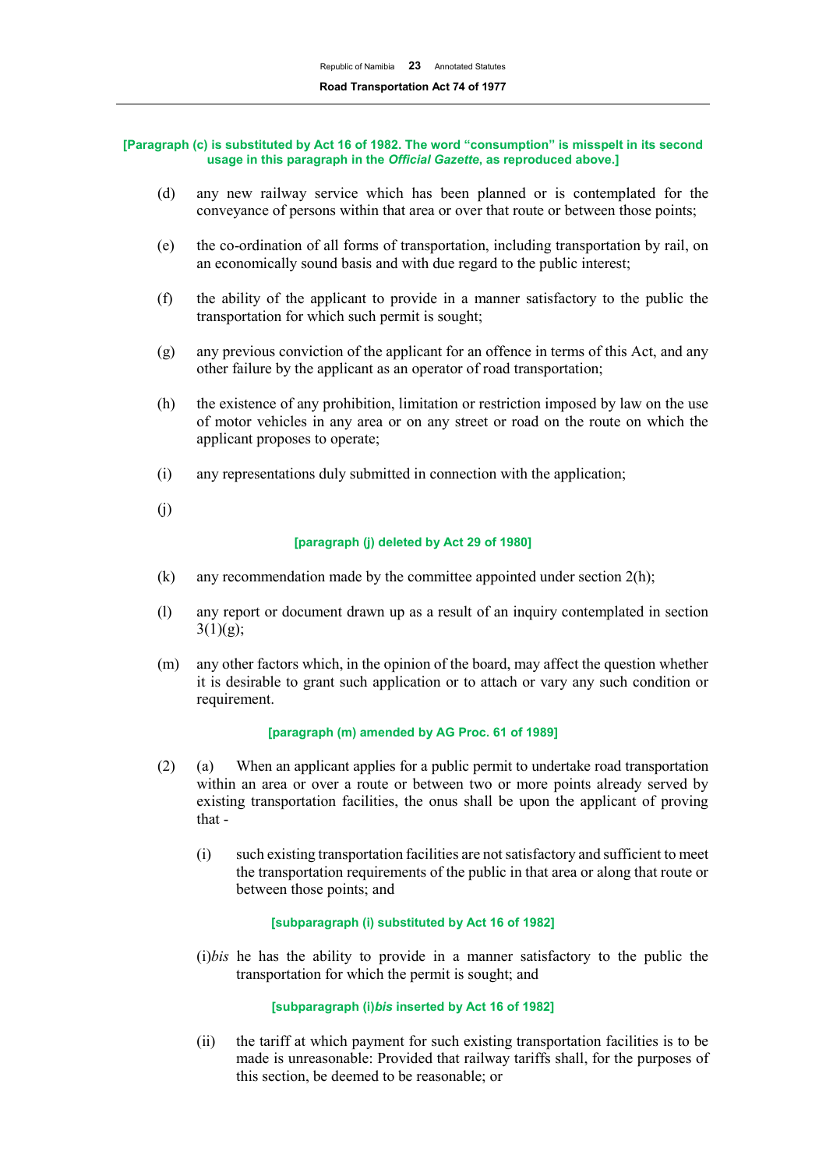#### **[Paragraph (c) is substituted by Act 16 of 1982. The word "consumption" is misspelt in its second usage in this paragraph in the** *Official Gazette***, as reproduced above.]**

- (d) any new railway service which has been planned or is contemplated for the conveyance of persons within that area or over that route or between those points;
- (e) the co-ordination of all forms of transportation, including transportation by rail, on an economically sound basis and with due regard to the public interest;
- (f) the ability of the applicant to provide in a manner satisfactory to the public the transportation for which such permit is sought;
- (g) any previous conviction of the applicant for an offence in terms of this Act, and any other failure by the applicant as an operator of road transportation;
- (h) the existence of any prohibition, limitation or restriction imposed by law on the use of motor vehicles in any area or on any street or road on the route on which the applicant proposes to operate;
- (i) any representations duly submitted in connection with the application;
- (j)

#### **[paragraph (j) deleted by Act 29 of 1980]**

- (k) any recommendation made by the committee appointed under section  $2(h)$ ;
- (l) any report or document drawn up as a result of an inquiry contemplated in section  $3(1)(g);$
- (m) any other factors which, in the opinion of the board, may affect the question whether it is desirable to grant such application or to attach or vary any such condition or requirement.

#### **[paragraph (m) amended by AG Proc. 61 of 1989]**

- (2) (a) When an applicant applies for a public permit to undertake road transportation within an area or over a route or between two or more points already served by existing transportation facilities, the onus shall be upon the applicant of proving that -
	- (i) such existing transportation facilities are not satisfactory and sufficient to meet the transportation requirements of the public in that area or along that route or between those points; and

## **[subparagraph (i) substituted by Act 16 of 1982]**

(i)*bis* he has the ability to provide in a manner satisfactory to the public the transportation for which the permit is sought; and

#### **[subparagraph (i)***bis* **inserted by Act 16 of 1982]**

(ii) the tariff at which payment for such existing transportation facilities is to be made is unreasonable: Provided that railway tariffs shall, for the purposes of this section, be deemed to be reasonable; or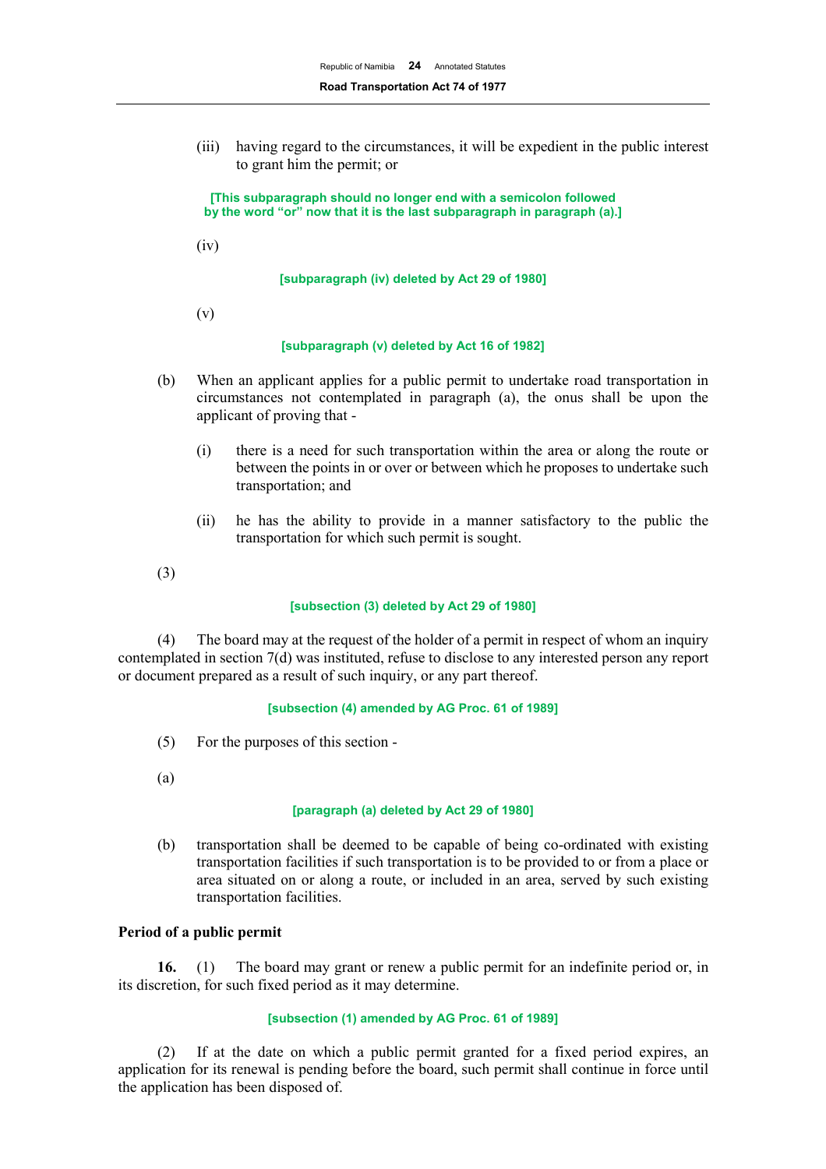(iii) having regard to the circumstances, it will be expedient in the public interest to grant him the permit; or

**[This subparagraph should no longer end with a semicolon followed by the word "or" now that it is the last subparagraph in paragraph (a).]**

(iv)

**[subparagraph (iv) deleted by Act 29 of 1980]**

(v)

#### **[subparagraph (v) deleted by Act 16 of 1982]**

- (b) When an applicant applies for a public permit to undertake road transportation in circumstances not contemplated in paragraph (a), the onus shall be upon the applicant of proving that -
	- (i) there is a need for such transportation within the area or along the route or between the points in or over or between which he proposes to undertake such transportation; and
	- (ii) he has the ability to provide in a manner satisfactory to the public the transportation for which such permit is sought.

(3)

#### **[subsection (3) deleted by Act 29 of 1980]**

(4) The board may at the request of the holder of a permit in respect of whom an inquiry contemplated in section 7(d) was instituted, refuse to disclose to any interested person any report or document prepared as a result of such inquiry, or any part thereof.

#### **[subsection (4) amended by AG Proc. 61 of 1989]**

- (5) For the purposes of this section -
- (a)

#### **[paragraph (a) deleted by Act 29 of 1980]**

(b) transportation shall be deemed to be capable of being co-ordinated with existing transportation facilities if such transportation is to be provided to or from a place or area situated on or along a route, or included in an area, served by such existing transportation facilities.

## **Period of a public permit**

**16.** (1) The board may grant or renew a public permit for an indefinite period or, in its discretion, for such fixed period as it may determine.

#### **[subsection (1) amended by AG Proc. 61 of 1989]**

(2) If at the date on which a public permit granted for a fixed period expires, an application for its renewal is pending before the board, such permit shall continue in force until the application has been disposed of.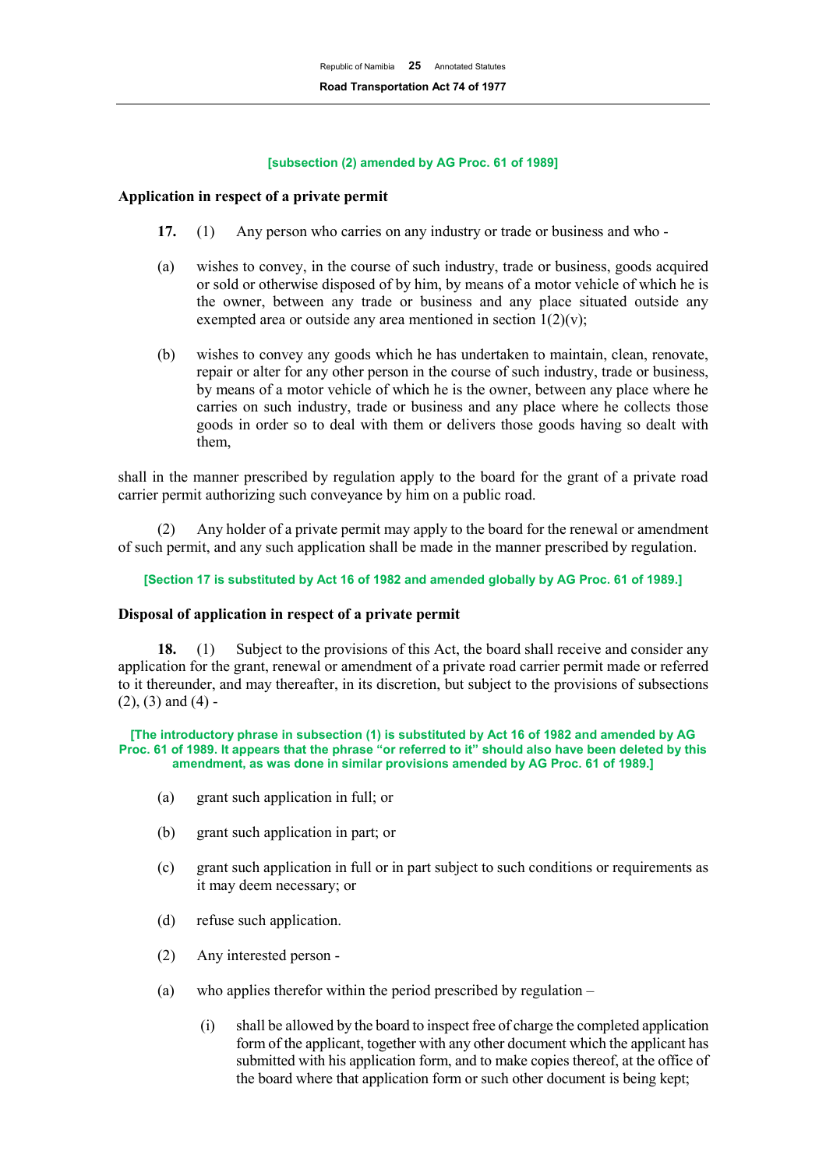#### **[subsection (2) amended by AG Proc. 61 of 1989]**

## **Application in respect of a private permit**

- **17.** (1) Any person who carries on any industry or trade or business and who -
- (a) wishes to convey, in the course of such industry, trade or business, goods acquired or sold or otherwise disposed of by him, by means of a motor vehicle of which he is the owner, between any trade or business and any place situated outside any exempted area or outside any area mentioned in section  $1(2)(v)$ ;
- (b) wishes to convey any goods which he has undertaken to maintain, clean, renovate, repair or alter for any other person in the course of such industry, trade or business, by means of a motor vehicle of which he is the owner, between any place where he carries on such industry, trade or business and any place where he collects those goods in order so to deal with them or delivers those goods having so dealt with them,

shall in the manner prescribed by regulation apply to the board for the grant of a private road carrier permit authorizing such conveyance by him on a public road.

Any holder of a private permit may apply to the board for the renewal or amendment of such permit, and any such application shall be made in the manner prescribed by regulation.

**[Section 17 is substituted by Act 16 of 1982 and amended globally by AG Proc. 61 of 1989.]**

#### **Disposal of application in respect of a private permit**

**18.** (1) Subject to the provisions of this Act, the board shall receive and consider any application for the grant, renewal or amendment of a private road carrier permit made or referred to it thereunder, and may thereafter, in its discretion, but subject to the provisions of subsections  $(2)$ ,  $(3)$  and  $(4)$  -

**[The introductory phrase in subsection (1) is substituted by Act 16 of 1982 and amended by AG Proc. 61 of 1989. It appears that the phrase "or referred to it" should also have been deleted by this amendment, as was done in similar provisions amended by AG Proc. 61 of 1989.]**

- (a) grant such application in full; or
- (b) grant such application in part; or
- (c) grant such application in full or in part subject to such conditions or requirements as it may deem necessary; or
- (d) refuse such application.
- (2) Any interested person -
- (a) who applies therefor within the period prescribed by regulation  $-$ 
	- (i) shall be allowed by the board to inspect free of charge the completed application form of the applicant, together with any other document which the applicant has submitted with his application form, and to make copies thereof, at the office of the board where that application form or such other document is being kept;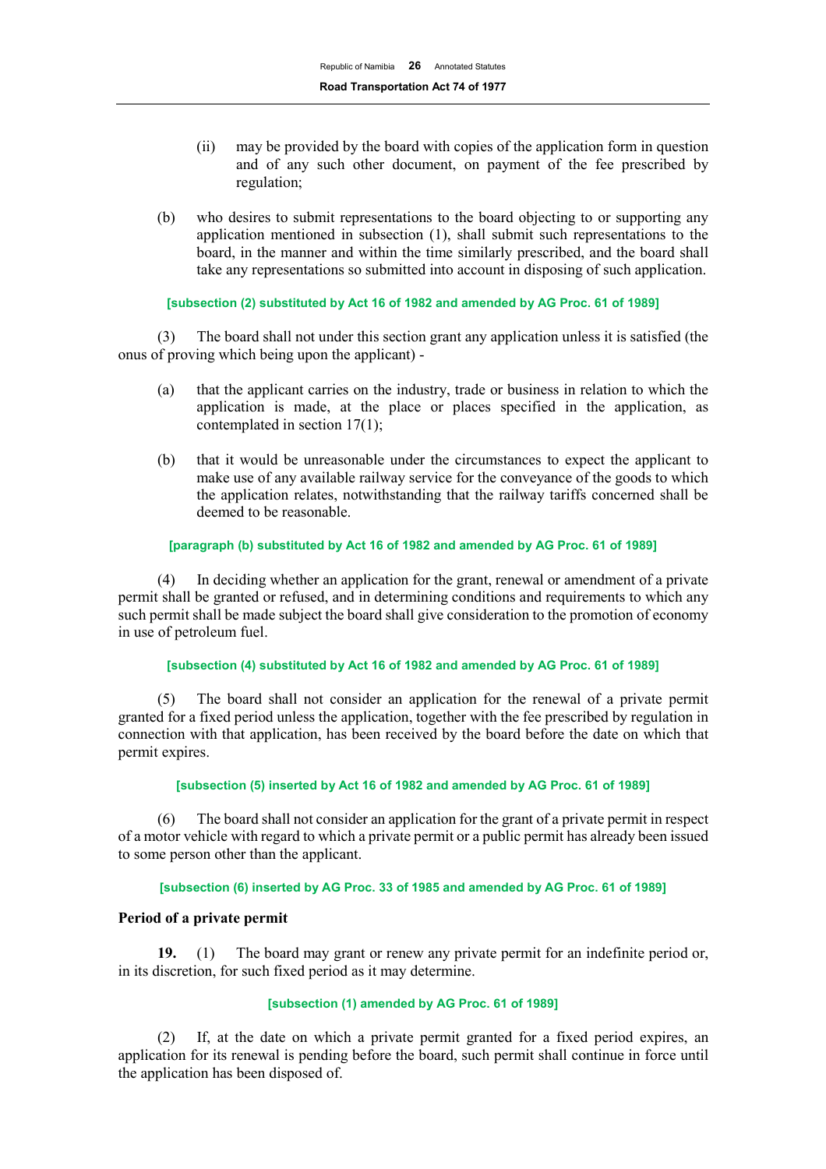- (ii) may be provided by the board with copies of the application form in question and of any such other document, on payment of the fee prescribed by regulation;
- (b) who desires to submit representations to the board objecting to or supporting any application mentioned in subsection (1), shall submit such representations to the board, in the manner and within the time similarly prescribed, and the board shall take any representations so submitted into account in disposing of such application.

## **[subsection (2) substituted by Act 16 of 1982 and amended by AG Proc. 61 of 1989]**

(3) The board shall not under this section grant any application unless it is satisfied (the onus of proving which being upon the applicant) -

- (a) that the applicant carries on the industry, trade or business in relation to which the application is made, at the place or places specified in the application, as contemplated in section 17(1);
- (b) that it would be unreasonable under the circumstances to expect the applicant to make use of any available railway service for the conveyance of the goods to which the application relates, notwithstanding that the railway tariffs concerned shall be deemed to be reasonable.

## **[paragraph (b) substituted by Act 16 of 1982 and amended by AG Proc. 61 of 1989]**

(4) In deciding whether an application for the grant, renewal or amendment of a private permit shall be granted or refused, and in determining conditions and requirements to which any such permit shall be made subject the board shall give consideration to the promotion of economy in use of petroleum fuel.

#### **[subsection (4) substituted by Act 16 of 1982 and amended by AG Proc. 61 of 1989]**

(5) The board shall not consider an application for the renewal of a private permit granted for a fixed period unless the application, together with the fee prescribed by regulation in connection with that application, has been received by the board before the date on which that permit expires.

#### **[subsection (5) inserted by Act 16 of 1982 and amended by AG Proc. 61 of 1989]**

(6) The board shall not consider an application for the grant of a private permit in respect of a motor vehicle with regard to which a private permit or a public permit has already been issued to some person other than the applicant.

## **[subsection (6) inserted by AG Proc. 33 of 1985 and amended by AG Proc. 61 of 1989]**

# **Period of a private permit**

**19.** (1) The board may grant or renew any private permit for an indefinite period or, in its discretion, for such fixed period as it may determine.

#### **[subsection (1) amended by AG Proc. 61 of 1989]**

(2) If, at the date on which a private permit granted for a fixed period expires, an application for its renewal is pending before the board, such permit shall continue in force until the application has been disposed of.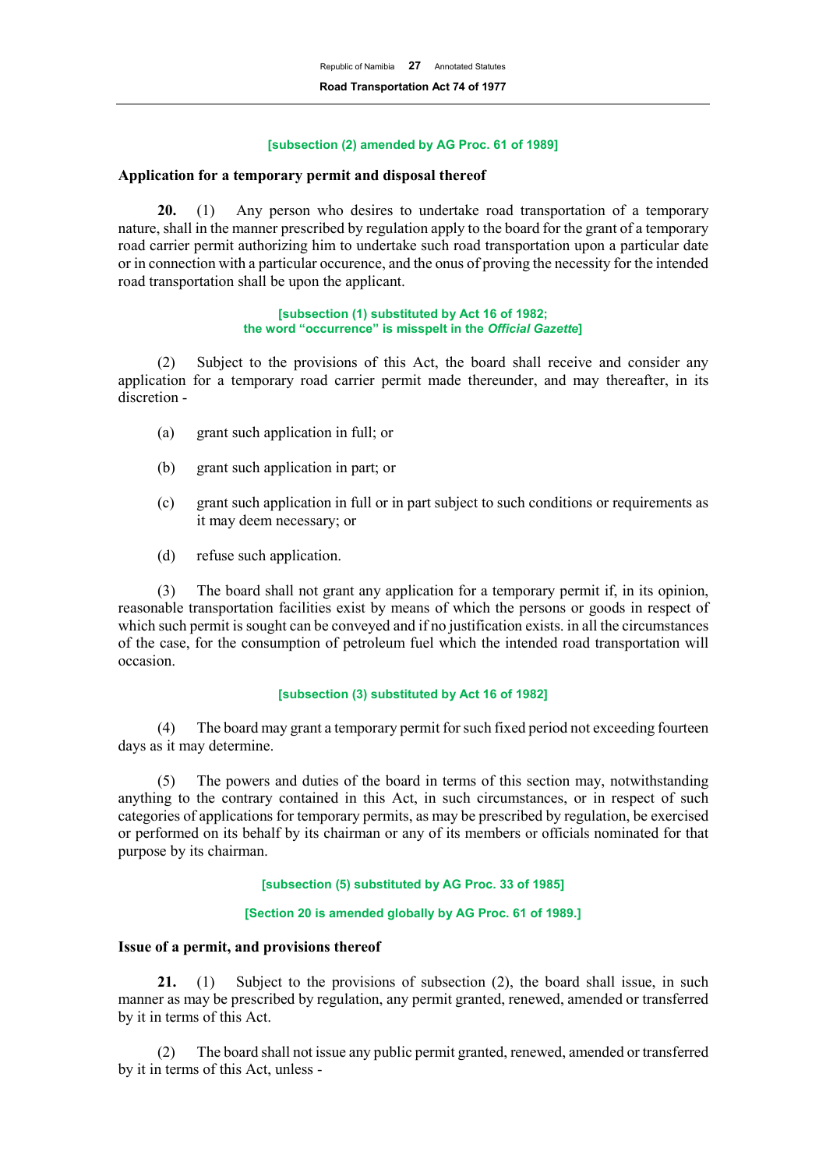#### **[subsection (2) amended by AG Proc. 61 of 1989]**

## **Application for a temporary permit and disposal thereof**

**20.** (1) Any person who desires to undertake road transportation of a temporary nature, shall in the manner prescribed by regulation apply to the board for the grant of a temporary road carrier permit authorizing him to undertake such road transportation upon a particular date or in connection with a particular occurence, and the onus of proving the necessity for the intended road transportation shall be upon the applicant.

#### **[subsection (1) substituted by Act 16 of 1982; the word "occurrence" is misspelt in the** *Official Gazette***]**

(2) Subject to the provisions of this Act, the board shall receive and consider any application for a temporary road carrier permit made thereunder, and may thereafter, in its discretion -

- (a) grant such application in full; or
- (b) grant such application in part; or
- (c) grant such application in full or in part subject to such conditions or requirements as it may deem necessary; or
- (d) refuse such application.

(3) The board shall not grant any application for a temporary permit if, in its opinion, reasonable transportation facilities exist by means of which the persons or goods in respect of which such permit is sought can be conveyed and if no justification exists. in all the circumstances of the case, for the consumption of petroleum fuel which the intended road transportation will occasion.

#### **[subsection (3) substituted by Act 16 of 1982]**

(4) The board may grant a temporary permit for such fixed period not exceeding fourteen days as it may determine.

(5) The powers and duties of the board in terms of this section may, notwithstanding anything to the contrary contained in this Act, in such circumstances, or in respect of such categories of applications for temporary permits, as may be prescribed by regulation, be exercised or performed on its behalf by its chairman or any of its members or officials nominated for that purpose by its chairman.

#### **[subsection (5) substituted by AG Proc. 33 of 1985]**

#### **[Section 20 is amended globally by AG Proc. 61 of 1989.]**

#### **Issue of a permit, and provisions thereof**

**21.** (1) Subject to the provisions of subsection (2), the board shall issue, in such manner as may be prescribed by regulation, any permit granted, renewed, amended or transferred by it in terms of this Act.

(2) The board shall not issue any public permit granted, renewed, amended or transferred by it in terms of this Act, unless -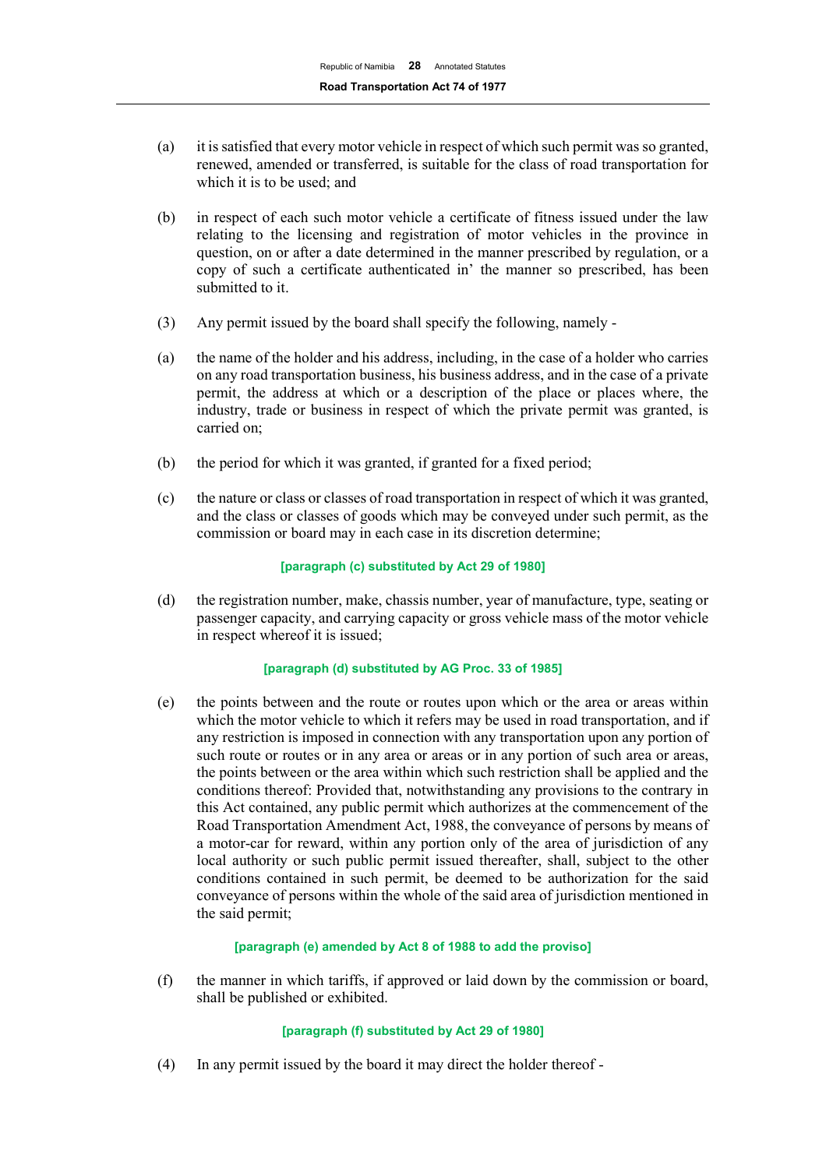- (a) it is satisfied that every motor vehicle in respect of which such permit was so granted, renewed, amended or transferred, is suitable for the class of road transportation for which it is to be used; and
- (b) in respect of each such motor vehicle a certificate of fitness issued under the law relating to the licensing and registration of motor vehicles in the province in question, on or after a date determined in the manner prescribed by regulation, or a copy of such a certificate authenticated in' the manner so prescribed, has been submitted to it.
- (3) Any permit issued by the board shall specify the following, namely -
- (a) the name of the holder and his address, including, in the case of a holder who carries on any road transportation business, his business address, and in the case of a private permit, the address at which or a description of the place or places where, the industry, trade or business in respect of which the private permit was granted, is carried on;
- (b) the period for which it was granted, if granted for a fixed period;
- (c) the nature or class or classes of road transportation in respect of which it was granted, and the class or classes of goods which may be conveyed under such permit, as the commission or board may in each case in its discretion determine;

## **[paragraph (c) substituted by Act 29 of 1980]**

(d) the registration number, make, chassis number, year of manufacture, type, seating or passenger capacity, and carrying capacity or gross vehicle mass of the motor vehicle in respect whereof it is issued;

#### **[paragraph (d) substituted by AG Proc. 33 of 1985]**

(e) the points between and the route or routes upon which or the area or areas within which the motor vehicle to which it refers may be used in road transportation, and if any restriction is imposed in connection with any transportation upon any portion of such route or routes or in any area or areas or in any portion of such area or areas, the points between or the area within which such restriction shall be applied and the conditions thereof: Provided that, notwithstanding any provisions to the contrary in this Act contained, any public permit which authorizes at the commencement of the Road Transportation Amendment Act, 1988, the conveyance of persons by means of a motor-car for reward, within any portion only of the area of jurisdiction of any local authority or such public permit issued thereafter, shall, subject to the other conditions contained in such permit, be deemed to be authorization for the said conveyance of persons within the whole of the said area of jurisdiction mentioned in the said permit;

#### **[paragraph (e) amended by Act 8 of 1988 to add the proviso]**

(f) the manner in which tariffs, if approved or laid down by the commission or board, shall be published or exhibited.

# **[paragraph (f) substituted by Act 29 of 1980]**

(4) In any permit issued by the board it may direct the holder thereof -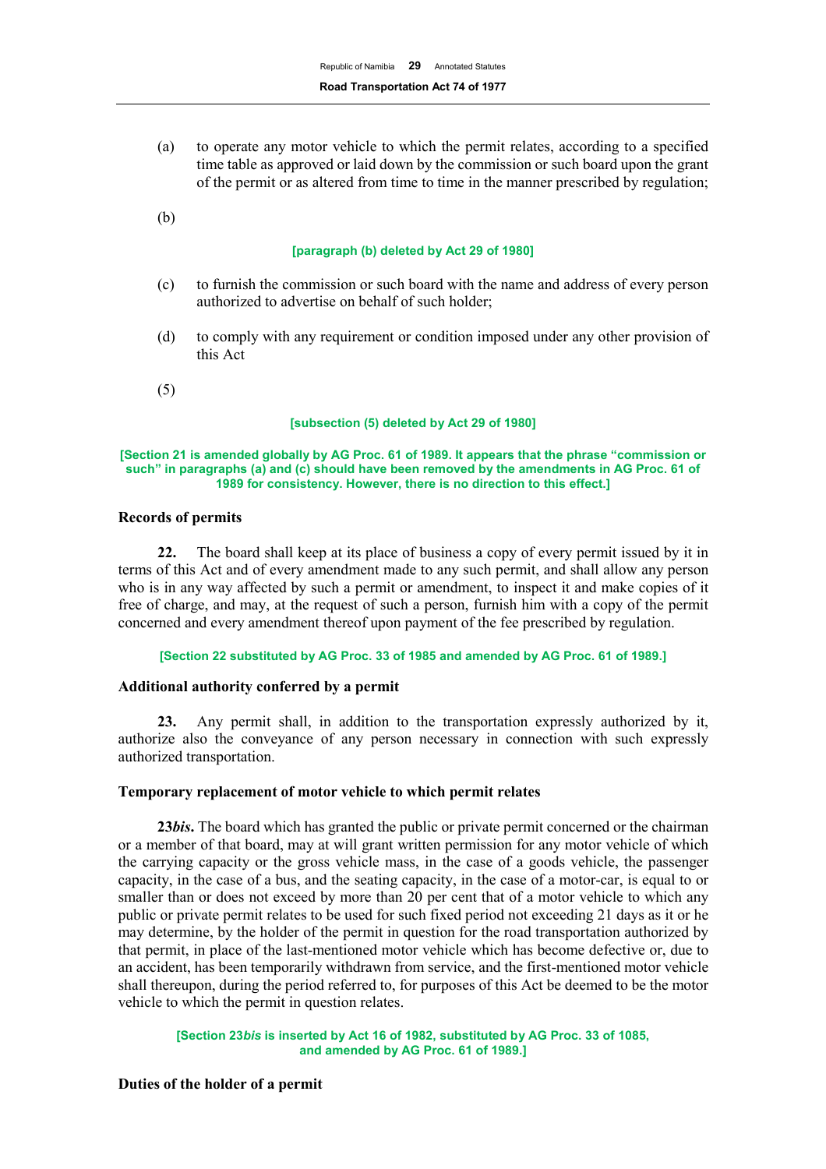(a) to operate any motor vehicle to which the permit relates, according to a specified time table as approved or laid down by the commission or such board upon the grant of the permit or as altered from time to time in the manner prescribed by regulation;

(b)

#### **[paragraph (b) deleted by Act 29 of 1980]**

- (c) to furnish the commission or such board with the name and address of every person authorized to advertise on behalf of such holder;
- (d) to comply with any requirement or condition imposed under any other provision of this Act
- (5)

#### **[subsection (5) deleted by Act 29 of 1980]**

#### **[Section 21 is amended globally by AG Proc. 61 of 1989. It appears that the phrase "commission or such" in paragraphs (a) and (c) should have been removed by the amendments in AG Proc. 61 of 1989 for consistency. However, there is no direction to this effect.]**

#### **Records of permits**

**22.** The board shall keep at its place of business a copy of every permit issued by it in terms of this Act and of every amendment made to any such permit, and shall allow any person who is in any way affected by such a permit or amendment, to inspect it and make copies of it free of charge, and may, at the request of such a person, furnish him with a copy of the permit concerned and every amendment thereof upon payment of the fee prescribed by regulation.

**[Section 22 substituted by AG Proc. 33 of 1985 and amended by AG Proc. 61 of 1989.]**

#### **Additional authority conferred by a permit**

**23.** Any permit shall, in addition to the transportation expressly authorized by it, authorize also the conveyance of any person necessary in connection with such expressly authorized transportation.

#### **Temporary replacement of motor vehicle to which permit relates**

**23***bis***.** The board which has granted the public or private permit concerned or the chairman or a member of that board, may at will grant written permission for any motor vehicle of which the carrying capacity or the gross vehicle mass, in the case of a goods vehicle, the passenger capacity, in the case of a bus, and the seating capacity, in the case of a motor-car, is equal to or smaller than or does not exceed by more than 20 per cent that of a motor vehicle to which any public or private permit relates to be used for such fixed period not exceeding 21 days as it or he may determine, by the holder of the permit in question for the road transportation authorized by that permit, in place of the last-mentioned motor vehicle which has become defective or, due to an accident, has been temporarily withdrawn from service, and the first-mentioned motor vehicle shall thereupon, during the period referred to, for purposes of this Act be deemed to be the motor vehicle to which the permit in question relates.

**[Section 23***bis* **is inserted by Act 16 of 1982, substituted by AG Proc. 33 of 1085, and amended by AG Proc. 61 of 1989.]**

#### **Duties of the holder of a permit**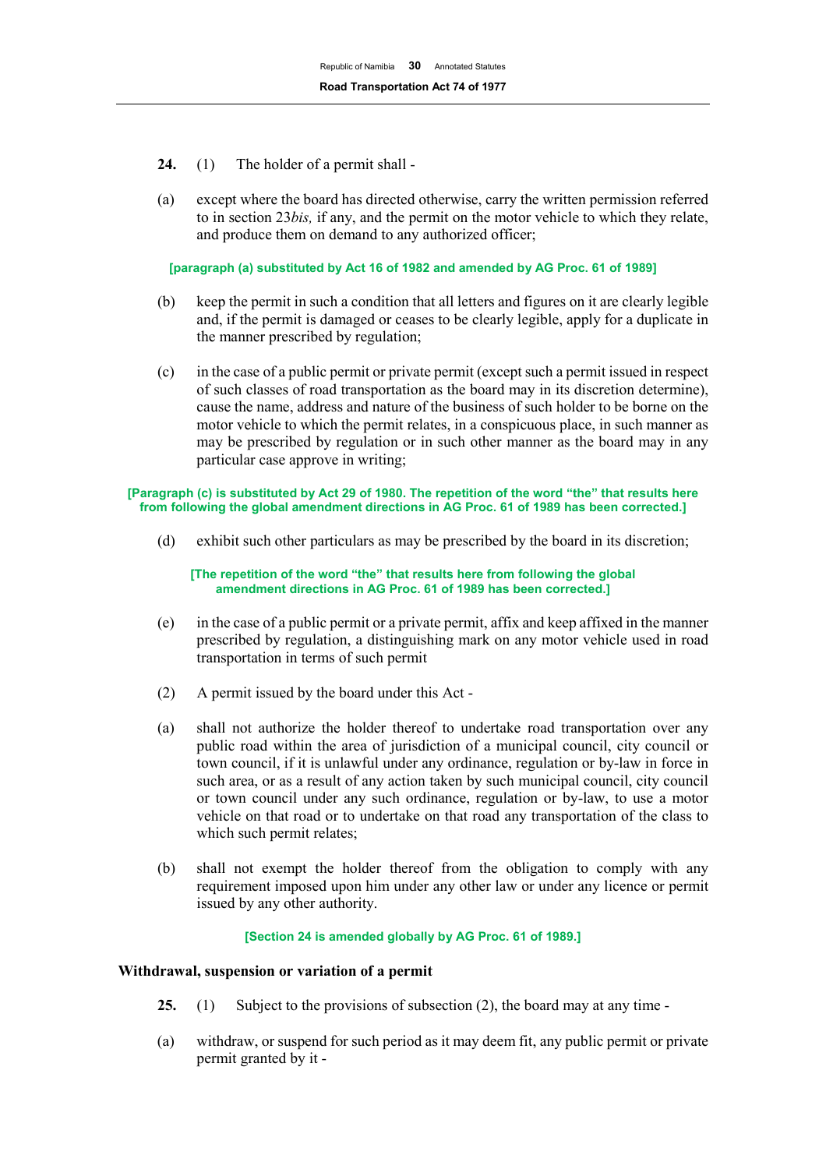- **24.** (1) The holder of a permit shall -
- (a) except where the board has directed otherwise, carry the written permission referred to in section 23*bis,* if any, and the permit on the motor vehicle to which they relate, and produce them on demand to any authorized officer;

**[paragraph (a) substituted by Act 16 of 1982 and amended by AG Proc. 61 of 1989]**

- (b) keep the permit in such a condition that all letters and figures on it are clearly legible and, if the permit is damaged or ceases to be clearly legible, apply for a duplicate in the manner prescribed by regulation;
- (c) in the case of a public permit or private permit (except such a permit issued in respect of such classes of road transportation as the board may in its discretion determine), cause the name, address and nature of the business of such holder to be borne on the motor vehicle to which the permit relates, in a conspicuous place, in such manner as may be prescribed by regulation or in such other manner as the board may in any particular case approve in writing;

#### **[Paragraph (c) is substituted by Act 29 of 1980. The repetition of the word "the" that results here from following the global amendment directions in AG Proc. 61 of 1989 has been corrected.]**

(d) exhibit such other particulars as may be prescribed by the board in its discretion;

**[The repetition of the word "the" that results here from following the global amendment directions in AG Proc. 61 of 1989 has been corrected.]**

- (e) in the case of a public permit or a private permit, affix and keep affixed in the manner prescribed by regulation, a distinguishing mark on any motor vehicle used in road transportation in terms of such permit
- (2) A permit issued by the board under this Act -
- (a) shall not authorize the holder thereof to undertake road transportation over any public road within the area of jurisdiction of a municipal council, city council or town council, if it is unlawful under any ordinance, regulation or by-law in force in such area, or as a result of any action taken by such municipal council, city council or town council under any such ordinance, regulation or by-law, to use a motor vehicle on that road or to undertake on that road any transportation of the class to which such permit relates;
- (b) shall not exempt the holder thereof from the obligation to comply with any requirement imposed upon him under any other law or under any licence or permit issued by any other authority.

# **[Section 24 is amended globally by AG Proc. 61 of 1989.]**

# **Withdrawal, suspension or variation of a permit**

- **25.** (1) Subject to the provisions of subsection (2), the board may at any time -
- (a) withdraw, or suspend for such period as it may deem fit, any public permit or private permit granted by it -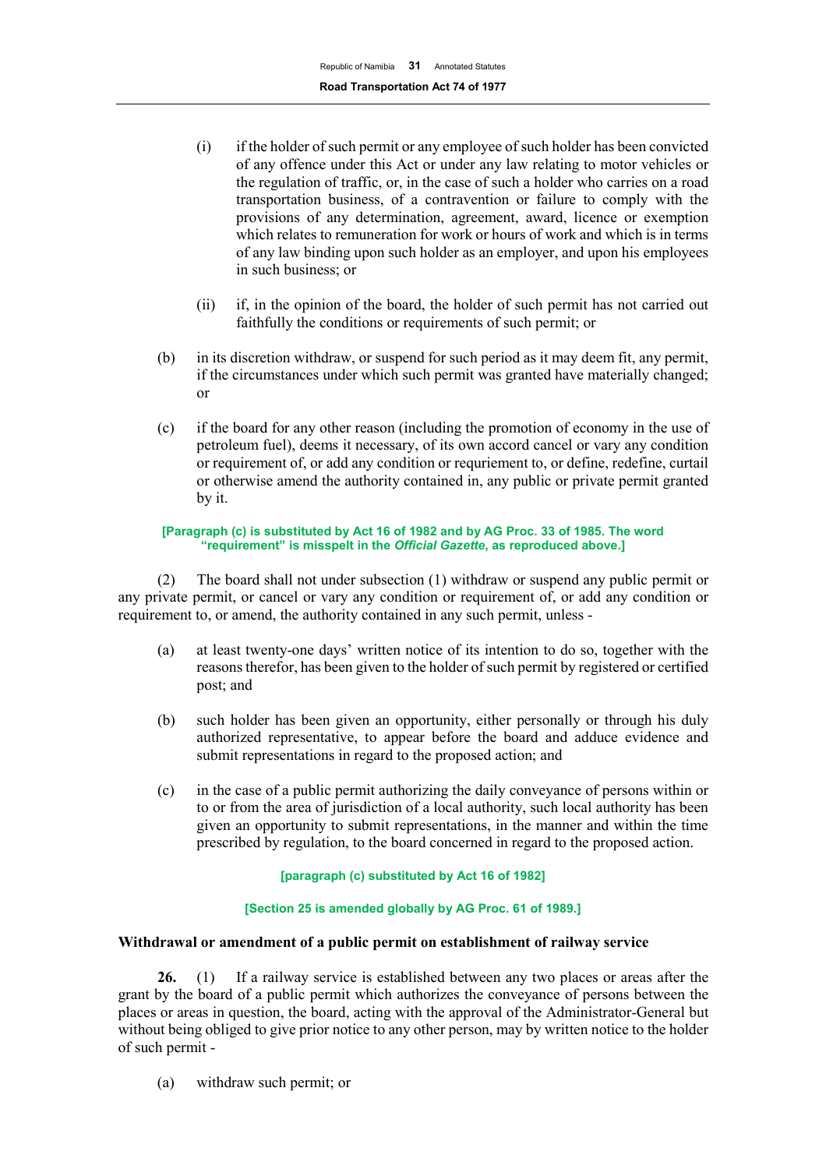- (i) if the holder of such permit or any employee of such holder has been convicted of any offence under this Act or under any law relating to motor vehicles or the regulation of traffic, or, in the case of such a holder who carries on a road transportation business, of a contravention or failure to comply with the provisions of any determination, agreement, award, licence or exemption which relates to remuneration for work or hours of work and which is in terms of any law binding upon such holder as an employer, and upon his employees in such business; or
- (ii) if, in the opinion of the board, the holder of such permit has not carried out faithfully the conditions or requirements of such permit; or
- (b) in its discretion withdraw, or suspend for such period as it may deem fit, any permit, if the circumstances under which such permit was granted have materially changed; or
- (c) if the board for any other reason (including the promotion of economy in the use of petroleum fuel), deems it necessary, of its own accord cancel or vary any condition or requirement of, or add any condition or requriement to, or define, redefine, curtail or otherwise amend the authority contained in, any public or private permit granted by it.

#### **[Paragraph (c) is substituted by Act 16 of 1982 and by AG Proc. 33 of 1985. The word "requirement" is misspelt in the** *Official Gazette***, as reproduced above.]**

(2) The board shall not under subsection (1) withdraw or suspend any public permit or any private permit, or cancel or vary any condition or requirement of, or add any condition or requirement to, or amend, the authority contained in any such permit, unless -

- (a) at least twenty-one days' written notice of its intention to do so, together with the reasons therefor, has been given to the holder of such permit by registered or certified post; and
- (b) such holder has been given an opportunity, either personally or through his duly authorized representative, to appear before the board and adduce evidence and submit representations in regard to the proposed action; and
- (c) in the case of a public permit authorizing the daily conveyance of persons within or to or from the area of jurisdiction of a local authority, such local authority has been given an opportunity to submit representations, in the manner and within the time prescribed by regulation, to the board concerned in regard to the proposed action.

# **[paragraph (c) substituted by Act 16 of 1982]**

# **[Section 25 is amended globally by AG Proc. 61 of 1989.]**

# **Withdrawal or amendment of a public permit on establishment of railway service**

**26.** (1) If a railway service is established between any two places or areas after the grant by the board of a public permit which authorizes the conveyance of persons between the places or areas in question, the board, acting with the approval of the Administrator-General but without being obliged to give prior notice to any other person, may by written notice to the holder of such permit -

(a) withdraw such permit; or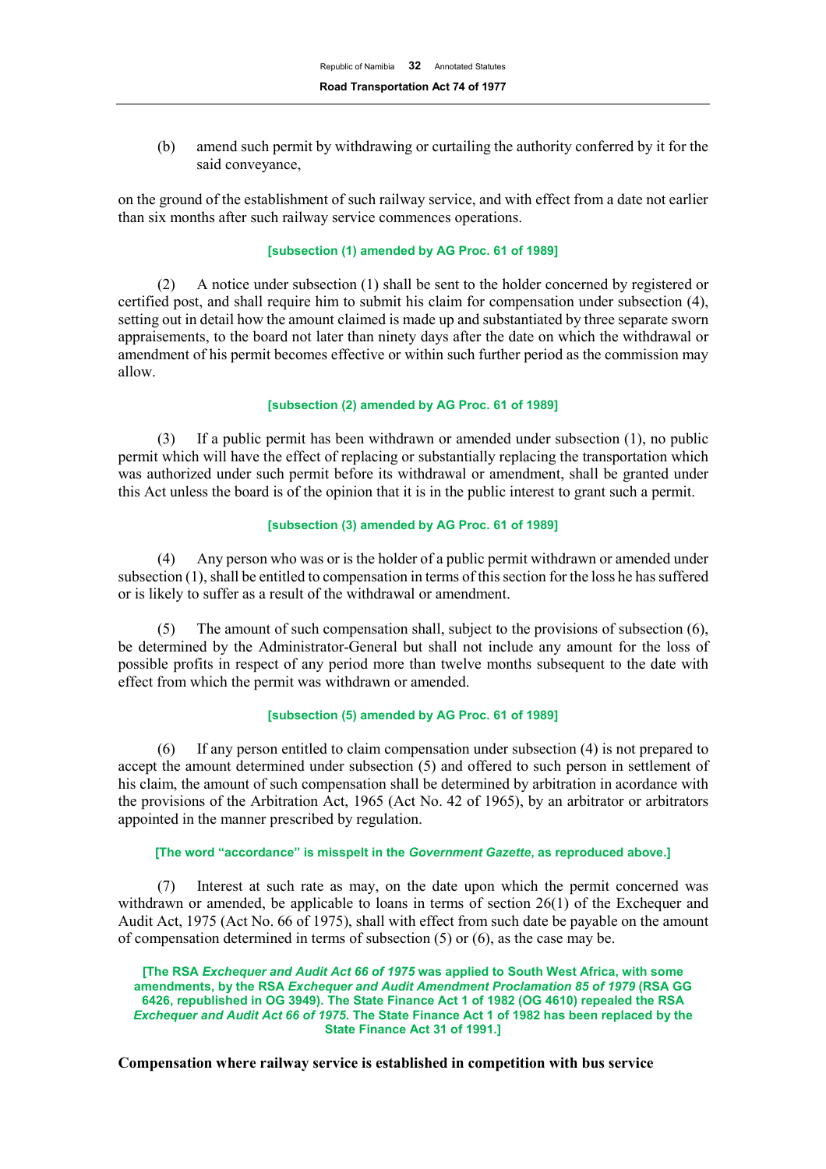(b) amend such permit by withdrawing or curtailing the authority conferred by it for the said conveyance,

on the ground of the establishment of such railway service, and with effect from a date not earlier than six months after such railway service commences operations.

## **[subsection (1) amended by AG Proc. 61 of 1989]**

(2) A notice under subsection (1) shall be sent to the holder concerned by registered or certified post, and shall require him to submit his claim for compensation under subsection (4), setting out in detail how the amount claimed is made up and substantiated by three separate sworn appraisements, to the board not later than ninety days after the date on which the withdrawal or amendment of his permit becomes effective or within such further period as the commission may allow.

#### **[subsection (2) amended by AG Proc. 61 of 1989]**

(3) If a public permit has been withdrawn or amended under subsection (1), no public permit which will have the effect of replacing or substantially replacing the transportation which was authorized under such permit before its withdrawal or amendment, shall be granted under this Act unless the board is of the opinion that it is in the public interest to grant such a permit.

#### **[subsection (3) amended by AG Proc. 61 of 1989]**

(4) Any person who was or is the holder of a public permit withdrawn or amended under subsection (1), shall be entitled to compensation in terms of this section for the loss he has suffered or is likely to suffer as a result of the withdrawal or amendment.

(5) The amount of such compensation shall, subject to the provisions of subsection (6), be determined by the Administrator-General but shall not include any amount for the loss of possible profits in respect of any period more than twelve months subsequent to the date with effect from which the permit was withdrawn or amended.

#### **[subsection (5) amended by AG Proc. 61 of 1989]**

(6) If any person entitled to claim compensation under subsection (4) is not prepared to accept the amount determined under subsection (5) and offered to such person in settlement of his claim, the amount of such compensation shall be determined by arbitration in acordance with the provisions of the Arbitration Act, 1965 (Act No. 42 of 1965), by an arbitrator or arbitrators appointed in the manner prescribed by regulation.

#### **[The word "accordance" is misspelt in the** *Government Gazette***, as reproduced above.]**

(7) Interest at such rate as may, on the date upon which the permit concerned was withdrawn or amended, be applicable to loans in terms of section 26(1) of the Exchequer and Audit Act, 1975 (Act No. 66 of 1975), shall with effect from such date be payable on the amount of compensation determined in terms of subsection (5) or (6), as the case may be.

**[The RSA** *Exchequer and Audit Act 66 of 1975* **was applied to South West Africa, with some amendments, by the RSA** *Exchequer and Audit Amendment Proclamation 85 of 1979* **(RSA GG 6426, republished in OG 3949). The State Finance Act 1 of 1982 (OG 4610) repealed the RSA**  *Exchequer and Audit Act 66 of 1975***. The State Finance Act 1 of 1982 has been replaced by the State Finance Act 31 of 1991.]**

**Compensation where railway service is established in competition with bus service**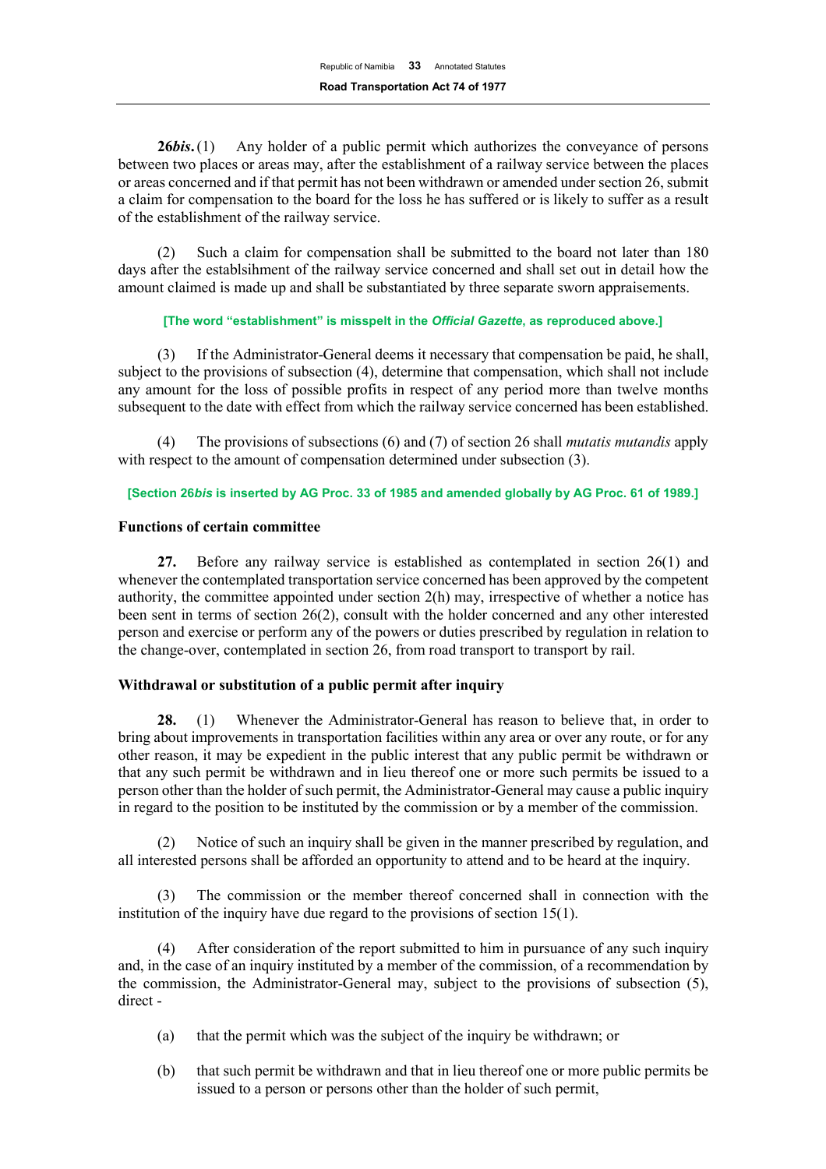**26***bis***.**(1) Any holder of a public permit which authorizes the conveyance of persons between two places or areas may, after the establishment of a railway service between the places or areas concerned and if that permit has not been withdrawn or amended under section 26, submit a claim for compensation to the board for the loss he has suffered or is likely to suffer as a result of the establishment of the railway service.

(2) Such a claim for compensation shall be submitted to the board not later than 180 days after the establsihment of the railway service concerned and shall set out in detail how the amount claimed is made up and shall be substantiated by three separate sworn appraisements.

#### **[The word "establishment" is misspelt in the** *Official Gazette***, as reproduced above.]**

(3) If the Administrator-General deems it necessary that compensation be paid, he shall, subject to the provisions of subsection (4), determine that compensation, which shall not include any amount for the loss of possible profits in respect of any period more than twelve months subsequent to the date with effect from which the railway service concerned has been established.

(4) The provisions of subsections (6) and (7) of section 26 shall *mutatis mutandis* apply with respect to the amount of compensation determined under subsection (3).

# **[Section 26***bis* **is inserted by AG Proc. 33 of 1985 and amended globally by AG Proc. 61 of 1989.]**

# **Functions of certain committee**

**27.** Before any railway service is established as contemplated in section 26(1) and whenever the contemplated transportation service concerned has been approved by the competent authority, the committee appointed under section 2(h) may, irrespective of whether a notice has been sent in terms of section 26(2), consult with the holder concerned and any other interested person and exercise or perform any of the powers or duties prescribed by regulation in relation to the change-over, contemplated in section 26, from road transport to transport by rail.

# **Withdrawal or substitution of a public permit after inquiry**

**28.** (1) Whenever the Administrator-General has reason to believe that, in order to bring about improvements in transportation facilities within any area or over any route, or for any other reason, it may be expedient in the public interest that any public permit be withdrawn or that any such permit be withdrawn and in lieu thereof one or more such permits be issued to a person other than the holder of such permit, the Administrator-General may cause a public inquiry in regard to the position to be instituted by the commission or by a member of the commission.

(2) Notice of such an inquiry shall be given in the manner prescribed by regulation, and all interested persons shall be afforded an opportunity to attend and to be heard at the inquiry.

The commission or the member thereof concerned shall in connection with the institution of the inquiry have due regard to the provisions of section 15(1).

(4) After consideration of the report submitted to him in pursuance of any such inquiry and, in the case of an inquiry instituted by a member of the commission, of a recommendation by the commission, the Administrator-General may, subject to the provisions of subsection (5), direct -

- (a) that the permit which was the subject of the inquiry be withdrawn; or
- (b) that such permit be withdrawn and that in lieu thereof one or more public permits be issued to a person or persons other than the holder of such permit,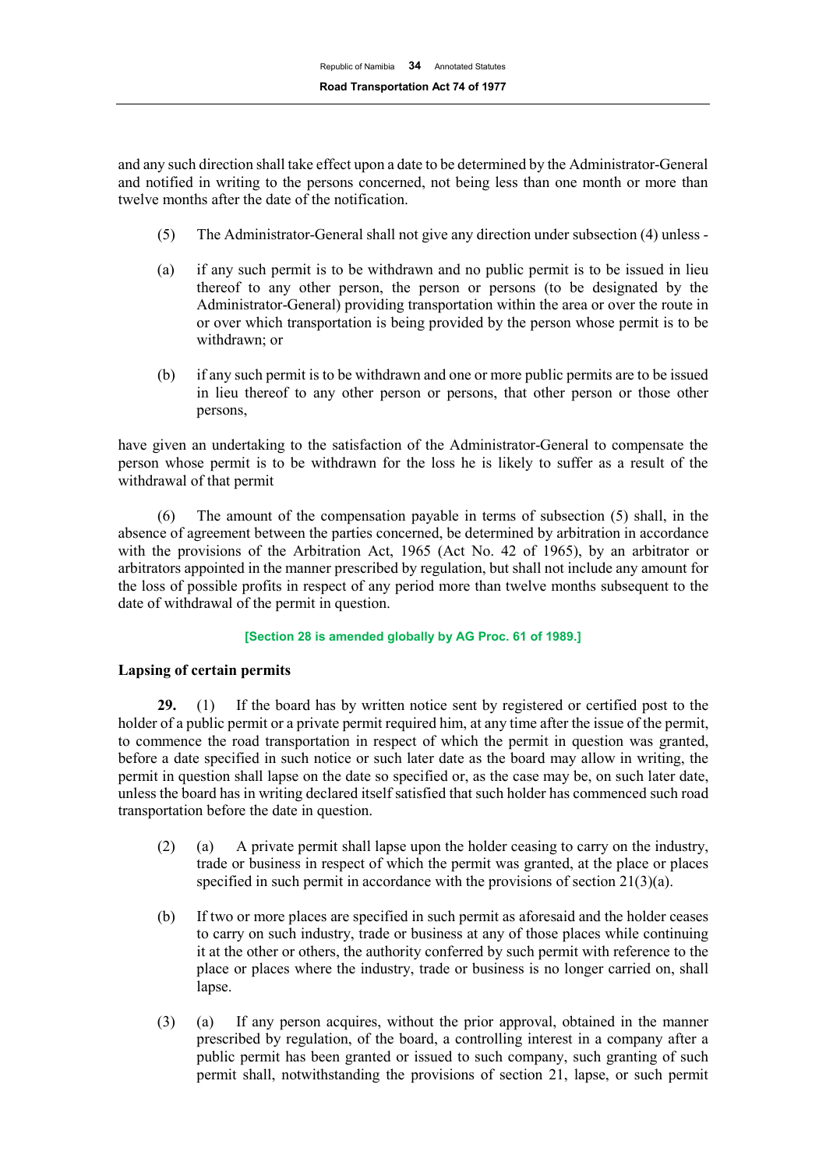and any such direction shall take effect upon a date to be determined by the Administrator-General and notified in writing to the persons concerned, not being less than one month or more than twelve months after the date of the notification.

- (5) The Administrator-General shall not give any direction under subsection (4) unless -
- (a) if any such permit is to be withdrawn and no public permit is to be issued in lieu thereof to any other person, the person or persons (to be designated by the Administrator-General) providing transportation within the area or over the route in or over which transportation is being provided by the person whose permit is to be withdrawn; or
- (b) if any such permit is to be withdrawn and one or more public permits are to be issued in lieu thereof to any other person or persons, that other person or those other persons,

have given an undertaking to the satisfaction of the Administrator-General to compensate the person whose permit is to be withdrawn for the loss he is likely to suffer as a result of the withdrawal of that permit

(6) The amount of the compensation payable in terms of subsection (5) shall, in the absence of agreement between the parties concerned, be determined by arbitration in accordance with the provisions of the Arbitration Act, 1965 (Act No. 42 of 1965), by an arbitrator or arbitrators appointed in the manner prescribed by regulation, but shall not include any amount for the loss of possible profits in respect of any period more than twelve months subsequent to the date of withdrawal of the permit in question.

#### **[Section 28 is amended globally by AG Proc. 61 of 1989.]**

# **Lapsing of certain permits**

**29.** (1) If the board has by written notice sent by registered or certified post to the holder of a public permit or a private permit required him, at any time after the issue of the permit, to commence the road transportation in respect of which the permit in question was granted, before a date specified in such notice or such later date as the board may allow in writing, the permit in question shall lapse on the date so specified or, as the case may be, on such later date, unless the board has in writing declared itself satisfied that such holder has commenced such road transportation before the date in question.

- (2) (a) A private permit shall lapse upon the holder ceasing to carry on the industry, trade or business in respect of which the permit was granted, at the place or places specified in such permit in accordance with the provisions of section 21(3)(a).
- (b) If two or more places are specified in such permit as aforesaid and the holder ceases to carry on such industry, trade or business at any of those places while continuing it at the other or others, the authority conferred by such permit with reference to the place or places where the industry, trade or business is no longer carried on, shall lapse.
- (3) (a) If any person acquires, without the prior approval, obtained in the manner prescribed by regulation, of the board, a controlling interest in a company after a public permit has been granted or issued to such company, such granting of such permit shall, notwithstanding the provisions of section 21, lapse, or such permit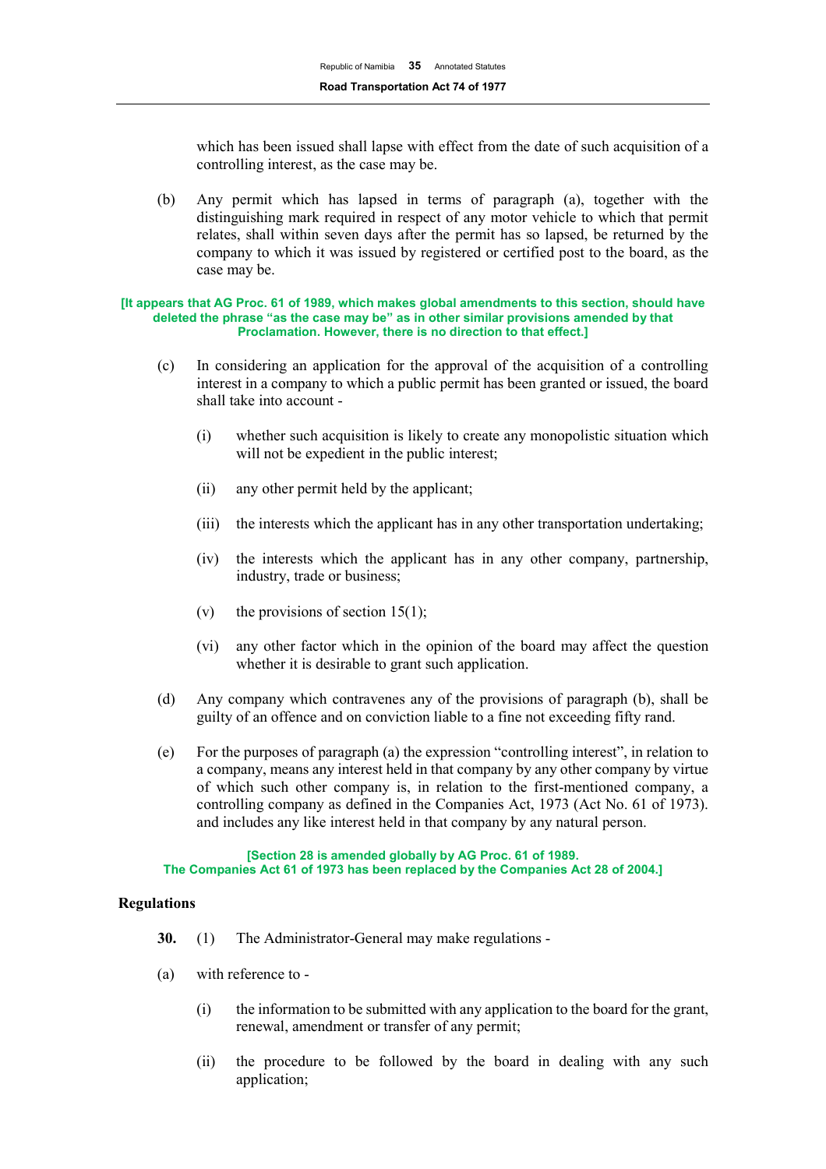which has been issued shall lapse with effect from the date of such acquisition of a controlling interest, as the case may be.

(b) Any permit which has lapsed in terms of paragraph (a), together with the distinguishing mark required in respect of any motor vehicle to which that permit relates, shall within seven days after the permit has so lapsed, be returned by the company to which it was issued by registered or certified post to the board, as the case may be.

#### **[It appears that AG Proc. 61 of 1989, which makes global amendments to this section, should have deleted the phrase "as the case may be" as in other similar provisions amended by that Proclamation. However, there is no direction to that effect.]**

- (c) In considering an application for the approval of the acquisition of a controlling interest in a company to which a public permit has been granted or issued, the board shall take into account -
	- (i) whether such acquisition is likely to create any monopolistic situation which will not be expedient in the public interest;
	- (ii) any other permit held by the applicant;
	- (iii) the interests which the applicant has in any other transportation undertaking;
	- (iv) the interests which the applicant has in any other company, partnership, industry, trade or business;
	- (v) the provisions of section 15(1);
	- (vi) any other factor which in the opinion of the board may affect the question whether it is desirable to grant such application.
- (d) Any company which contravenes any of the provisions of paragraph (b), shall be guilty of an offence and on conviction liable to a fine not exceeding fifty rand.
- (e) For the purposes of paragraph (a) the expression "controlling interest", in relation to a company, means any interest held in that company by any other company by virtue of which such other company is, in relation to the first-mentioned company, a controlling company as defined in the Companies Act, 1973 (Act No. 61 of 1973). and includes any like interest held in that company by any natural person.

**[Section 28 is amended globally by AG Proc. 61 of 1989. The Companies Act 61 of 1973 has been replaced by the Companies Act 28 of 2004.]**

# **Regulations**

- **30.** (1) The Administrator-General may make regulations -
- (a) with reference to
	- (i) the information to be submitted with any application to the board for the grant, renewal, amendment or transfer of any permit;
	- (ii) the procedure to be followed by the board in dealing with any such application;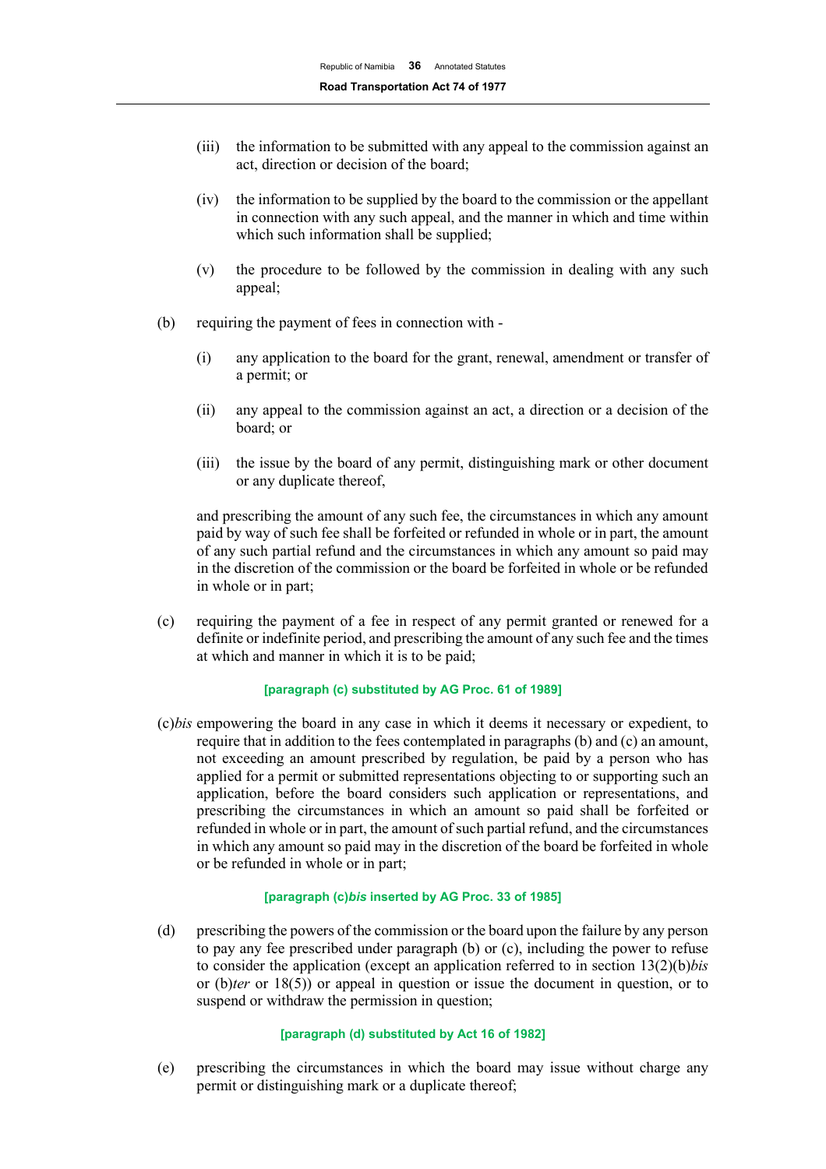- (iii) the information to be submitted with any appeal to the commission against an act, direction or decision of the board;
- (iv) the information to be supplied by the board to the commission or the appellant in connection with any such appeal, and the manner in which and time within which such information shall be supplied;
- (v) the procedure to be followed by the commission in dealing with any such appeal;
- (b) requiring the payment of fees in connection with
	- (i) any application to the board for the grant, renewal, amendment or transfer of a permit; or
	- (ii) any appeal to the commission against an act, a direction or a decision of the board; or
	- (iii) the issue by the board of any permit, distinguishing mark or other document or any duplicate thereof,

and prescribing the amount of any such fee, the circumstances in which any amount paid by way of such fee shall be forfeited or refunded in whole or in part, the amount of any such partial refund and the circumstances in which any amount so paid may in the discretion of the commission or the board be forfeited in whole or be refunded in whole or in part;

(c) requiring the payment of a fee in respect of any permit granted or renewed for a definite or indefinite period, and prescribing the amount of any such fee and the times at which and manner in which it is to be paid;

#### **[paragraph (c) substituted by AG Proc. 61 of 1989]**

(c)*bis* empowering the board in any case in which it deems it necessary or expedient, to require that in addition to the fees contemplated in paragraphs (b) and (c) an amount, not exceeding an amount prescribed by regulation, be paid by a person who has applied for a permit or submitted representations objecting to or supporting such an application, before the board considers such application or representations, and prescribing the circumstances in which an amount so paid shall be forfeited or refunded in whole or in part, the amount of such partial refund, and the circumstances in which any amount so paid may in the discretion of the board be forfeited in whole or be refunded in whole or in part;

## **[paragraph (c)***bis* **inserted by AG Proc. 33 of 1985]**

(d) prescribing the powers of the commission or the board upon the failure by any person to pay any fee prescribed under paragraph (b) or (c), including the power to refuse to consider the application (except an application referred to in section 13(2)(b)*bis*  or (b)*ter* or 18(5)) or appeal in question or issue the document in question, or to suspend or withdraw the permission in question;

#### **[paragraph (d) substituted by Act 16 of 1982]**

(e) prescribing the circumstances in which the board may issue without charge any permit or distinguishing mark or a duplicate thereof;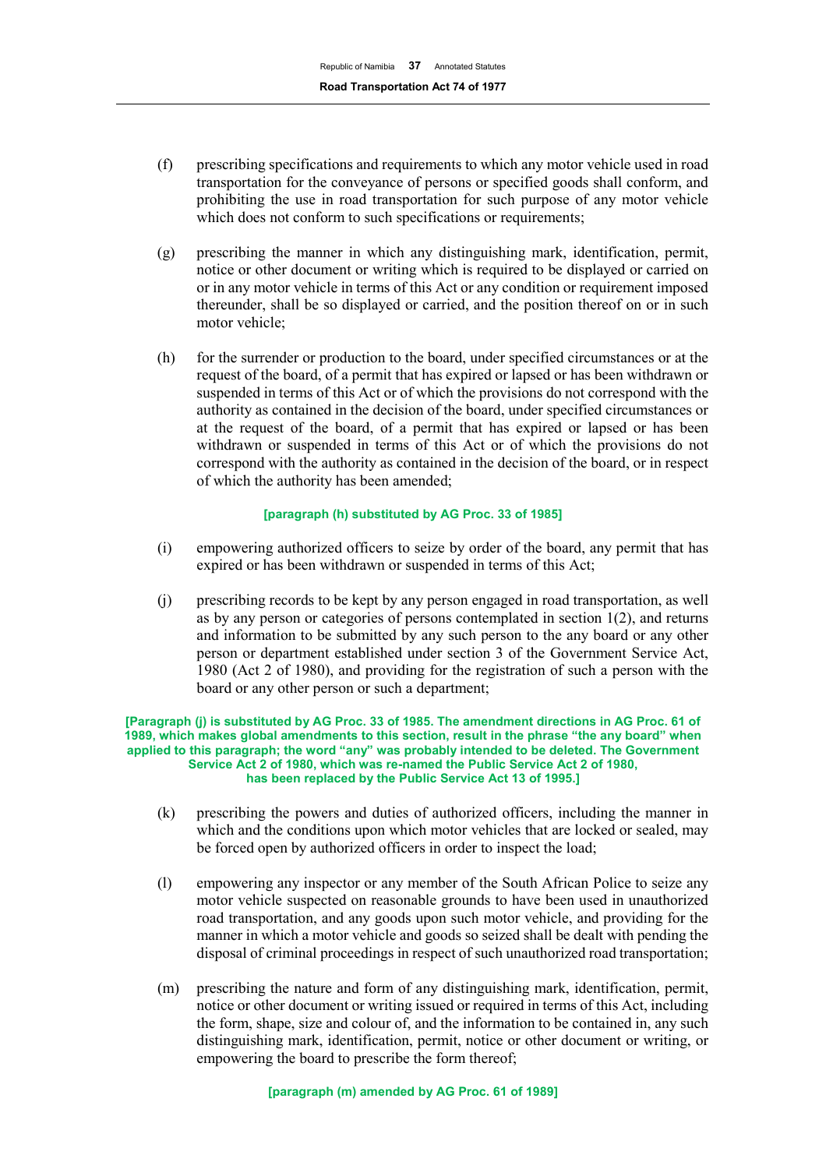- (f) prescribing specifications and requirements to which any motor vehicle used in road transportation for the conveyance of persons or specified goods shall conform, and prohibiting the use in road transportation for such purpose of any motor vehicle which does not conform to such specifications or requirements;
- (g) prescribing the manner in which any distinguishing mark, identification, permit, notice or other document or writing which is required to be displayed or carried on or in any motor vehicle in terms of this Act or any condition or requirement imposed thereunder, shall be so displayed or carried, and the position thereof on or in such motor vehicle;
- (h) for the surrender or production to the board, under specified circumstances or at the request of the board, of a permit that has expired or lapsed or has been withdrawn or suspended in terms of this Act or of which the provisions do not correspond with the authority as contained in the decision of the board, under specified circumstances or at the request of the board, of a permit that has expired or lapsed or has been withdrawn or suspended in terms of this Act or of which the provisions do not correspond with the authority as contained in the decision of the board, or in respect of which the authority has been amended;

#### **[paragraph (h) substituted by AG Proc. 33 of 1985]**

- (i) empowering authorized officers to seize by order of the board, any permit that has expired or has been withdrawn or suspended in terms of this Act;
- (j) prescribing records to be kept by any person engaged in road transportation, as well as by any person or categories of persons contemplated in section 1(2), and returns and information to be submitted by any such person to the any board or any other person or department established under section 3 of the Government Service Act, 1980 (Act 2 of 1980), and providing for the registration of such a person with the board or any other person or such a department;

#### **[Paragraph (j) is substituted by AG Proc. 33 of 1985. The amendment directions in AG Proc. 61 of 1989, which makes global amendments to this section, result in the phrase "the any board" when applied to this paragraph; the word "any" was probably intended to be deleted. The Government Service Act 2 of 1980, which was re-named the Public Service Act 2 of 1980, has been replaced by the Public Service Act 13 of 1995.]**

- (k) prescribing the powers and duties of authorized officers, including the manner in which and the conditions upon which motor vehicles that are locked or sealed, may be forced open by authorized officers in order to inspect the load;
- (l) empowering any inspector or any member of the South African Police to seize any motor vehicle suspected on reasonable grounds to have been used in unauthorized road transportation, and any goods upon such motor vehicle, and providing for the manner in which a motor vehicle and goods so seized shall be dealt with pending the disposal of criminal proceedings in respect of such unauthorized road transportation;
- (m) prescribing the nature and form of any distinguishing mark, identification, permit, notice or other document or writing issued or required in terms of this Act, including the form, shape, size and colour of, and the information to be contained in, any such distinguishing mark, identification, permit, notice or other document or writing, or empowering the board to prescribe the form thereof;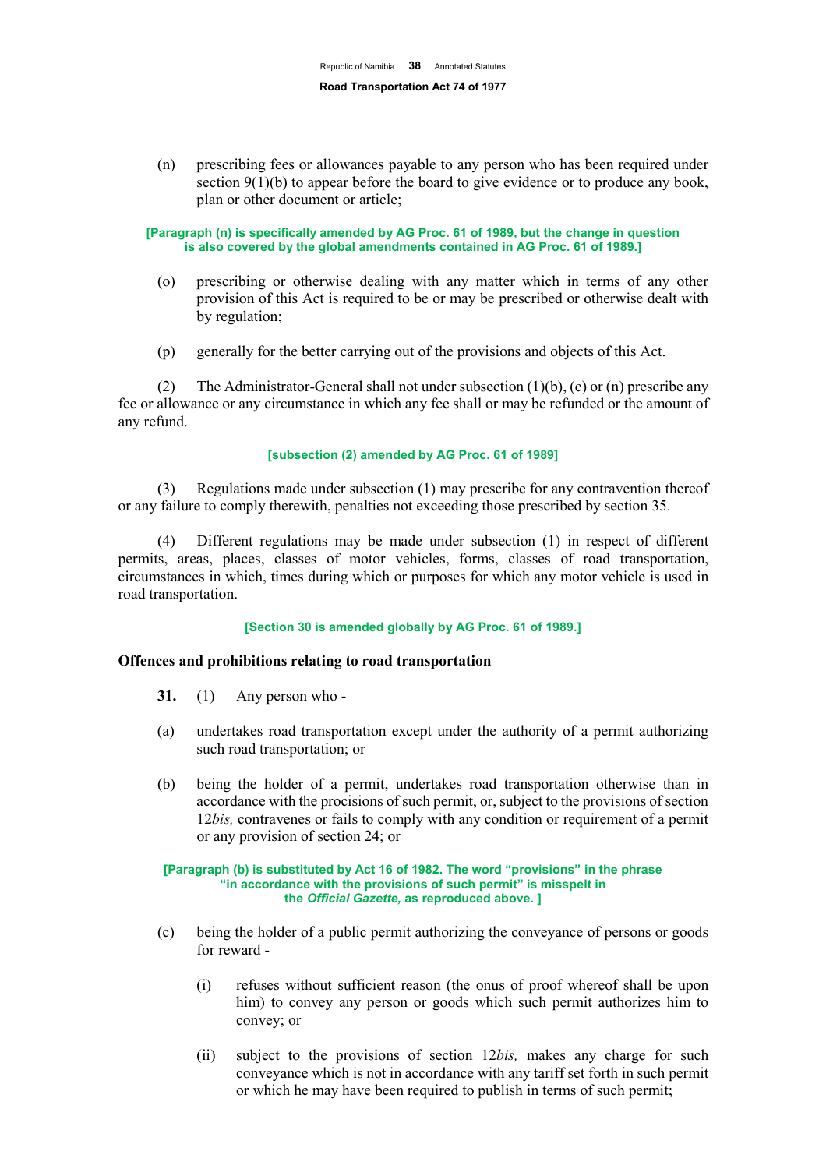(n) prescribing fees or allowances payable to any person who has been required under section 9(1)(b) to appear before the board to give evidence or to produce any book, plan or other document or article;

**[Paragraph (n) is specifically amended by AG Proc. 61 of 1989, but the change in question is also covered by the global amendments contained in AG Proc. 61 of 1989.]**

- (o) prescribing or otherwise dealing with any matter which in terms of any other provision of this Act is required to be or may be prescribed or otherwise dealt with by regulation;
- (p) generally for the better carrying out of the provisions and objects of this Act.

(2) The Administrator-General shall not under subsection (1)(b), (c) or (n) prescribe any fee or allowance or any circumstance in which any fee shall or may be refunded or the amount of any refund.

## **[subsection (2) amended by AG Proc. 61 of 1989]**

(3) Regulations made under subsection (1) may prescribe for any contravention thereof or any failure to comply therewith, penalties not exceeding those prescribed by section 35.

(4) Different regulations may be made under subsection (1) in respect of different permits, areas, places, classes of motor vehicles, forms, classes of road transportation, circumstances in which, times during which or purposes for which any motor vehicle is used in road transportation.

#### **[Section 30 is amended globally by AG Proc. 61 of 1989.]**

#### **Offences and prohibitions relating to road transportation**

- **31.** (1) Any person who -
- (a) undertakes road transportation except under the authority of a permit authorizing such road transportation; or
- (b) being the holder of a permit, undertakes road transportation otherwise than in accordance with the procisions of such permit, or, subject to the provisions of section 12*bis,* contravenes or fails to comply with any condition or requirement of a permit or any provision of section 24; or

#### **[Paragraph (b) is substituted by Act 16 of 1982. The word "provisions" in the phrase "in accordance with the provisions of such permit" is misspelt in the** *Official Gazette,* **as reproduced above. ]**

- (c) being the holder of a public permit authorizing the conveyance of persons or goods for reward -
	- (i) refuses without sufficient reason (the onus of proof whereof shall be upon him) to convey any person or goods which such permit authorizes him to convey; or
	- (ii) subject to the provisions of section 12*bis,* makes any charge for such conveyance which is not in accordance with any tariff set forth in such permit or which he may have been required to publish in terms of such permit;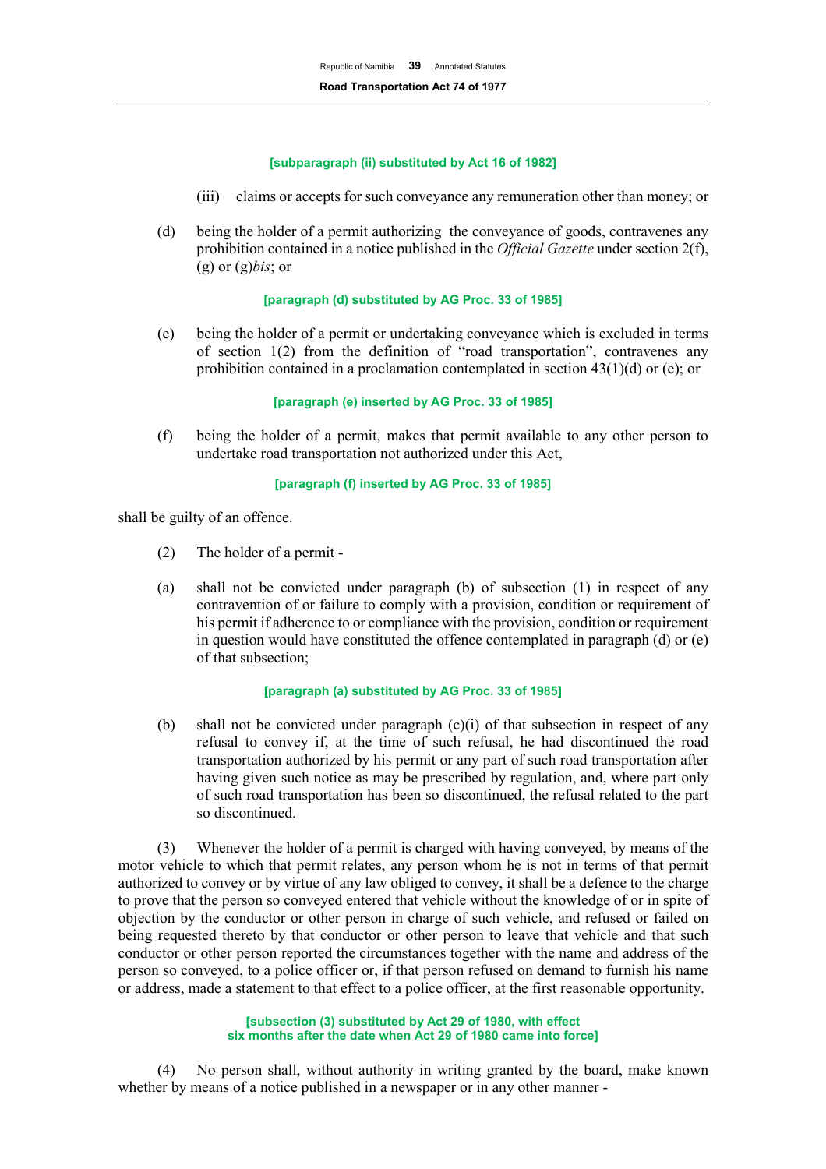## **[subparagraph (ii) substituted by Act 16 of 1982]**

- (iii) claims or accepts for such conveyance any remuneration other than money; or
- (d) being the holder of a permit authorizing the conveyance of goods, contravenes any prohibition contained in a notice published in the *Official Gazette* under section 2(f), (g) or (g)*bis*; or

## **[paragraph (d) substituted by AG Proc. 33 of 1985]**

(e) being the holder of a permit or undertaking conveyance which is excluded in terms of section 1(2) from the definition of "road transportation", contravenes any prohibition contained in a proclamation contemplated in section 43(1)(d) or (e); or

## **[paragraph (e) inserted by AG Proc. 33 of 1985]**

(f) being the holder of a permit, makes that permit available to any other person to undertake road transportation not authorized under this Act,

## **[paragraph (f) inserted by AG Proc. 33 of 1985]**

shall be guilty of an offence.

- (2) The holder of a permit -
- (a) shall not be convicted under paragraph (b) of subsection (1) in respect of any contravention of or failure to comply with a provision, condition or requirement of his permit if adherence to or compliance with the provision, condition or requirement in question would have constituted the offence contemplated in paragraph (d) or (e) of that subsection;

# **[paragraph (a) substituted by AG Proc. 33 of 1985]**

(b) shall not be convicted under paragraph  $(c)(i)$  of that subsection in respect of any refusal to convey if, at the time of such refusal, he had discontinued the road transportation authorized by his permit or any part of such road transportation after having given such notice as may be prescribed by regulation, and, where part only of such road transportation has been so discontinued, the refusal related to the part so discontinued.

(3) Whenever the holder of a permit is charged with having conveyed, by means of the motor vehicle to which that permit relates, any person whom he is not in terms of that permit authorized to convey or by virtue of any law obliged to convey, it shall be a defence to the charge to prove that the person so conveyed entered that vehicle without the knowledge of or in spite of objection by the conductor or other person in charge of such vehicle, and refused or failed on being requested thereto by that conductor or other person to leave that vehicle and that such conductor or other person reported the circumstances together with the name and address of the person so conveyed, to a police officer or, if that person refused on demand to furnish his name or address, made a statement to that effect to a police officer, at the first reasonable opportunity.

#### **[subsection (3) substituted by Act 29 of 1980, with effect six months after the date when Act 29 of 1980 came into force]**

(4) No person shall, without authority in writing granted by the board, make known whether by means of a notice published in a newspaper or in any other manner -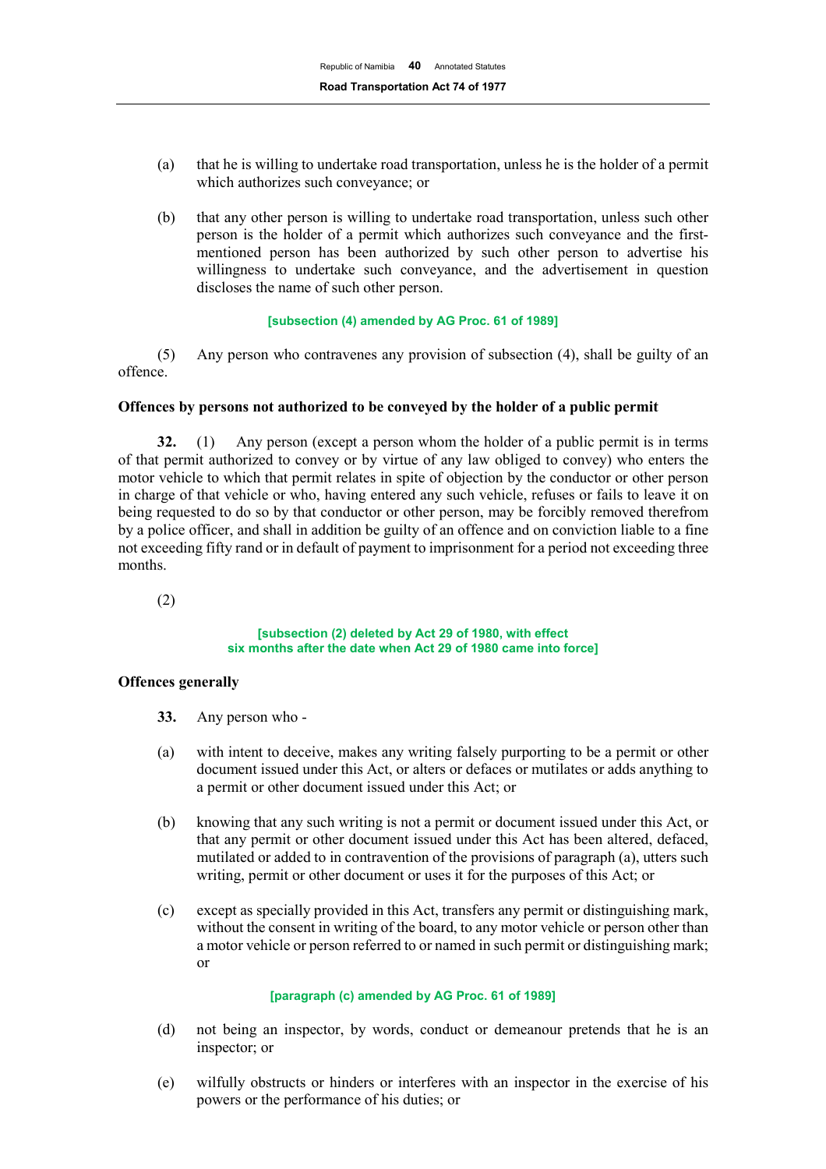- (a) that he is willing to undertake road transportation, unless he is the holder of a permit which authorizes such conveyance; or
- (b) that any other person is willing to undertake road transportation, unless such other person is the holder of a permit which authorizes such conveyance and the firstmentioned person has been authorized by such other person to advertise his willingness to undertake such conveyance, and the advertisement in question discloses the name of such other person.

#### **[subsection (4) amended by AG Proc. 61 of 1989]**

(5) Any person who contravenes any provision of subsection (4), shall be guilty of an offence.

# **Offences by persons not authorized to be conveyed by the holder of a public permit**

**32.** (1) Any person (except a person whom the holder of a public permit is in terms of that permit authorized to convey or by virtue of any law obliged to convey) who enters the motor vehicle to which that permit relates in spite of objection by the conductor or other person in charge of that vehicle or who, having entered any such vehicle, refuses or fails to leave it on being requested to do so by that conductor or other person, may be forcibly removed therefrom by a police officer, and shall in addition be guilty of an offence and on conviction liable to a fine not exceeding fifty rand or in default of payment to imprisonment for a period not exceeding three months.

(2)

#### **[subsection (2) deleted by Act 29 of 1980, with effect six months after the date when Act 29 of 1980 came into force]**

#### **Offences generally**

- **33.** Any person who -
- (a) with intent to deceive, makes any writing falsely purporting to be a permit or other document issued under this Act, or alters or defaces or mutilates or adds anything to a permit or other document issued under this Act; or
- (b) knowing that any such writing is not a permit or document issued under this Act, or that any permit or other document issued under this Act has been altered, defaced, mutilated or added to in contravention of the provisions of paragraph (a), utters such writing, permit or other document or uses it for the purposes of this Act; or
- (c) except as specially provided in this Act, transfers any permit or distinguishing mark, without the consent in writing of the board, to any motor vehicle or person other than a motor vehicle or person referred to or named in such permit or distinguishing mark; or

## **[paragraph (c) amended by AG Proc. 61 of 1989]**

- (d) not being an inspector, by words, conduct or demeanour pretends that he is an inspector; or
- (e) wilfully obstructs or hinders or interferes with an inspector in the exercise of his powers or the performance of his duties; or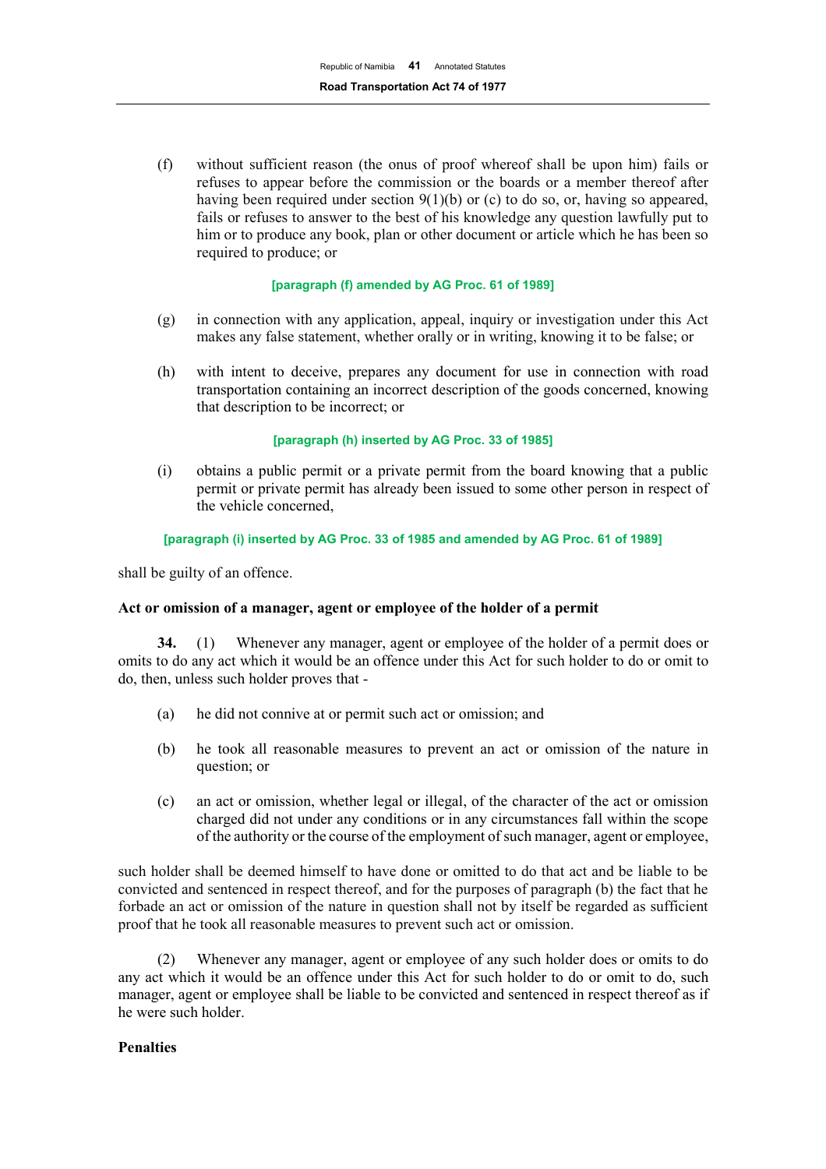(f) without sufficient reason (the onus of proof whereof shall be upon him) fails or refuses to appear before the commission or the boards or a member thereof after having been required under section 9(1)(b) or (c) to do so, or, having so appeared, fails or refuses to answer to the best of his knowledge any question lawfully put to him or to produce any book, plan or other document or article which he has been so required to produce; or

#### **[paragraph (f) amended by AG Proc. 61 of 1989]**

- (g) in connection with any application, appeal, inquiry or investigation under this Act makes any false statement, whether orally or in writing, knowing it to be false; or
- (h) with intent to deceive, prepares any document for use in connection with road transportation containing an incorrect description of the goods concerned, knowing that description to be incorrect; or

#### **[paragraph (h) inserted by AG Proc. 33 of 1985]**

(i) obtains a public permit or a private permit from the board knowing that a public permit or private permit has already been issued to some other person in respect of the vehicle concerned,

#### **[paragraph (i) inserted by AG Proc. 33 of 1985 and amended by AG Proc. 61 of 1989]**

shall be guilty of an offence.

#### **Act or omission of a manager, agent or employee of the holder of a permit**

**34.** (1) Whenever any manager, agent or employee of the holder of a permit does or omits to do any act which it would be an offence under this Act for such holder to do or omit to do, then, unless such holder proves that -

- (a) he did not connive at or permit such act or omission; and
- (b) he took all reasonable measures to prevent an act or omission of the nature in question; or
- (c) an act or omission, whether legal or illegal, of the character of the act or omission charged did not under any conditions or in any circumstances fall within the scope of the authority or the course of the employment of such manager, agent or employee,

such holder shall be deemed himself to have done or omitted to do that act and be liable to be convicted and sentenced in respect thereof, and for the purposes of paragraph (b) the fact that he forbade an act or omission of the nature in question shall not by itself be regarded as sufficient proof that he took all reasonable measures to prevent such act or omission.

(2) Whenever any manager, agent or employee of any such holder does or omits to do any act which it would be an offence under this Act for such holder to do or omit to do, such manager, agent or employee shall be liable to be convicted and sentenced in respect thereof as if he were such holder.

#### **Penalties**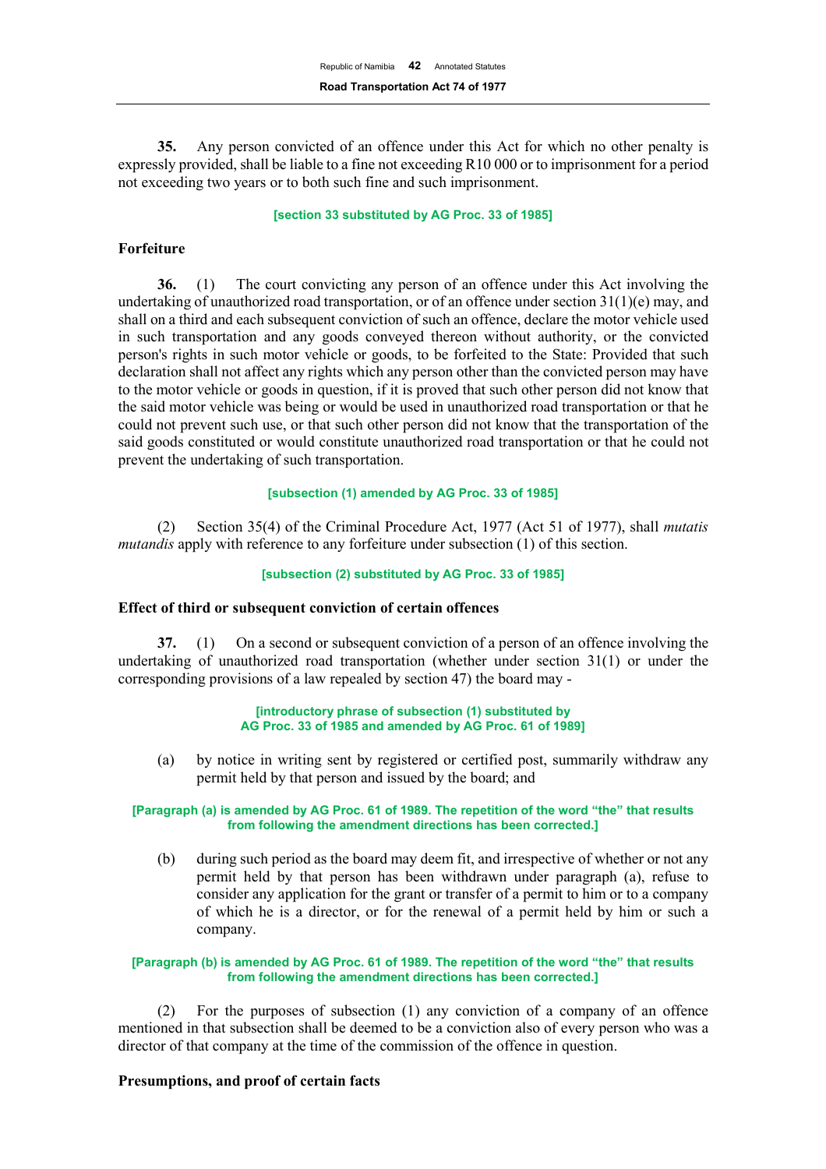**35.** Any person convicted of an offence under this Act for which no other penalty is expressly provided, shall be liable to a fine not exceeding R10 000 or to imprisonment for a period not exceeding two years or to both such fine and such imprisonment.

#### **[section 33 substituted by AG Proc. 33 of 1985]**

## **Forfeiture**

**36.** (1) The court convicting any person of an offence under this Act involving the undertaking of unauthorized road transportation, or of an offence under section  $31(1)(e)$  may, and shall on a third and each subsequent conviction of such an offence, declare the motor vehicle used in such transportation and any goods conveyed thereon without authority, or the convicted person's rights in such motor vehicle or goods, to be forfeited to the State: Provided that such declaration shall not affect any rights which any person other than the convicted person may have to the motor vehicle or goods in question, if it is proved that such other person did not know that the said motor vehicle was being or would be used in unauthorized road transportation or that he could not prevent such use, or that such other person did not know that the transportation of the said goods constituted or would constitute unauthorized road transportation or that he could not prevent the undertaking of such transportation.

## **[subsection (1) amended by AG Proc. 33 of 1985]**

(2) Section 35(4) of the Criminal Procedure Act, 1977 (Act 51 of 1977), shall *mutatis mutandis* apply with reference to any forfeiture under subsection (1) of this section.

#### **[subsection (2) substituted by AG Proc. 33 of 1985]**

#### **Effect of third or subsequent conviction of certain offences**

**37.** (1) On a second or subsequent conviction of a person of an offence involving the undertaking of unauthorized road transportation (whether under section 31(1) or under the corresponding provisions of a law repealed by section 47) the board may -

#### **[introductory phrase of subsection (1) substituted by AG Proc. 33 of 1985 and amended by AG Proc. 61 of 1989]**

(a) by notice in writing sent by registered or certified post, summarily withdraw any permit held by that person and issued by the board; and

#### **[Paragraph (a) is amended by AG Proc. 61 of 1989. The repetition of the word "the" that results from following the amendment directions has been corrected.]**

(b) during such period as the board may deem fit, and irrespective of whether or not any permit held by that person has been withdrawn under paragraph (a), refuse to consider any application for the grant or transfer of a permit to him or to a company of which he is a director, or for the renewal of a permit held by him or such a company.

#### **[Paragraph (b) is amended by AG Proc. 61 of 1989. The repetition of the word "the" that results from following the amendment directions has been corrected.]**

(2) For the purposes of subsection (1) any conviction of a company of an offence mentioned in that subsection shall be deemed to be a conviction also of every person who was a director of that company at the time of the commission of the offence in question.

#### **Presumptions, and proof of certain facts**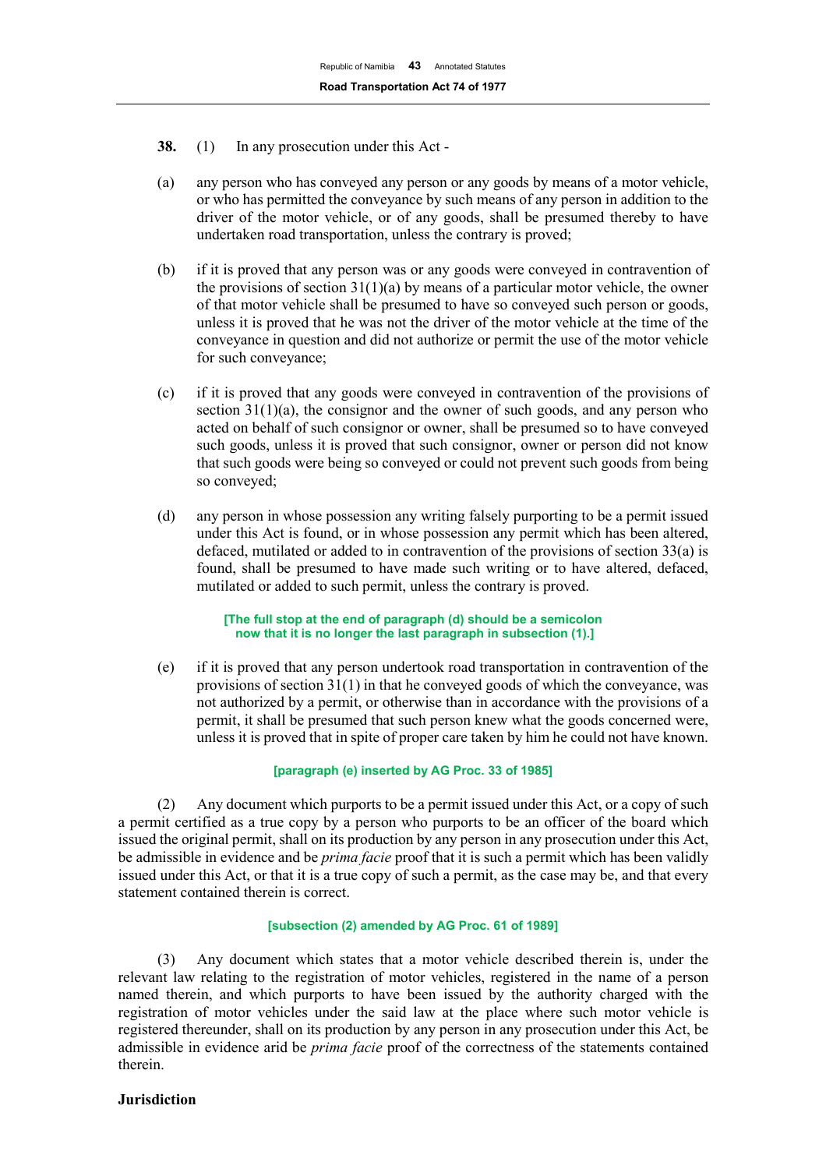- **38.** (1) In any prosecution under this Act -
- (a) any person who has conveyed any person or any goods by means of a motor vehicle, or who has permitted the conveyance by such means of any person in addition to the driver of the motor vehicle, or of any goods, shall be presumed thereby to have undertaken road transportation, unless the contrary is proved;
- (b) if it is proved that any person was or any goods were conveyed in contravention of the provisions of section  $31(1)(a)$  by means of a particular motor vehicle, the owner of that motor vehicle shall be presumed to have so conveyed such person or goods, unless it is proved that he was not the driver of the motor vehicle at the time of the conveyance in question and did not authorize or permit the use of the motor vehicle for such conveyance;
- (c) if it is proved that any goods were conveyed in contravention of the provisions of section  $31(1)(a)$ , the consignor and the owner of such goods, and any person who acted on behalf of such consignor or owner, shall be presumed so to have conveyed such goods, unless it is proved that such consignor, owner or person did not know that such goods were being so conveyed or could not prevent such goods from being so conveyed;
- (d) any person in whose possession any writing falsely purporting to be a permit issued under this Act is found, or in whose possession any permit which has been altered, defaced, mutilated or added to in contravention of the provisions of section 33(a) is found, shall be presumed to have made such writing or to have altered, defaced, mutilated or added to such permit, unless the contrary is proved.

**[The full stop at the end of paragraph (d) should be a semicolon now that it is no longer the last paragraph in subsection (1).]**

(e) if it is proved that any person undertook road transportation in contravention of the provisions of section 31(1) in that he conveyed goods of which the conveyance, was not authorized by a permit, or otherwise than in accordance with the provisions of a permit, it shall be presumed that such person knew what the goods concerned were, unless it is proved that in spite of proper care taken by him he could not have known.

# **[paragraph (e) inserted by AG Proc. 33 of 1985]**

(2) Any document which purports to be a permit issued under this Act, or a copy of such a permit certified as a true copy by a person who purports to be an officer of the board which issued the original permit, shall on its production by any person in any prosecution under this Act, be admissible in evidence and be *prima facie* proof that it is such a permit which has been validly issued under this Act, or that it is a true copy of such a permit, as the case may be, and that every statement contained therein is correct.

## **[subsection (2) amended by AG Proc. 61 of 1989]**

(3) Any document which states that a motor vehicle described therein is, under the relevant law relating to the registration of motor vehicles, registered in the name of a person named therein, and which purports to have been issued by the authority charged with the registration of motor vehicles under the said law at the place where such motor vehicle is registered thereunder, shall on its production by any person in any prosecution under this Act, be admissible in evidence arid be *prima facie* proof of the correctness of the statements contained therein.

## **Jurisdiction**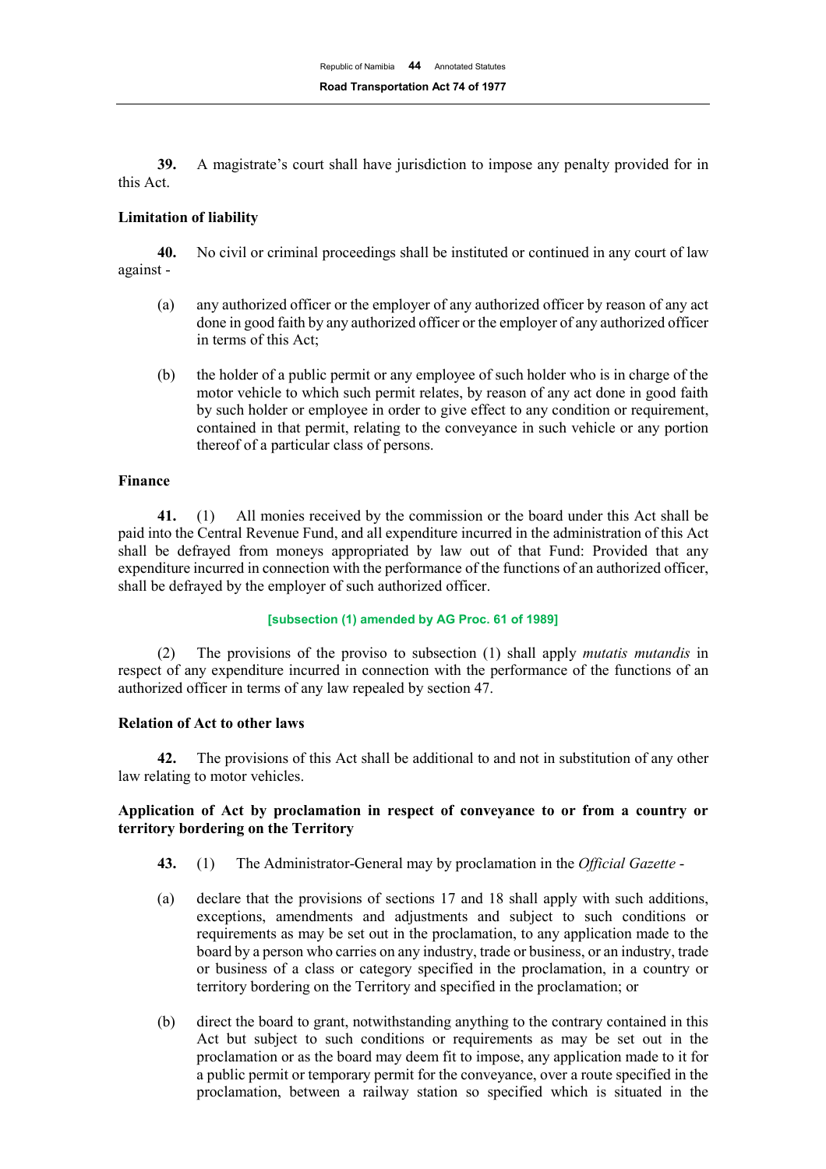**39.** A magistrate's court shall have jurisdiction to impose any penalty provided for in this Act.

## **Limitation of liability**

**40.** No civil or criminal proceedings shall be instituted or continued in any court of law against -

- (a) any authorized officer or the employer of any authorized officer by reason of any act done in good faith by any authorized officer or the employer of any authorized officer in terms of this Act;
- (b) the holder of a public permit or any employee of such holder who is in charge of the motor vehicle to which such permit relates, by reason of any act done in good faith by such holder or employee in order to give effect to any condition or requirement, contained in that permit, relating to the conveyance in such vehicle or any portion thereof of a particular class of persons.

# **Finance**

**41.** (1) All monies received by the commission or the board under this Act shall be paid into the Central Revenue Fund, and all expenditure incurred in the administration of this Act shall be defrayed from moneys appropriated by law out of that Fund: Provided that any expenditure incurred in connection with the performance of the functions of an authorized officer, shall be defrayed by the employer of such authorized officer.

#### **[subsection (1) amended by AG Proc. 61 of 1989]**

(2) The provisions of the proviso to subsection (1) shall apply *mutatis mutandis* in respect of any expenditure incurred in connection with the performance of the functions of an authorized officer in terms of any law repealed by section 47.

# **Relation of Act to other laws**

**42.** The provisions of this Act shall be additional to and not in substitution of any other law relating to motor vehicles.

# **Application of Act by proclamation in respect of conveyance to or from a country or territory bordering on the Territory**

- **43.** (1) The Administrator-General may by proclamation in the *Official Gazette* -
- (a) declare that the provisions of sections 17 and 18 shall apply with such additions, exceptions, amendments and adjustments and subject to such conditions or requirements as may be set out in the proclamation, to any application made to the board by a person who carries on any industry, trade or business, or an industry, trade or business of a class or category specified in the proclamation, in a country or territory bordering on the Territory and specified in the proclamation; or
- (b) direct the board to grant, notwithstanding anything to the contrary contained in this Act but subject to such conditions or requirements as may be set out in the proclamation or as the board may deem fit to impose, any application made to it for a public permit or temporary permit for the conveyance, over a route specified in the proclamation, between a railway station so specified which is situated in the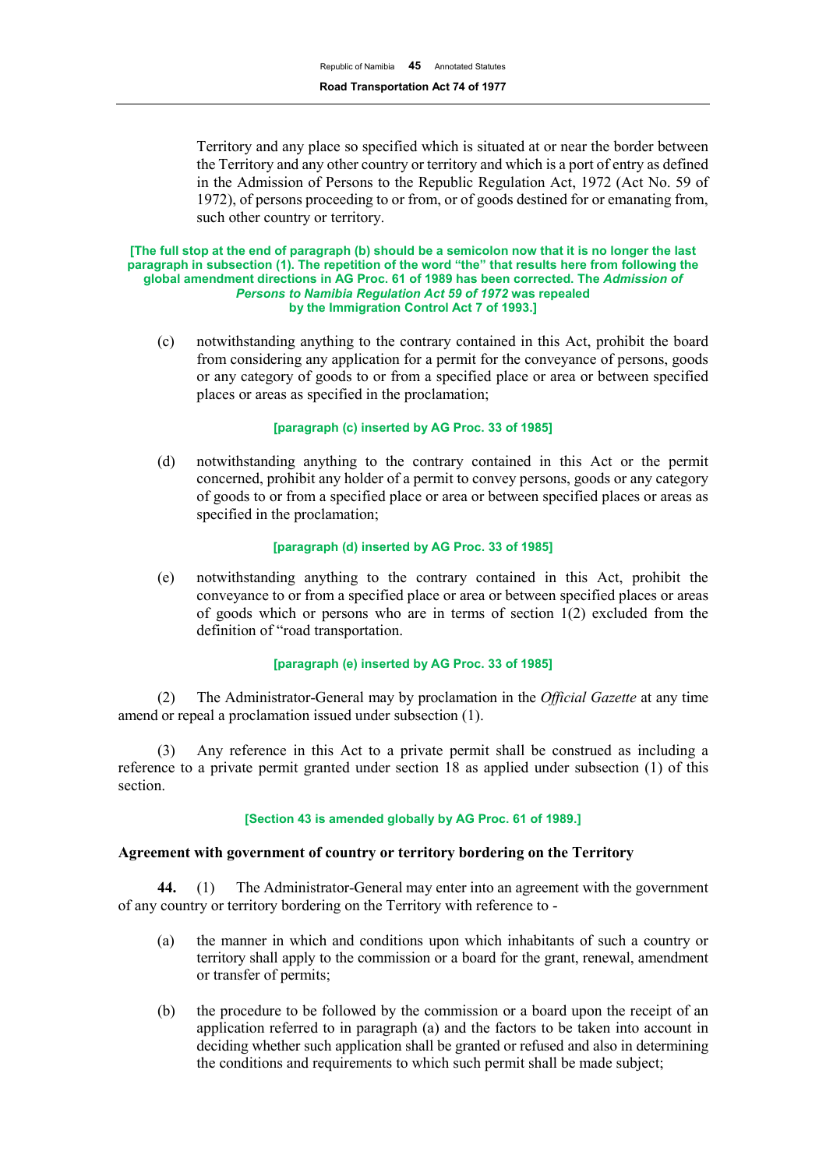Territory and any place so specified which is situated at or near the border between the Territory and any other country or territory and which is a port of entry as defined in the Admission of Persons to the Republic Regulation Act, 1972 (Act No. 59 of 1972), of persons proceeding to or from, or of goods destined for or emanating from, such other country or territory.

#### **[The full stop at the end of paragraph (b) should be a semicolon now that it is no longer the last paragraph in subsection (1). The repetition of the word "the" that results here from following the global amendment directions in AG Proc. 61 of 1989 has been corrected. The** *Admission of Persons to Namibia Regulation Act 59 of 1972* **was repealed by the Immigration Control Act 7 of 1993.]**

(c) notwithstanding anything to the contrary contained in this Act, prohibit the board from considering any application for a permit for the conveyance of persons, goods or any category of goods to or from a specified place or area or between specified places or areas as specified in the proclamation;

## **[paragraph (c) inserted by AG Proc. 33 of 1985]**

(d) notwithstanding anything to the contrary contained in this Act or the permit concerned, prohibit any holder of a permit to convey persons, goods or any category of goods to or from a specified place or area or between specified places or areas as specified in the proclamation;

## **[paragraph (d) inserted by AG Proc. 33 of 1985]**

(e) notwithstanding anything to the contrary contained in this Act, prohibit the conveyance to or from a specified place or area or between specified places or areas of goods which or persons who are in terms of section 1(2) excluded from the definition of "road transportation.

#### **[paragraph (e) inserted by AG Proc. 33 of 1985]**

(2) The Administrator-General may by proclamation in the *Official Gazette* at any time amend or repeal a proclamation issued under subsection (1).

(3) Any reference in this Act to a private permit shall be construed as including a reference to a private permit granted under section 18 as applied under subsection (1) of this section.

#### **[Section 43 is amended globally by AG Proc. 61 of 1989.]**

# **Agreement with government of country or territory bordering on the Territory**

**44.** (1) The Administrator-General may enter into an agreement with the government of any country or territory bordering on the Territory with reference to -

- (a) the manner in which and conditions upon which inhabitants of such a country or territory shall apply to the commission or a board for the grant, renewal, amendment or transfer of permits;
- (b) the procedure to be followed by the commission or a board upon the receipt of an application referred to in paragraph (a) and the factors to be taken into account in deciding whether such application shall be granted or refused and also in determining the conditions and requirements to which such permit shall be made subject;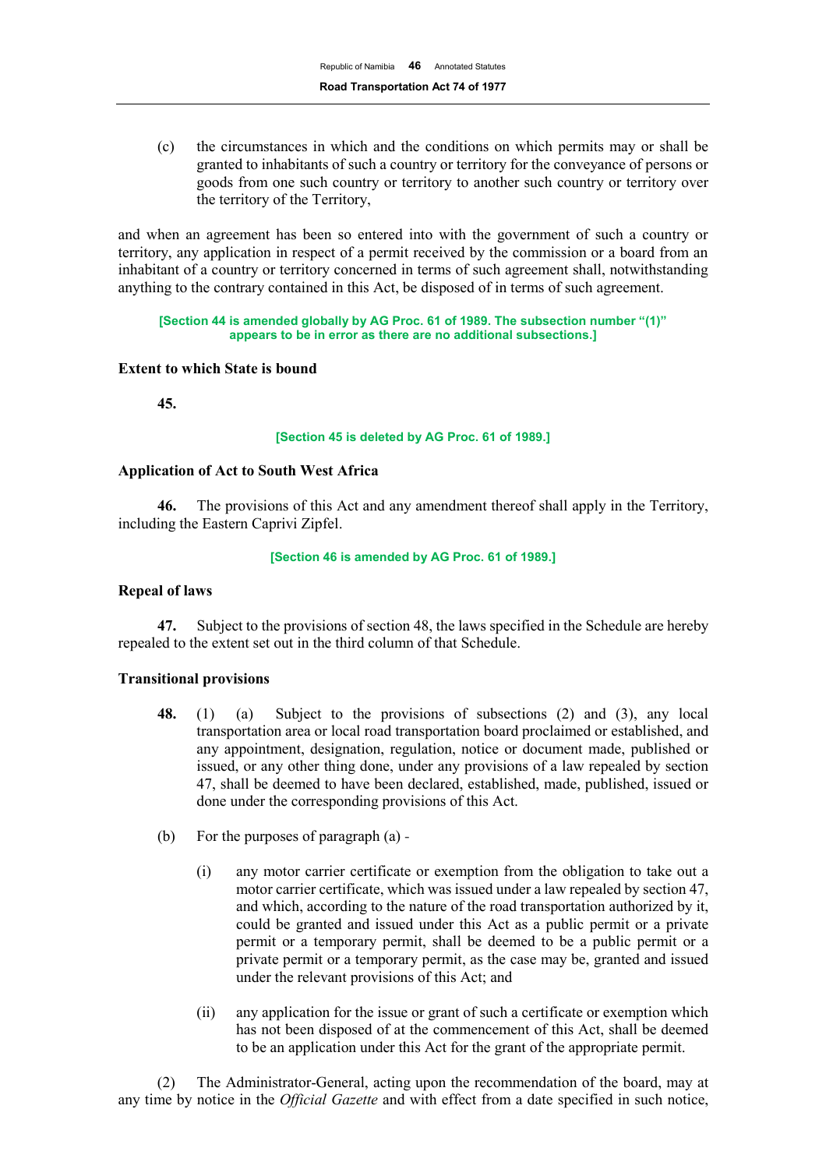(c) the circumstances in which and the conditions on which permits may or shall be granted to inhabitants of such a country or territory for the conveyance of persons or goods from one such country or territory to another such country or territory over the territory of the Territory,

and when an agreement has been so entered into with the government of such a country or territory, any application in respect of a permit received by the commission or a board from an inhabitant of a country or territory concerned in terms of such agreement shall, notwithstanding anything to the contrary contained in this Act, be disposed of in terms of such agreement.

**[Section 44 is amended globally by AG Proc. 61 of 1989. The subsection number "(1)" appears to be in error as there are no additional subsections.]**

## **Extent to which State is bound**

**45.**

#### **[Section 45 is deleted by AG Proc. 61 of 1989.]**

## **Application of Act to South West Africa**

**46.** The provisions of this Act and any amendment thereof shall apply in the Territory, including the Eastern Caprivi Zipfel.

#### **[Section 46 is amended by AG Proc. 61 of 1989.]**

## **Repeal of laws**

**47.** Subject to the provisions of section 48, the laws specified in the Schedule are hereby repealed to the extent set out in the third column of that Schedule.

#### **Transitional provisions**

- **48.** (1) (a) Subject to the provisions of subsections (2) and (3), any local transportation area or local road transportation board proclaimed or established, and any appointment, designation, regulation, notice or document made, published or issued, or any other thing done, under any provisions of a law repealed by section 47, shall be deemed to have been declared, established, made, published, issued or done under the corresponding provisions of this Act.
- (b) For the purposes of paragraph (a)
	- (i) any motor carrier certificate or exemption from the obligation to take out a motor carrier certificate, which was issued under a law repealed by section 47, and which, according to the nature of the road transportation authorized by it, could be granted and issued under this Act as a public permit or a private permit or a temporary permit, shall be deemed to be a public permit or a private permit or a temporary permit, as the case may be, granted and issued under the relevant provisions of this Act; and
	- (ii) any application for the issue or grant of such a certificate or exemption which has not been disposed of at the commencement of this Act, shall be deemed to be an application under this Act for the grant of the appropriate permit.

(2) The Administrator-General, acting upon the recommendation of the board, may at any time by notice in the *Official Gazette* and with effect from a date specified in such notice,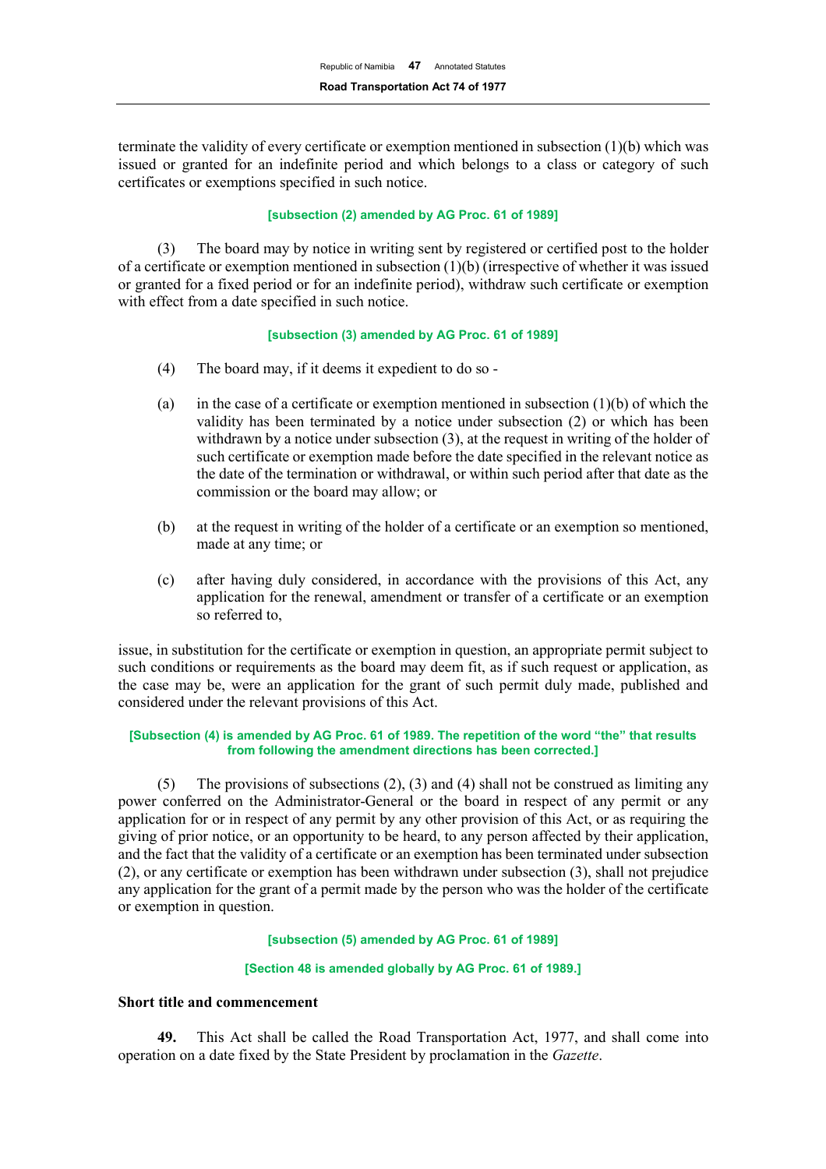terminate the validity of every certificate or exemption mentioned in subsection (1)(b) which was issued or granted for an indefinite period and which belongs to a class or category of such certificates or exemptions specified in such notice.

#### **[subsection (2) amended by AG Proc. 61 of 1989]**

(3) The board may by notice in writing sent by registered or certified post to the holder of a certificate or exemption mentioned in subsection (1)(b) (irrespective of whether it was issued or granted for a fixed period or for an indefinite period), withdraw such certificate or exemption with effect from a date specified in such notice.

#### **[subsection (3) amended by AG Proc. 61 of 1989]**

- (4) The board may, if it deems it expedient to do so -
- (a) in the case of a certificate or exemption mentioned in subsection  $(1)(b)$  of which the validity has been terminated by a notice under subsection (2) or which has been withdrawn by a notice under subsection (3), at the request in writing of the holder of such certificate or exemption made before the date specified in the relevant notice as the date of the termination or withdrawal, or within such period after that date as the commission or the board may allow; or
- (b) at the request in writing of the holder of a certificate or an exemption so mentioned, made at any time; or
- (c) after having duly considered, in accordance with the provisions of this Act, any application for the renewal, amendment or transfer of a certificate or an exemption so referred to,

issue, in substitution for the certificate or exemption in question, an appropriate permit subject to such conditions or requirements as the board may deem fit, as if such request or application, as the case may be, were an application for the grant of such permit duly made, published and considered under the relevant provisions of this Act.

#### **[Subsection (4) is amended by AG Proc. 61 of 1989. The repetition of the word "the" that results from following the amendment directions has been corrected.]**

(5) The provisions of subsections (2), (3) and (4) shall not be construed as limiting any power conferred on the Administrator-General or the board in respect of any permit or any application for or in respect of any permit by any other provision of this Act, or as requiring the giving of prior notice, or an opportunity to be heard, to any person affected by their application, and the fact that the validity of a certificate or an exemption has been terminated under subsection (2), or any certificate or exemption has been withdrawn under subsection (3), shall not prejudice any application for the grant of a permit made by the person who was the holder of the certificate or exemption in question.

#### **[subsection (5) amended by AG Proc. 61 of 1989]**

#### **[Section 48 is amended globally by AG Proc. 61 of 1989.]**

## **Short title and commencement**

**49.** This Act shall be called the Road Transportation Act, 1977, and shall come into operation on a date fixed by the State President by proclamation in the *Gazette*.